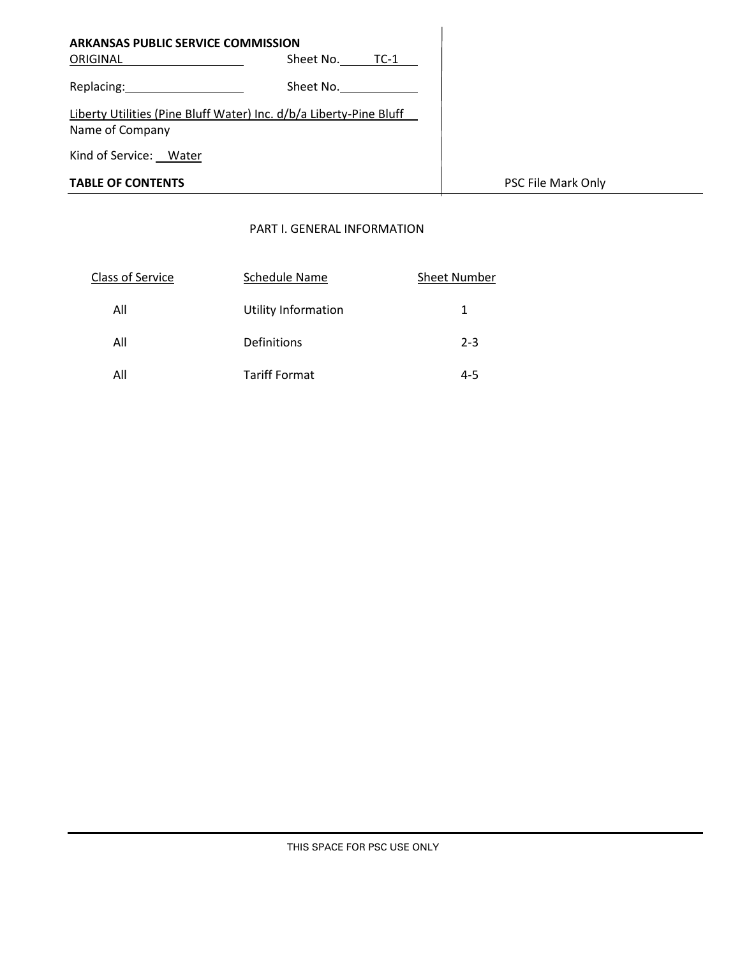| <b>ARKANSAS PUBLIC SERVICE COMMISSION</b>                                             |                     |                    |
|---------------------------------------------------------------------------------------|---------------------|--------------------|
| ORIGINAL                                                                              | Sheet No.<br>$TC-1$ |                    |
| Replacing: Replacing                                                                  | Sheet No.           |                    |
| Liberty Utilities (Pine Bluff Water) Inc. d/b/a Liberty-Pine Bluff<br>Name of Company |                     |                    |
| Kind of Service: Water                                                                |                     |                    |
| <b>TABLE OF CONTENTS</b>                                                              |                     | PSC File Mark Only |

# PART I. GENERAL INFORMATION

| <b>Class of Service</b> | Schedule Name        | <b>Sheet Number</b> |
|-------------------------|----------------------|---------------------|
| All                     | Utility Information  |                     |
| All                     | <b>Definitions</b>   | $2 - 3$             |
| All                     | <b>Tariff Format</b> | 4-5                 |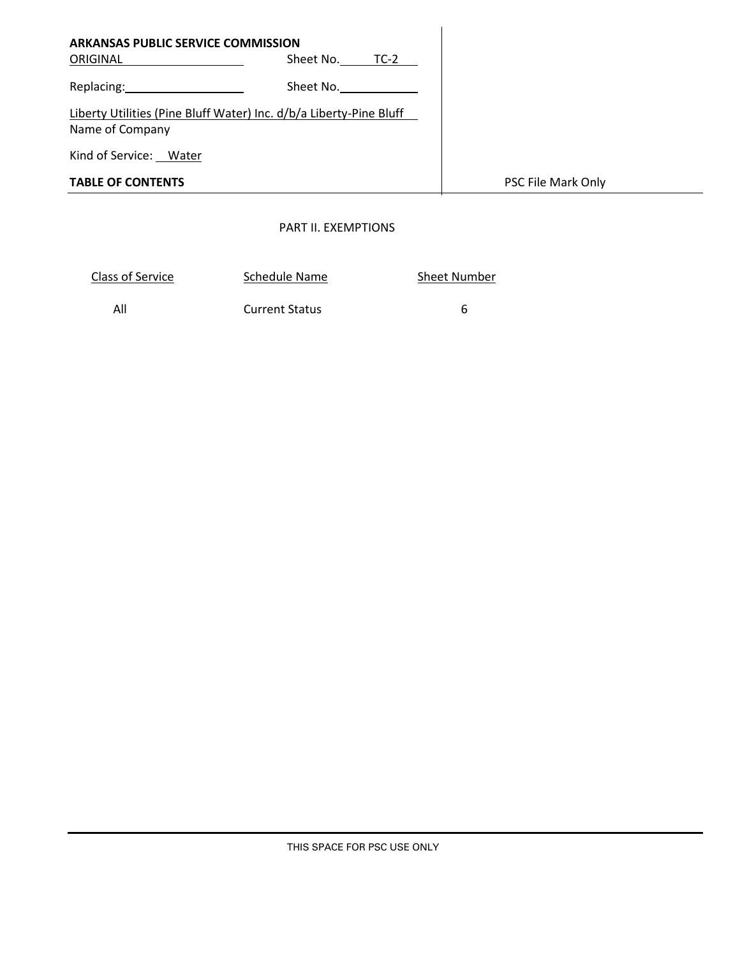| <b>TABLE OF CONTENTS</b>                              |                                                                    | PSC File Mark Only |
|-------------------------------------------------------|--------------------------------------------------------------------|--------------------|
| Kind of Service: Water                                |                                                                    |                    |
| Name of Company                                       | Liberty Utilities (Pine Bluff Water) Inc. d/b/a Liberty-Pine Bluff |                    |
| Replacing: 2008                                       | Sheet No.                                                          |                    |
| <b>ARKANSAS PUBLIC SERVICE COMMISSION</b><br>ORIGINAL | Sheet No. TC-2                                                     |                    |

# PART II. EXEMPTIONS

| Class of Service | Schedule Name         | <b>Sheet Number</b> |
|------------------|-----------------------|---------------------|
| All              | <b>Current Status</b> |                     |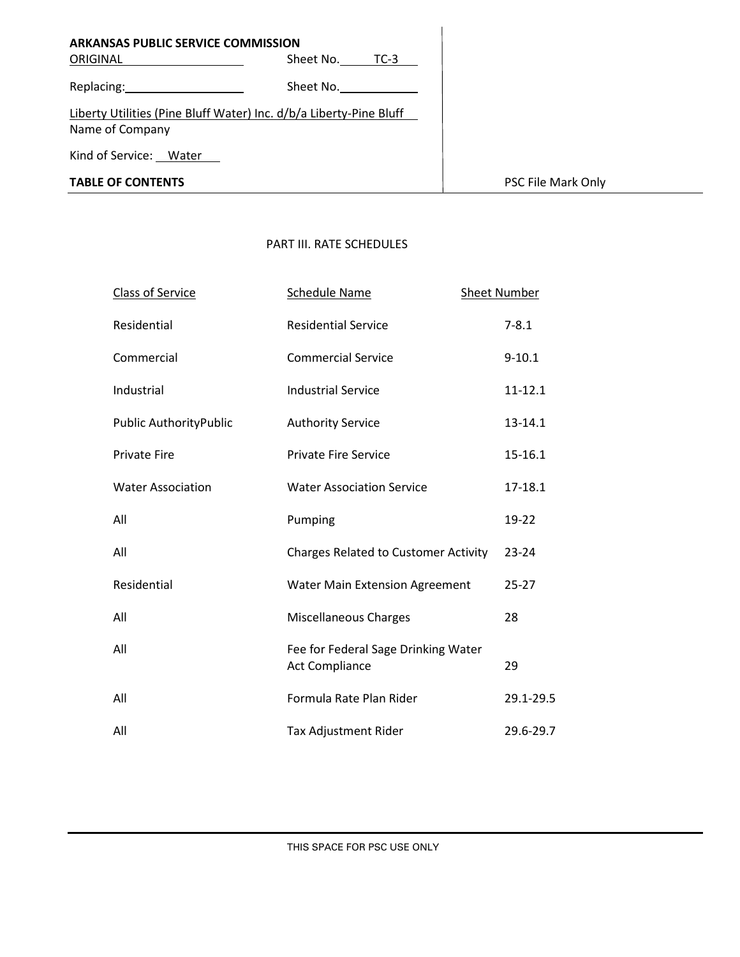| <b>ARKANSAS PUBLIC SERVICE COMMISSION</b><br>ORIGINAL                                                           | Sheet No.<br>$TC-3$ |
|-----------------------------------------------------------------------------------------------------------------|---------------------|
| Replacing: and the state of the state of the state of the state of the state of the state of the state of the s | Sheet No.           |
| Liberty Utilities (Pine Bluff Water) Inc. d/b/a Liberty-Pine Bluff<br>Name of Company                           |                     |
| Kind of Service: Water                                                                                          |                     |
| <b>TABLE OF CONTENTS</b>                                                                                        |                     |

### PART III. RATE SCHEDULES

| <b>Class of Service</b>  | <b>Schedule Name</b>                                         | <b>Sheet Number</b> |
|--------------------------|--------------------------------------------------------------|---------------------|
| Residential              | <b>Residential Service</b>                                   | $7 - 8.1$           |
| Commercial               | <b>Commercial Service</b>                                    | $9 - 10.1$          |
| Industrial               | <b>Industrial Service</b>                                    | 11-12.1             |
| Public AuthorityPublic   | <b>Authority Service</b>                                     | 13-14.1             |
| <b>Private Fire</b>      | <b>Private Fire Service</b>                                  | 15-16.1             |
| <b>Water Association</b> | <b>Water Association Service</b>                             | 17-18.1             |
| All                      | Pumping                                                      | 19-22               |
| All                      | <b>Charges Related to Customer Activity</b>                  | 23-24               |
| Residential              | <b>Water Main Extension Agreement</b>                        | $25 - 27$           |
| All                      | <b>Miscellaneous Charges</b>                                 | 28                  |
| All                      | Fee for Federal Sage Drinking Water<br><b>Act Compliance</b> | 29                  |
| All                      | Formula Rate Plan Rider                                      | 29.1-29.5           |
| All                      | Tax Adjustment Rider                                         | 29.6-29.7           |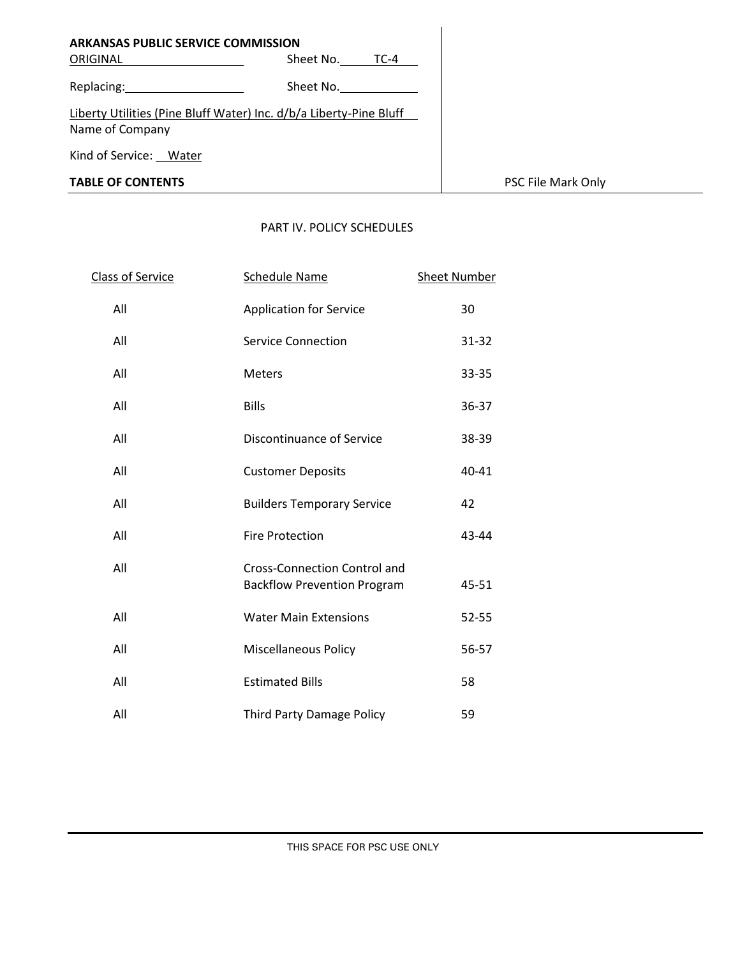| <b>ARKANSAS PUBLIC SERVICE COMMISSION</b>                                             |                     |
|---------------------------------------------------------------------------------------|---------------------|
| ORIGINAL                                                                              | Sheet No.<br>$TC-4$ |
| Replacing:                                                                            | Sheet No.           |
| Liberty Utilities (Pine Bluff Water) Inc. d/b/a Liberty-Pine Bluff<br>Name of Company |                     |
| Kind of Service: Water                                                                |                     |
| <b>TABLE OF CONTENTS</b>                                                              |                     |

## PART IV. POLICY SCHEDULES

| Class of Service | <b>Schedule Name</b>                                                      | <b>Sheet Number</b> |
|------------------|---------------------------------------------------------------------------|---------------------|
| All              | <b>Application for Service</b>                                            | 30                  |
| All              | <b>Service Connection</b>                                                 | 31-32               |
| All              | <b>Meters</b>                                                             | 33-35               |
| All              | <b>Bills</b>                                                              | 36-37               |
| All              | Discontinuance of Service                                                 | 38-39               |
| All              | <b>Customer Deposits</b>                                                  | 40-41               |
| All              | <b>Builders Temporary Service</b>                                         | 42                  |
| All              | <b>Fire Protection</b>                                                    | 43-44               |
| All              | <b>Cross-Connection Control and</b><br><b>Backflow Prevention Program</b> | 45-51               |
| All              | <b>Water Main Extensions</b>                                              | 52-55               |
| All              | <b>Miscellaneous Policy</b>                                               | 56-57               |
| All              | <b>Estimated Bills</b>                                                    | 58                  |
| All              | <b>Third Party Damage Policy</b>                                          | 59                  |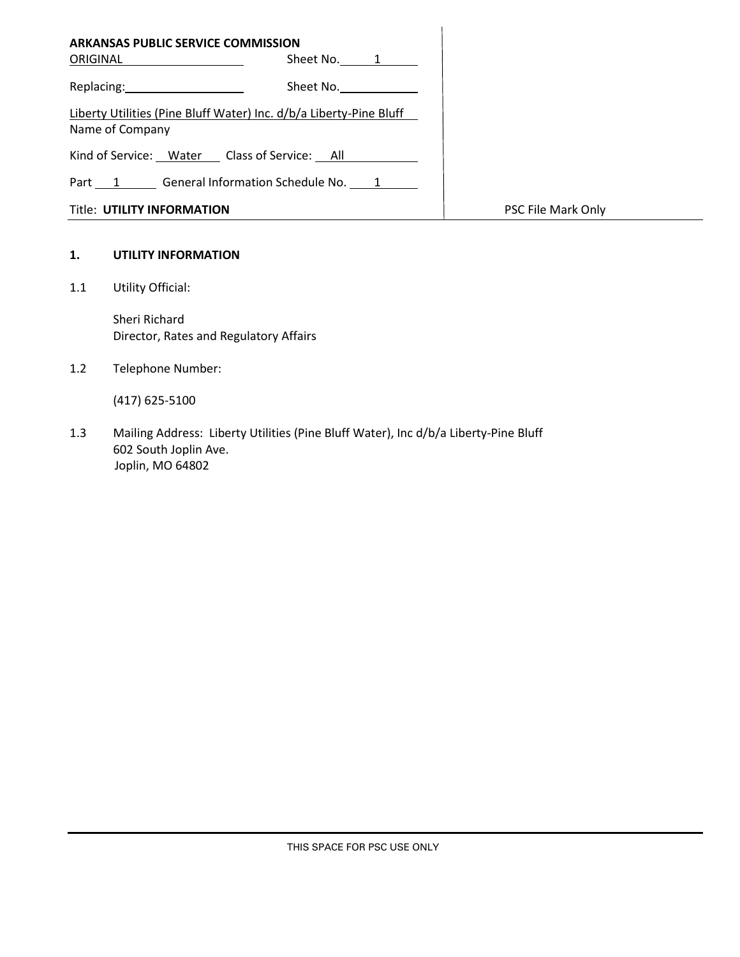| <b>ARKANSAS PUBLIC SERVICE COMMISSION</b><br>ORIGINAL<br>Sheet No. 1                  |                    |
|---------------------------------------------------------------------------------------|--------------------|
| Replacing: 2008<br>Sheet No.                                                          |                    |
| Liberty Utilities (Pine Bluff Water) Inc. d/b/a Liberty-Pine Bluff<br>Name of Company |                    |
| Kind of Service: Water Class of Service: All                                          |                    |
| Part 1 General Information Schedule No. 1                                             |                    |
| <b>Title: UTILITY INFORMATION</b>                                                     | PSC File Mark Only |

### **1. UTILITY INFORMATION**

1.1 Utility Official:

Sheri Richard Director, Rates and Regulatory Affairs

1.2 Telephone Number:

(417) 625-5100

1.3 Mailing Address: Liberty Utilities (Pine Bluff Water), Inc d/b/a Liberty-Pine Bluff 602 South Joplin Ave. Joplin, MO 64802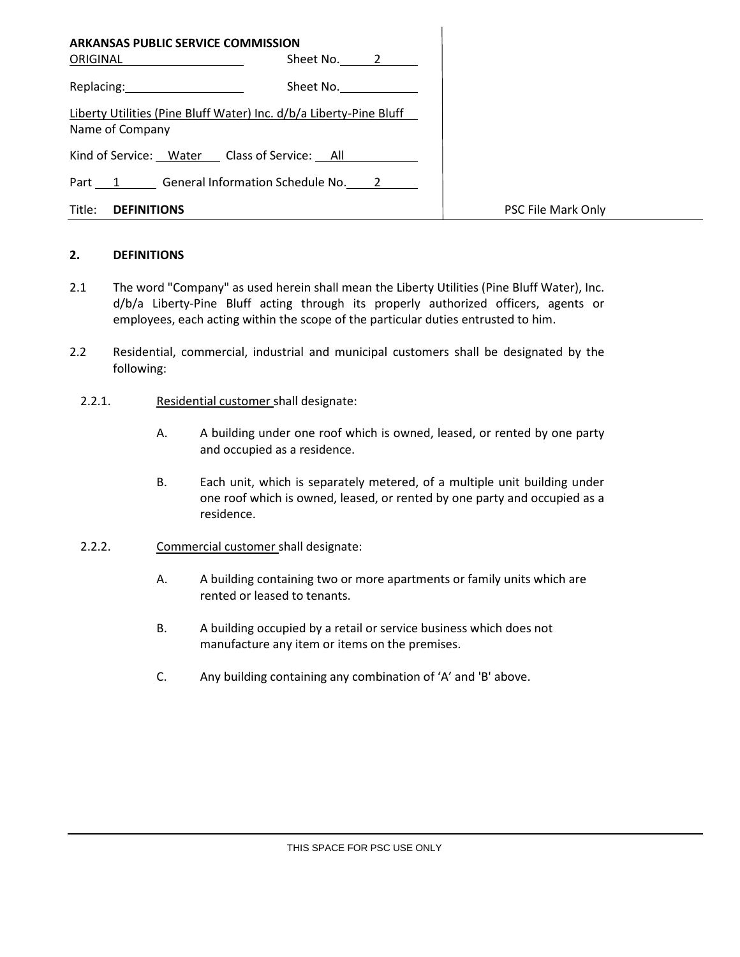|                                                                                                                | <b>ARKANSAS PUBLIC SERVICE COMMISSION</b>                          |                    |
|----------------------------------------------------------------------------------------------------------------|--------------------------------------------------------------------|--------------------|
| ORIGINAL ____________                                                                                          | Sheet No. 2                                                        |                    |
| Replacing: the contract of the contract of the contract of the contract of the contract of the contract of the | Sheet No.                                                          |                    |
| Name of Company                                                                                                | Liberty Utilities (Pine Bluff Water) Inc. d/b/a Liberty-Pine Bluff |                    |
|                                                                                                                | Kind of Service: Water Class of Service: All                       |                    |
|                                                                                                                | Part 1 General Information Schedule No. 2                          |                    |
| Title:<br><b>DEFINITIONS</b>                                                                                   |                                                                    | PSC File Mark Only |

### **2. DEFINITIONS**

- 2.1 The word "Company" as used herein shall mean the Liberty Utilities (Pine Bluff Water), Inc. d/b/a Liberty-Pine Bluff acting through its properly authorized officers, agents or employees, each acting within the scope of the particular duties entrusted to him.
- 2.2 Residential, commercial, industrial and municipal customers shall be designated by the following:
	- 2.2.1. Residential customer shall designate:
		- A. A building under one roof which is owned, leased, or rented by one party and occupied as a residence.
		- B. Each unit, which is separately metered, of a multiple unit building under one roof which is owned, leased, or rented by one party and occupied as a residence.
	- 2.2.2. Commercial customer shall designate:
		- A. A building containing two or more apartments or family units which are rented or leased to tenants.
		- B. A building occupied by a retail or service business which does not manufacture any item or items on the premises.
		- C. Any building containing any combination of 'A' and 'B' above.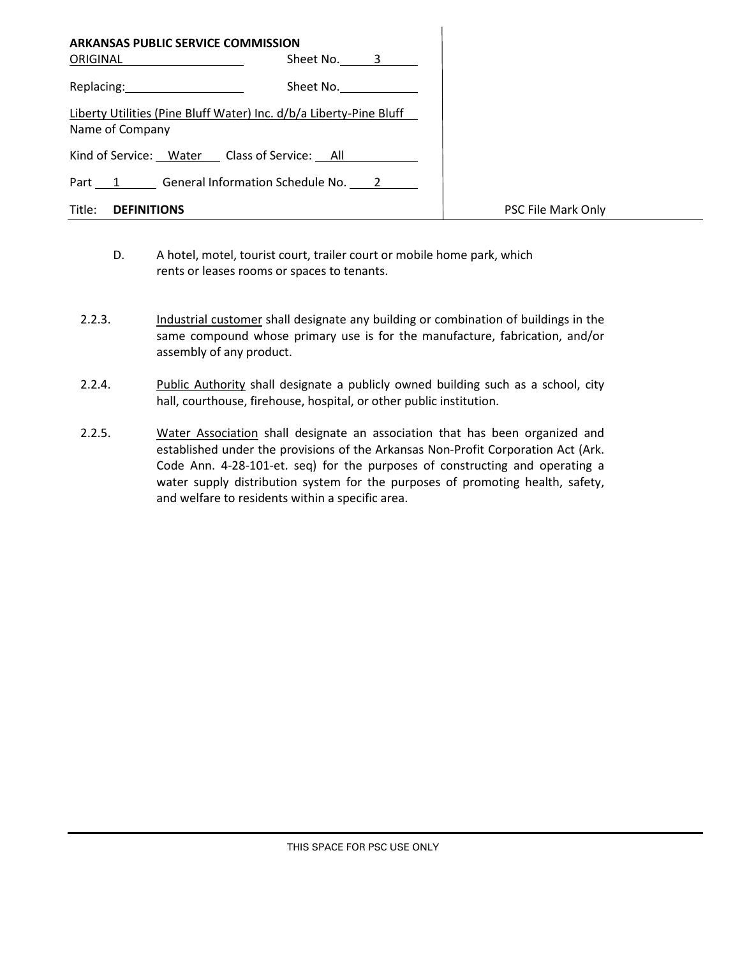| <b>ARKANSAS PUBLIC SERVICE COMMISSION</b>                                                                      | Sheet No. 3 |                           |
|----------------------------------------------------------------------------------------------------------------|-------------|---------------------------|
| Replacing: The contract of the contract of the contract of the contract of the contract of the contract of the | Sheet No.   |                           |
| Liberty Utilities (Pine Bluff Water) Inc. d/b/a Liberty-Pine Bluff<br>Name of Company                          |             |                           |
| Kind of Service: Water Class of Service: All                                                                   |             |                           |
| Part 1 General Information Schedule No. 2                                                                      |             |                           |
| Title:<br><b>DEFINITIONS</b>                                                                                   |             | <b>PSC File Mark Only</b> |

 $\overline{1}$ 

- D. A hotel, motel, tourist court, trailer court or mobile home park, which rents or leases rooms or spaces to tenants.
- 2.2.3. Industrial customer shall designate any building or combination of buildings in the same compound whose primary use is for the manufacture, fabrication, and/or assembly of any product.
- 2.2.4. Public Authority shall designate a publicly owned building such as a school, city hall, courthouse, firehouse, hospital, or other public institution.
- 2.2.5. Water Association shall designate an association that has been organized and established under the provisions of the Arkansas Non-Profit Corporation Act (Ark. Code Ann. 4-28-101-et. seq) for the purposes of constructing and operating a water supply distribution system for the purposes of promoting health, safety, and welfare to residents within a specific area.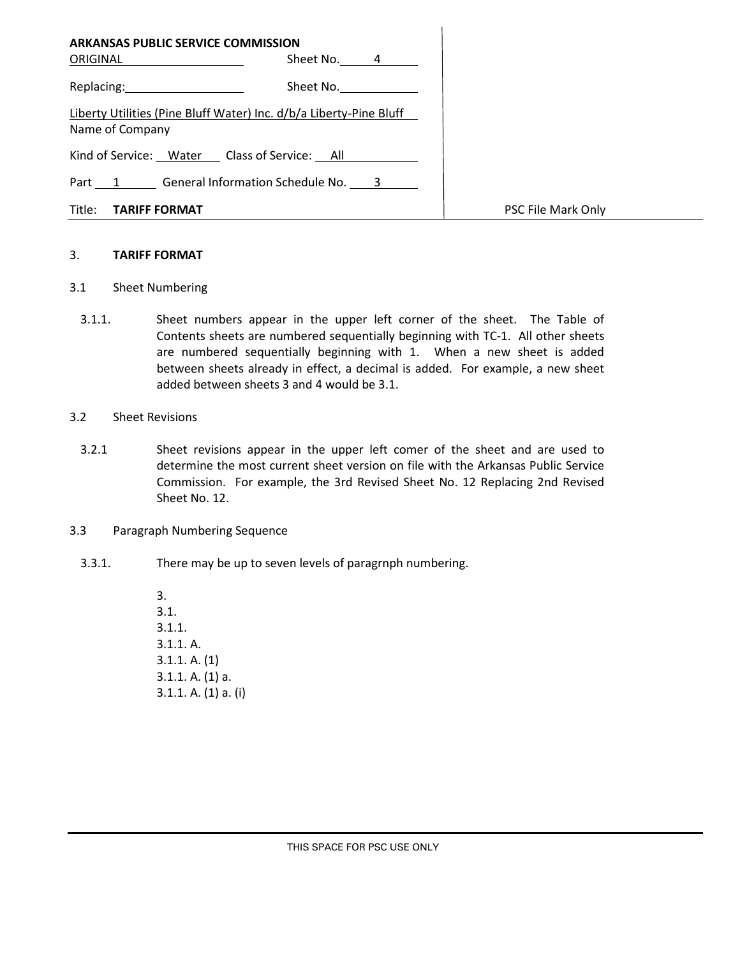| <b>ARKANSAS PUBLIC SERVICE COMMISSION</b><br>ORIGINAL _____________                   | Sheet No. 4 |                    |
|---------------------------------------------------------------------------------------|-------------|--------------------|
| Replacing: New York Products                                                          | Sheet No.   |                    |
| Liberty Utilities (Pine Bluff Water) Inc. d/b/a Liberty-Pine Bluff<br>Name of Company |             |                    |
| Kind of Service: Water Class of Service: All                                          |             |                    |
| Part 1 General Information Schedule No. 3                                             |             |                    |
| Title: <b>TARIFF FORMAT</b>                                                           |             | PSC File Mark Only |

 $\overline{1}$ 

#### 3. **TARIFF FORMAT**

- 3.1 Sheet Numbering
	- 3.1.1. Sheet numbers appear in the upper left corner of the sheet. The Table of Contents sheets are numbered sequentially beginning with TC-1. All other sheets are numbered sequentially beginning with 1. When a new sheet is added between sheets already in effect, a decimal is added. For example, a new sheet added between sheets 3 and 4 would be 3.1.
- 3.2 Sheet Revisions
	- 3.2.1 Sheet revisions appear in the upper left comer of the sheet and are used to determine the most current sheet version on file with the Arkansas Public Service Commission. For example, the 3rd Revised Sheet No. 12 Replacing 2nd Revised Sheet No. 12.
- 3.3 Paragraph Numbering Sequence
	- 3.3.1. There may be up to seven levels of paragrnph numbering.

3. 3.1. 3.1.1. 3.1.1. A. 3.1.1. A. (1) 3.1.1. A. (1) a. 3.1.1. A. (1) a. (i)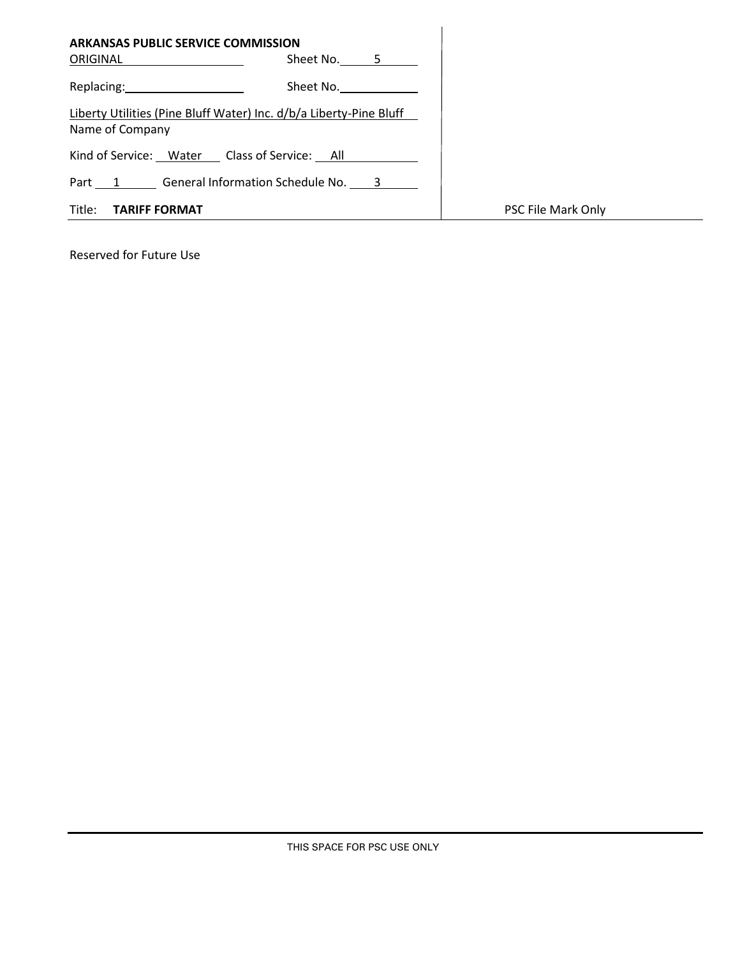| <b>ARKANSAS PUBLIC SERVICE COMMISSION</b>                                                                                    |                    |
|------------------------------------------------------------------------------------------------------------------------------|--------------------|
| Sheet No. 5<br>ORIGINAL                                                                                                      |                    |
| Replacing: and the state of the state of the state of the state of the state of the state of the state of the s<br>Sheet No. |                    |
| Liberty Utilities (Pine Bluff Water) Inc. d/b/a Liberty-Pine Bluff<br>Name of Company                                        |                    |
| Kind of Service: Water Class of Service: All                                                                                 |                    |
| Part 1 General Information Schedule No. 3                                                                                    |                    |
| Title:<br><b>TARIFF FORMAT</b>                                                                                               | PSC File Mark Only |

Reserved for Future Use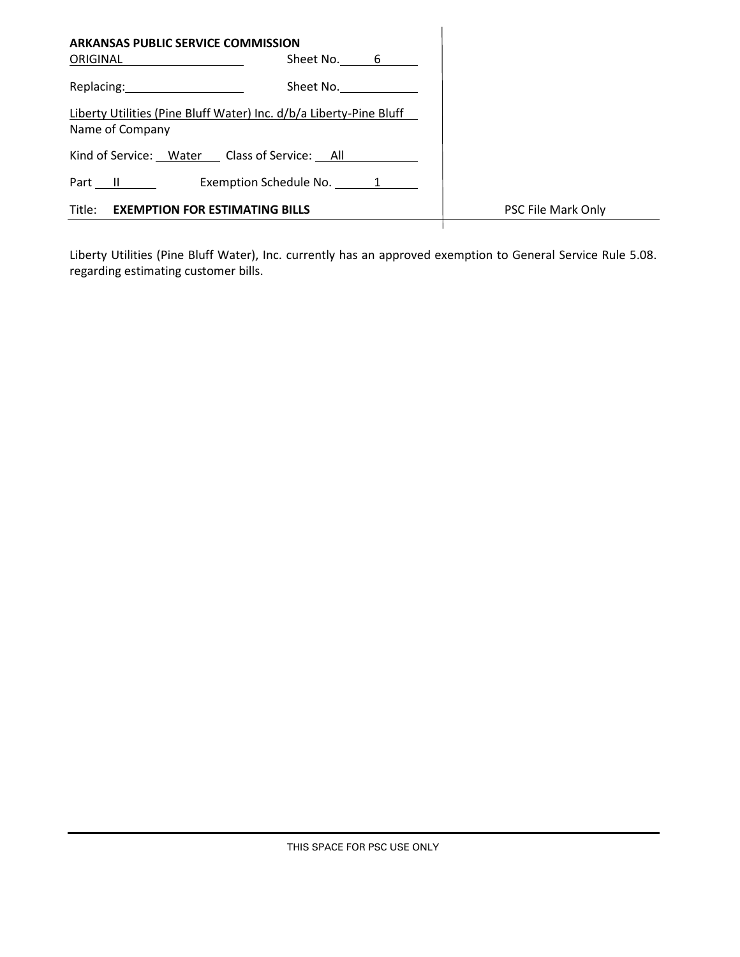| <b>ARKANSAS PUBLIC SERVICE COMMISSION</b>                                             |                    |
|---------------------------------------------------------------------------------------|--------------------|
| Sheet No. 6<br>ORIGINAL                                                               |                    |
| Sheet No.<br>Replacing: 1999                                                          |                    |
| Liberty Utilities (Pine Bluff Water) Inc. d/b/a Liberty-Pine Bluff<br>Name of Company |                    |
| Kind of Service: Water Class of Service: All                                          |                    |
| Exemption Schedule No. 1<br>Part II                                                   |                    |
| Title:<br><b>EXEMPTION FOR ESTIMATING BILLS</b>                                       | PSC File Mark Only |
|                                                                                       |                    |

Liberty Utilities (Pine Bluff Water), Inc. currently has an approved exemption to General Service Rule 5.08. regarding estimating customer bills.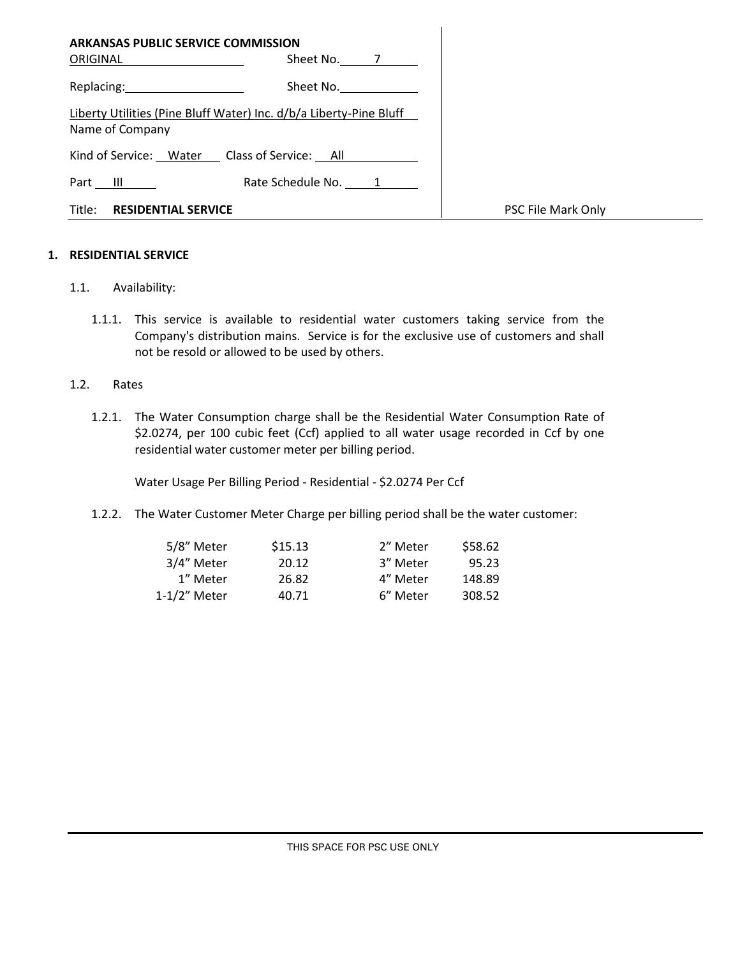| <b>ARKANSAS PUBLIC SERVICE COMMISSION</b>                                                                                                                                                                                                   |  |
|---------------------------------------------------------------------------------------------------------------------------------------------------------------------------------------------------------------------------------------------|--|
| Sheet No. 7<br>ORIGINAL                                                                                                                                                                                                                     |  |
| Replacing: New York Press, New York Press, New York Press, New York Press, New York Press, New York Press, New York Press, New York Press, New York Press, New York Press, New York Press, New York Press, New York Press, New<br>Sheet No. |  |
| Liberty Utilities (Pine Bluff Water) Inc. d/b/a Liberty-Pine Bluff<br>Name of Company                                                                                                                                                       |  |
| Kind of Service: Water Class of Service: All                                                                                                                                                                                                |  |
| Rate Schedule No. 1<br>Part III                                                                                                                                                                                                             |  |
| Title:<br><b>RESIDENTIAL SERVICE</b>                                                                                                                                                                                                        |  |

### **1. RESIDENTIAL SERVICE**

- 1.1. Availability:
	- 1.1.1. This service is available to residential water customers taking service from the Company's distribution mains. Service is for the exclusive use of customers and shall not be resold or allowed to be used by others.

### 1.2. Rates

1.2.1. The Water Consumption charge shall be the Residential Water Consumption Rate of \$2.0274, per 100 cubic feet (Ccf) applied to all water usage recorded in Ccf by one residential water customer meter per billing period.

Water Usage Per Billing Period - Residential - \$2.0274 Per Ccf

1.2.2. The Water Customer Meter Charge per billing period shall be the water customer:

| 5/8" Meter   | \$15.13 | 2" Meter | \$58.62 |
|--------------|---------|----------|---------|
| 3/4" Meter   | 20.12   | 3" Meter | 95.23   |
| 1" Meter     | 26.82   | 4" Meter | 148.89  |
| 1-1/2" Meter | 40.71   | 6" Meter | 308.52  |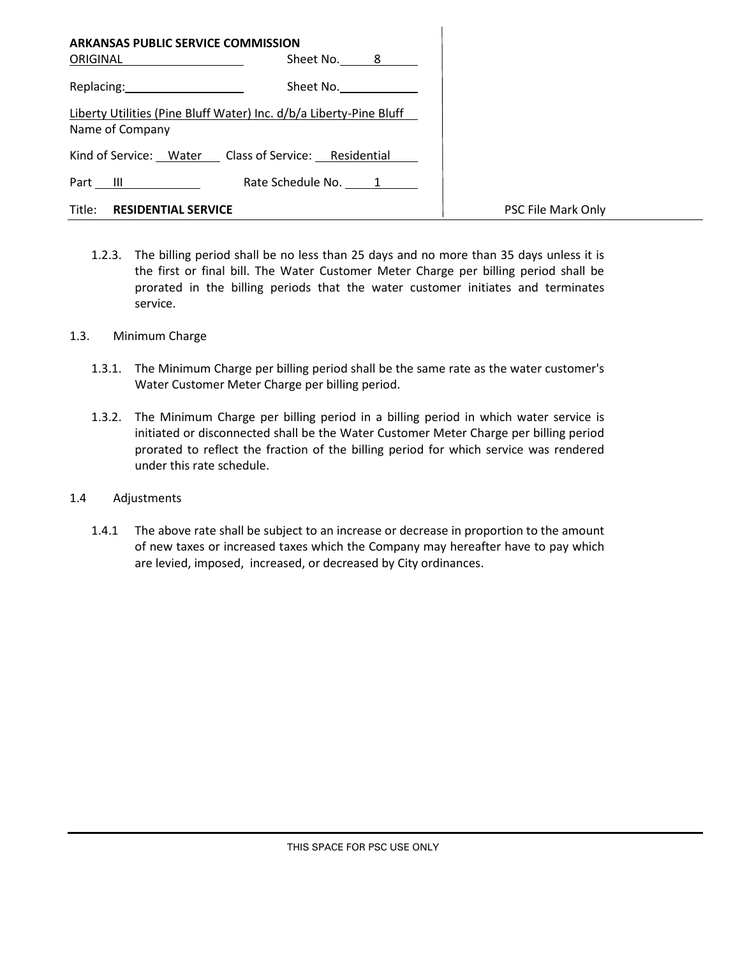| <b>ARKANSAS PUBLIC SERVICE COMMISSION</b> |                                                                    |                    |
|-------------------------------------------|--------------------------------------------------------------------|--------------------|
| ORIGINAL ___________________              | Sheet No. 8                                                        |                    |
| Replacing: 2000                           | Sheet No.                                                          |                    |
| Name of Company                           | Liberty Utilities (Pine Bluff Water) Inc. d/b/a Liberty-Pine Bluff |                    |
|                                           | Kind of Service: Water Class of Service: Residential               |                    |
| Part III                                  | Rate Schedule No. 1                                                |                    |
| Title: <b>RESIDENTIAL SERVICE</b>         |                                                                    | PSC File Mark Only |

- 1.2.3. The billing period shall be no less than 25 days and no more than 35 days unless it is the first or final bill. The Water Customer Meter Charge per billing period shall be prorated in the billing periods that the water customer initiates and terminates service.
- 1.3. Minimum Charge
	- 1.3.1. The Minimum Charge per billing period shall be the same rate as the water customer's Water Customer Meter Charge per billing period.
	- 1.3.2. The Minimum Charge per billing period in a billing period in which water service is initiated or disconnected shall be the Water Customer Meter Charge per billing period prorated to reflect the fraction of the billing period for which service was rendered under this rate schedule.
- 1.4 Adjustments
	- 1.4.1 The above rate shall be subject to an increase or decrease in proportion to the amount of new taxes or increased taxes which the Company may hereafter have to pay which are levied, imposed, increased, or decreased by City ordinances.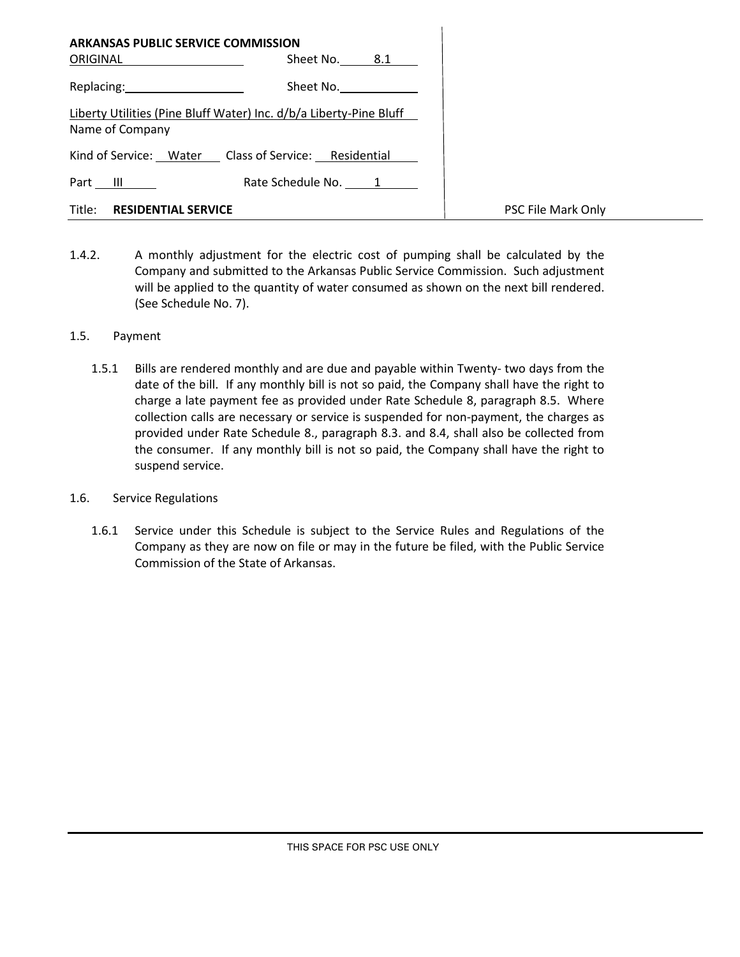| <b>ARKANSAS PUBLIC SERVICE COMMISSION</b>                                                                      |                                                                    |                    |
|----------------------------------------------------------------------------------------------------------------|--------------------------------------------------------------------|--------------------|
| ORIGINAL                                                                                                       | Sheet No. 8.1                                                      |                    |
| Replacing: The contract of the contract of the contract of the contract of the contract of the contract of the | Sheet No.                                                          |                    |
| Name of Company                                                                                                | Liberty Utilities (Pine Bluff Water) Inc. d/b/a Liberty-Pine Bluff |                    |
|                                                                                                                | Kind of Service: Water Class of Service: Residential               |                    |
| Part $III$                                                                                                     | Rate Schedule No. 1                                                |                    |
| Title:<br><b>RESIDENTIAL SERVICE</b>                                                                           |                                                                    | PSC File Mark Only |

1.4.2. A monthly adjustment for the electric cost of pumping shall be calculated by the Company and submitted to the Arkansas Public Service Commission. Such adjustment will be applied to the quantity of water consumed as shown on the next bill rendered. (See Schedule No. 7).

### 1.5. Payment

- 1.5.1 Bills are rendered monthly and are due and payable within Twenty- two days from the date of the bill. If any monthly bill is not so paid, the Company shall have the right to charge a late payment fee as provided under Rate Schedule 8, paragraph 8.5. Where collection calls are necessary or service is suspended for non-payment, the charges as provided under Rate Schedule 8., paragraph 8.3. and 8.4, shall also be collected from the consumer. If any monthly bill is not so paid, the Company shall have the right to suspend service.
- 1.6. Service Regulations
	- 1.6.1 Service under this Schedule is subject to the Service Rules and Regulations of the Company as they are now on file or may in the future be filed, with the Public Service Commission of the State of Arkansas.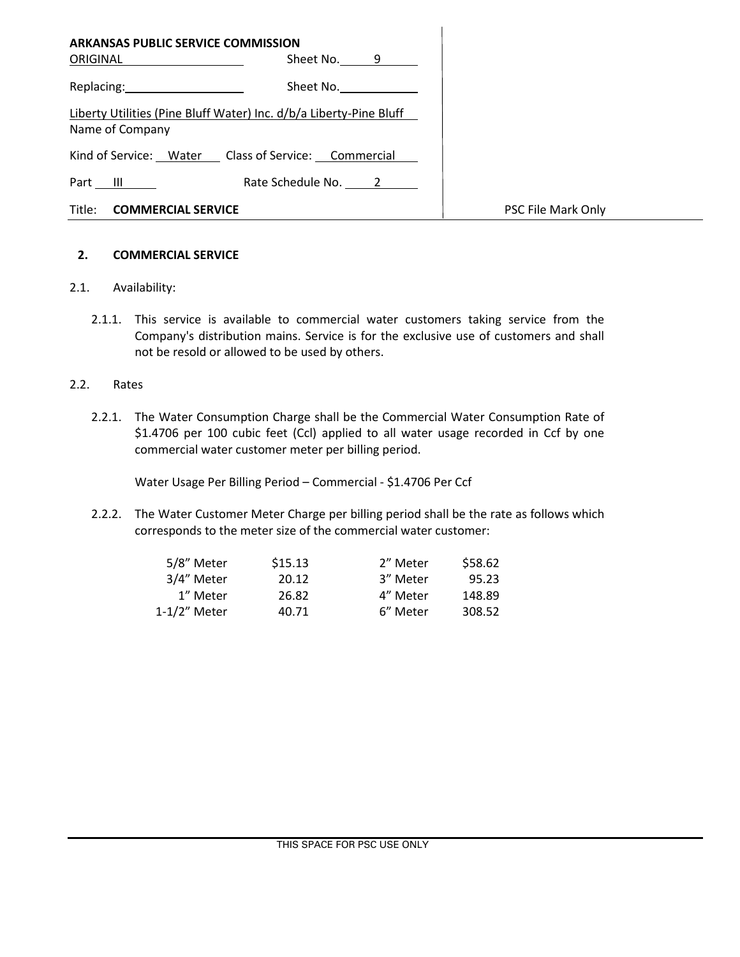| <b>ARKANSAS PUBLIC SERVICE COMMISSION</b>                                                                      |                                                                    |                    |
|----------------------------------------------------------------------------------------------------------------|--------------------------------------------------------------------|--------------------|
| ORIGINAL                                                                                                       | Sheet No. 9                                                        |                    |
| Replacing: The contract of the contract of the contract of the contract of the contract of the contract of the | Sheet No.                                                          |                    |
| Name of Company                                                                                                | Liberty Utilities (Pine Bluff Water) Inc. d/b/a Liberty-Pine Bluff |                    |
|                                                                                                                | Kind of Service: Water Class of Service: Commercial                |                    |
| Part III                                                                                                       | Rate Schedule No. 2                                                |                    |
| Title:<br><b>COMMERCIAL SERVICE</b>                                                                            |                                                                    | PSC File Mark Only |

### **2. COMMERCIAL SERVICE**

### 2.1. Availability:

2.1.1. This service is available to commercial water customers taking service from the Company's distribution mains. Service is for the exclusive use of customers and shall not be resold or allowed to be used by others.

### 2.2. Rates

2.2.1. The Water Consumption Charge shall be the Commercial Water Consumption Rate of \$1.4706 per 100 cubic feet (Ccl) applied to all water usage recorded in Ccf by one commercial water customer meter per billing period.

Water Usage Per Billing Period – Commercial - \$1.4706 Per Ccf

2.2.2. The Water Customer Meter Charge per billing period shall be the rate as follows which corresponds to the meter size of the commercial water customer:

| 5/8" Meter   | \$15.13 | 2" Meter | \$58.62 |
|--------------|---------|----------|---------|
| 3/4" Meter   | 20.12   | 3" Meter | 95.23   |
| 1" Meter     | 26.82   | 4" Meter | 148.89  |
| 1-1/2" Meter | 40.71   | 6" Meter | 308.52  |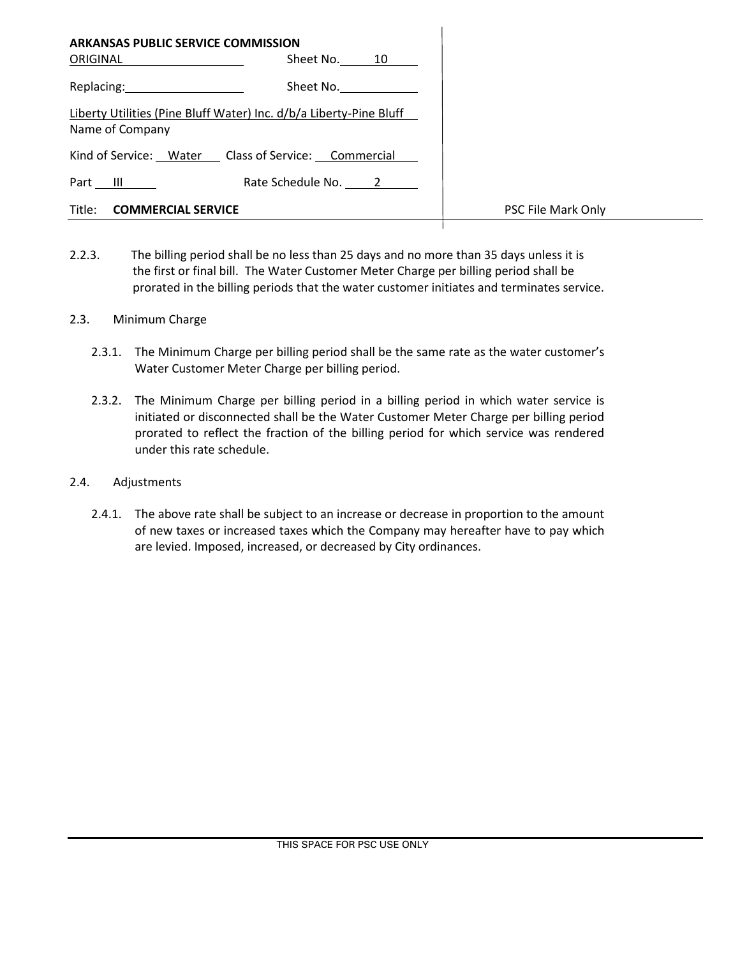| <b>ARKANSAS PUBLIC SERVICE COMMISSION</b><br>ORIGINAL                                 | Sheet No. 10        |                    |
|---------------------------------------------------------------------------------------|---------------------|--------------------|
| Replacing: 2008                                                                       | Sheet No.           |                    |
| Liberty Utilities (Pine Bluff Water) Inc. d/b/a Liberty-Pine Bluff<br>Name of Company |                     |                    |
| Kind of Service: Water Class of Service: Commercial                                   |                     |                    |
| Part III                                                                              | Rate Schedule No. 2 |                    |
| Title:<br><b>COMMERCIAL SERVICE</b>                                                   |                     | PSC File Mark Only |

2.2.3. The billing period shall be no less than 25 days and no more than 35 days unless it is the first or final bill. The Water Customer Meter Charge per billing period shall be prorated in the billing periods that the water customer initiates and terminates service.

### 2.3. Minimum Charge

- 2.3.1. The Minimum Charge per billing period shall be the same rate as the water customer's Water Customer Meter Charge per billing period.
- 2.3.2. The Minimum Charge per billing period in a billing period in which water service is initiated or disconnected shall be the Water Customer Meter Charge per billing period prorated to reflect the fraction of the billing period for which service was rendered under this rate schedule.
- 2.4. Adjustments
	- 2.4.1. The above rate shall be subject to an increase or decrease in proportion to the amount of new taxes or increased taxes which the Company may hereafter have to pay which are levied. Imposed, increased, or decreased by City ordinances.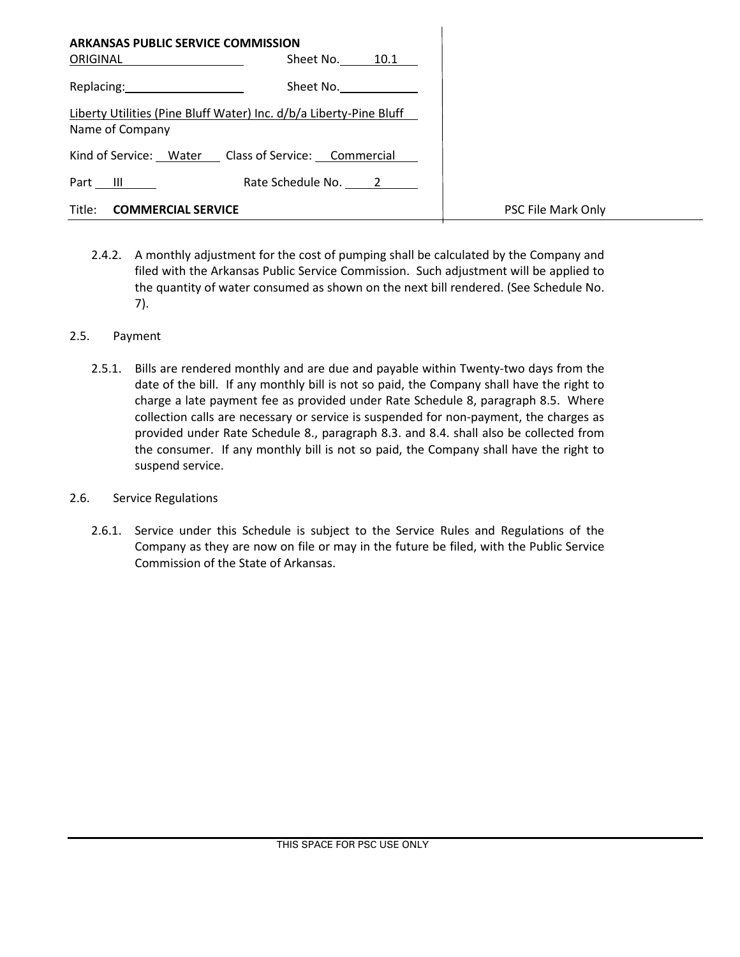| <b>ARKANSAS PUBLIC SERVICE COMMISSION</b><br>ORIGINAL                                 | Sheet No. 10.1      |                    |
|---------------------------------------------------------------------------------------|---------------------|--------------------|
| Replacing: 2008                                                                       | Sheet No.           |                    |
| Liberty Utilities (Pine Bluff Water) Inc. d/b/a Liberty-Pine Bluff<br>Name of Company |                     |                    |
| Kind of Service: Water Class of Service: Commercial                                   |                     |                    |
| Part III                                                                              | Rate Schedule No. 2 |                    |
| Title:<br><b>COMMERCIAL SERVICE</b>                                                   |                     | PSC File Mark Only |

2.4.2. A monthly adjustment for the cost of pumping shall be calculated by the Company and filed with the Arkansas Public Service Commission. Such adjustment will be applied to the quantity of water consumed as shown on the next bill rendered. (See Schedule No. 7).

# 2.5. Payment

- 2.5.1. Bills are rendered monthly and are due and payable within Twenty-two days from the date of the bill. If any monthly bill is not so paid, the Company shall have the right to charge a late payment fee as provided under Rate Schedule 8, paragraph 8.5. Where collection calls are necessary or service is suspended for non-payment, the charges as provided under Rate Schedule 8., paragraph 8.3. and 8.4. shall also be collected from the consumer. If any monthly bill is not so paid, the Company shall have the right to suspend service.
- 2.6. Service Regulations
	- 2.6.1. Service under this Schedule is subject to the Service Rules and Regulations of the Company as they are now on file or may in the future be filed, with the Public Service Commission of the State of Arkansas.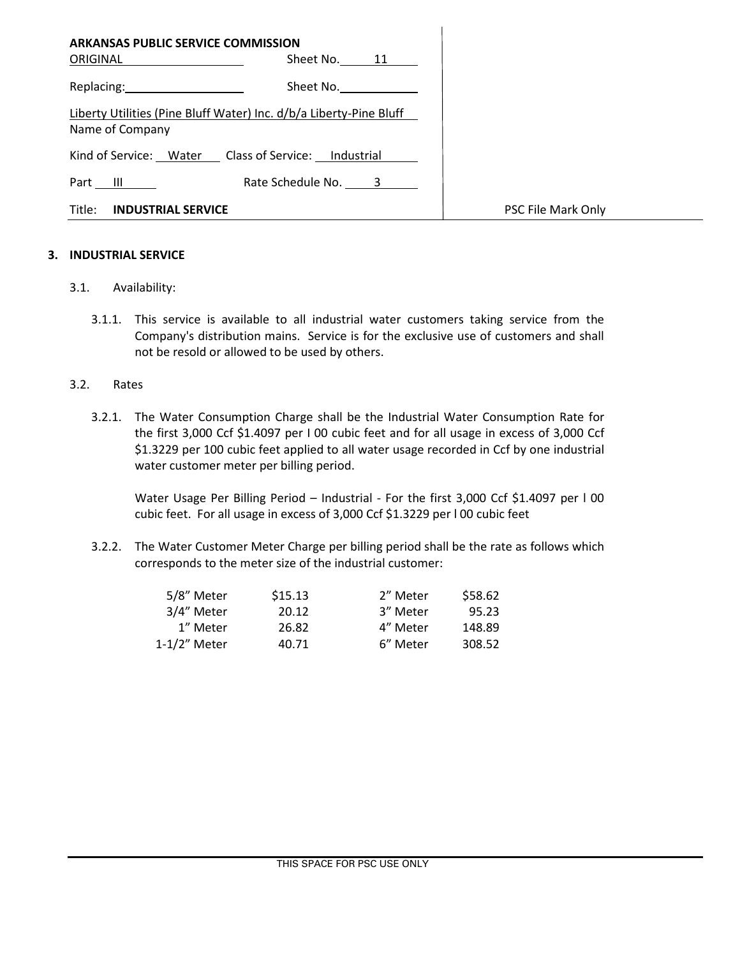| <b>ARKANSAS PUBLIC SERVICE COMMISSION</b><br>ORIGINAL | Sheet No. 11                                                       |                    |
|-------------------------------------------------------|--------------------------------------------------------------------|--------------------|
| Replacing: 2008                                       | Sheet No.                                                          |                    |
| Name of Company                                       | Liberty Utilities (Pine Bluff Water) Inc. d/b/a Liberty-Pine Bluff |                    |
| Kind of Service: Water Class of Service: Industrial   |                                                                    |                    |
| Part III                                              | Rate Schedule No. 3                                                |                    |
| Title:<br><b>INDUSTRIAL SERVICE</b>                   |                                                                    | PSC File Mark Only |

 $\overline{1}$ 

### **3. INDUSTRIAL SERVICE**

- 3.1. Availability:
	- 3.1.1. This service is available to all industrial water customers taking service from the Company's distribution mains. Service is for the exclusive use of customers and shall not be resold or allowed to be used by others.

#### 3.2. Rates

3.2.1. The Water Consumption Charge shall be the Industrial Water Consumption Rate for the first 3,000 Ccf \$1.4097 per I 00 cubic feet and for all usage in excess of 3,000 Ccf \$1.3229 per 100 cubic feet applied to all water usage recorded in Ccf by one industrial water customer meter per billing period.

Water Usage Per Billing Period – Industrial - For the first 3,000 Ccf \$1.4097 per l 00 cubic feet. For all usage in excess of 3,000 Ccf \$1.3229 per l 00 cubic feet

3.2.2. The Water Customer Meter Charge per billing period shall be the rate as follows which corresponds to the meter size of the industrial customer:

| \$15.13 | 2" Meter | \$58.62 |
|---------|----------|---------|
| 20.12   | 3" Meter | 95.23   |
| 26.82   | 4" Meter | 148.89  |
| 40.71   | 6" Meter | 308.52  |
|         |          |         |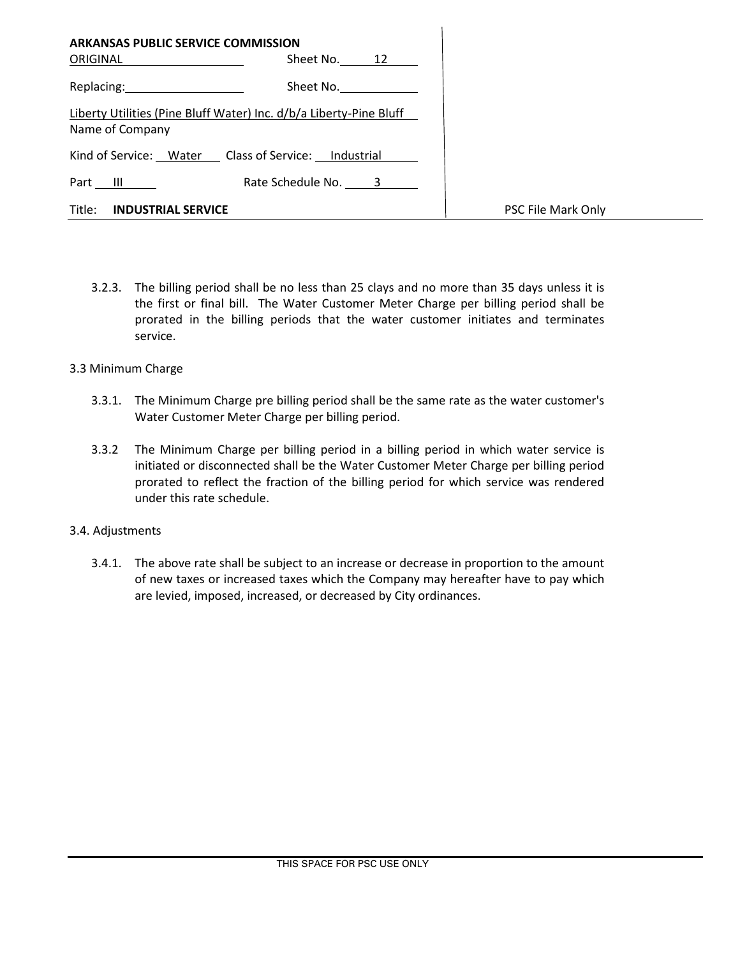| <b>ARKANSAS PUBLIC SERVICE COMMISSION</b><br>ORIGINAL | Sheet No. 12                                                       |                    |
|-------------------------------------------------------|--------------------------------------------------------------------|--------------------|
| Replacing: 2000                                       | Sheet No.                                                          |                    |
| Name of Company                                       | Liberty Utilities (Pine Bluff Water) Inc. d/b/a Liberty-Pine Bluff |                    |
|                                                       | Kind of Service: Water Class of Service: Industrial                |                    |
| Part $III$                                            | Rate Schedule No. 3                                                |                    |
| Title:<br><b>INDUSTRIAL SERVICE</b>                   |                                                                    | PSC File Mark Only |

3.2.3. The billing period shall be no less than 25 clays and no more than 35 days unless it is the first or final bill. The Water Customer Meter Charge per billing period shall be prorated in the billing periods that the water customer initiates and terminates service.

### 3.3 Minimum Charge

- 3.3.1. The Minimum Charge pre billing period shall be the same rate as the water customer's Water Customer Meter Charge per billing period.
- 3.3.2 The Minimum Charge per billing period in a billing period in which water service is initiated or disconnected shall be the Water Customer Meter Charge per billing period prorated to reflect the fraction of the billing period for which service was rendered under this rate schedule.

### 3.4. Adjustments

3.4.1. The above rate shall be subject to an increase or decrease in proportion to the amount of new taxes or increased taxes which the Company may hereafter have to pay which are levied, imposed, increased, or decreased by City ordinances.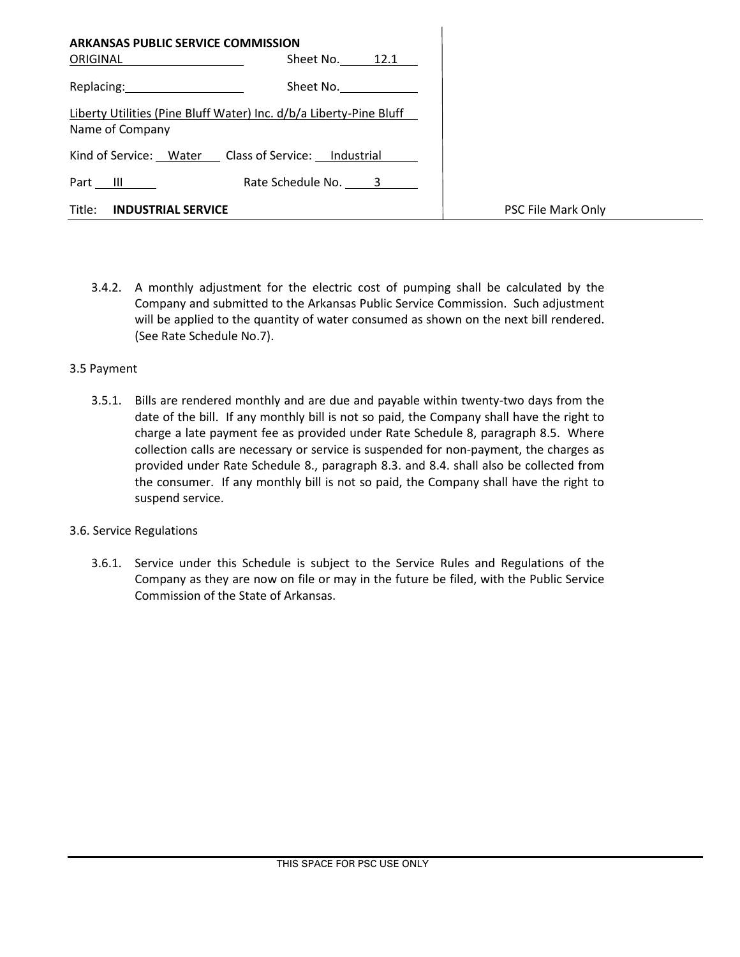| <b>ARKANSAS PUBLIC SERVICE COMMISSION</b><br>ORIGINAL | Sheet No. 12.1                                                     |                    |
|-------------------------------------------------------|--------------------------------------------------------------------|--------------------|
| Replacing: 2000                                       | Sheet No.                                                          |                    |
| Name of Company                                       | Liberty Utilities (Pine Bluff Water) Inc. d/b/a Liberty-Pine Bluff |                    |
|                                                       | Kind of Service: Water Class of Service: Industrial                |                    |
| Part $   $                                            | Rate Schedule No. 3                                                |                    |
| Title:<br><b>INDUSTRIAL SERVICE</b>                   |                                                                    | PSC File Mark Only |

3.4.2. A monthly adjustment for the electric cost of pumping shall be calculated by the Company and submitted to the Arkansas Public Service Commission. Such adjustment will be applied to the quantity of water consumed as shown on the next bill rendered. (See Rate Schedule No.7).

### 3.5 Payment

3.5.1. Bills are rendered monthly and are due and payable within twenty-two days from the date of the bill. If any monthly bill is not so paid, the Company shall have the right to charge a late payment fee as provided under Rate Schedule 8, paragraph 8.5. Where collection calls are necessary or service is suspended for non-payment, the charges as provided under Rate Schedule 8., paragraph 8.3. and 8.4. shall also be collected from the consumer. If any monthly bill is not so paid, the Company shall have the right to suspend service.

### 3.6. Service Regulations

3.6.1. Service under this Schedule is subject to the Service Rules and Regulations of the Company as they are now on file or may in the future be filed, with the Public Service Commission of the State of Arkansas.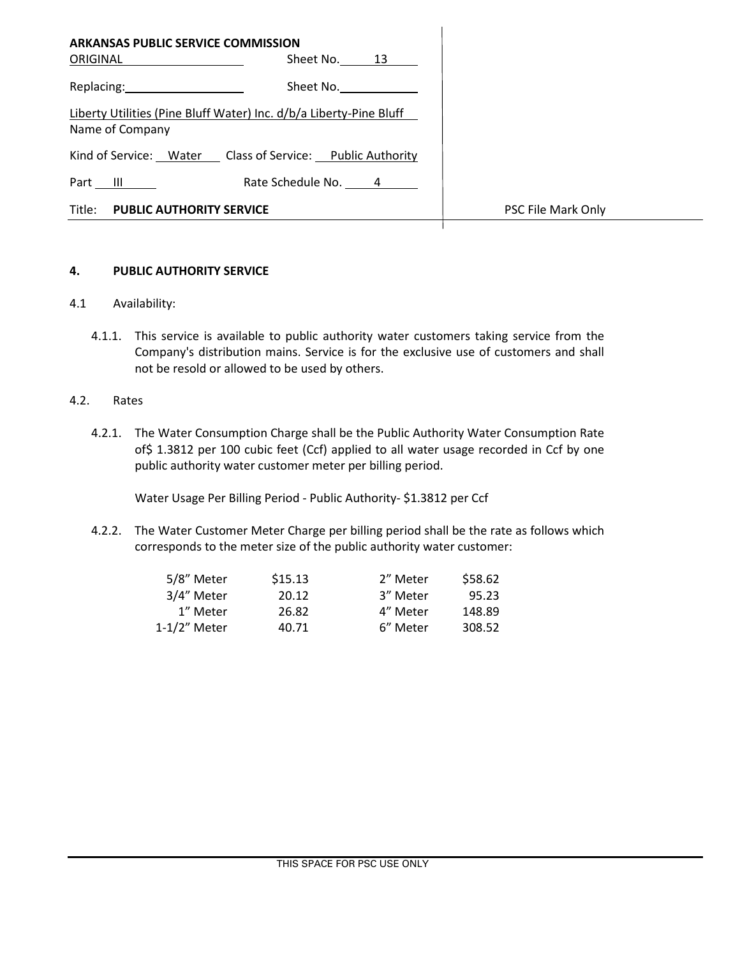| <b>ARKANSAS PUBLIC SERVICE COMMISSION</b><br><b>ORIGINAL Example 2019</b> | Sheet No. 13                                                       |                    |
|---------------------------------------------------------------------------|--------------------------------------------------------------------|--------------------|
| Replacing: 2000                                                           | Sheet No.                                                          |                    |
| Name of Company                                                           | Liberty Utilities (Pine Bluff Water) Inc. d/b/a Liberty-Pine Bluff |                    |
|                                                                           | Kind of Service: Water Class of Service: Public Authority          |                    |
| Part III                                                                  | Rate Schedule No. 4                                                |                    |
| Title:<br><b>PUBLIC AUTHORITY SERVICE</b>                                 |                                                                    | PSC File Mark Only |

### **4. PUBLIC AUTHORITY SERVICE**

- 4.1 Availability:
	- 4.1.1. This service is available to public authority water customers taking service from the Company's distribution mains. Service is for the exclusive use of customers and shall not be resold or allowed to be used by others.

### 4.2. Rates

4.2.1. The Water Consumption Charge shall be the Public Authority Water Consumption Rate of\$ 1.3812 per 100 cubic feet (Ccf) applied to all water usage recorded in Ccf by one public authority water customer meter per billing period.

Water Usage Per Billing Period - Public Authority- \$1.3812 per Ccf

4.2.2. The Water Customer Meter Charge per billing period shall be the rate as follows which corresponds to the meter size of the public authority water customer:

| 5/8" Meter   | \$15.13 | 2" Meter | \$58.62 |
|--------------|---------|----------|---------|
| 3/4" Meter   | 20.12   | 3" Meter | 95.23   |
| 1" Meter     | 26.82   | 4" Meter | 148.89  |
| 1-1/2" Meter | 40.71   | 6" Meter | 308.52  |
|              |         |          |         |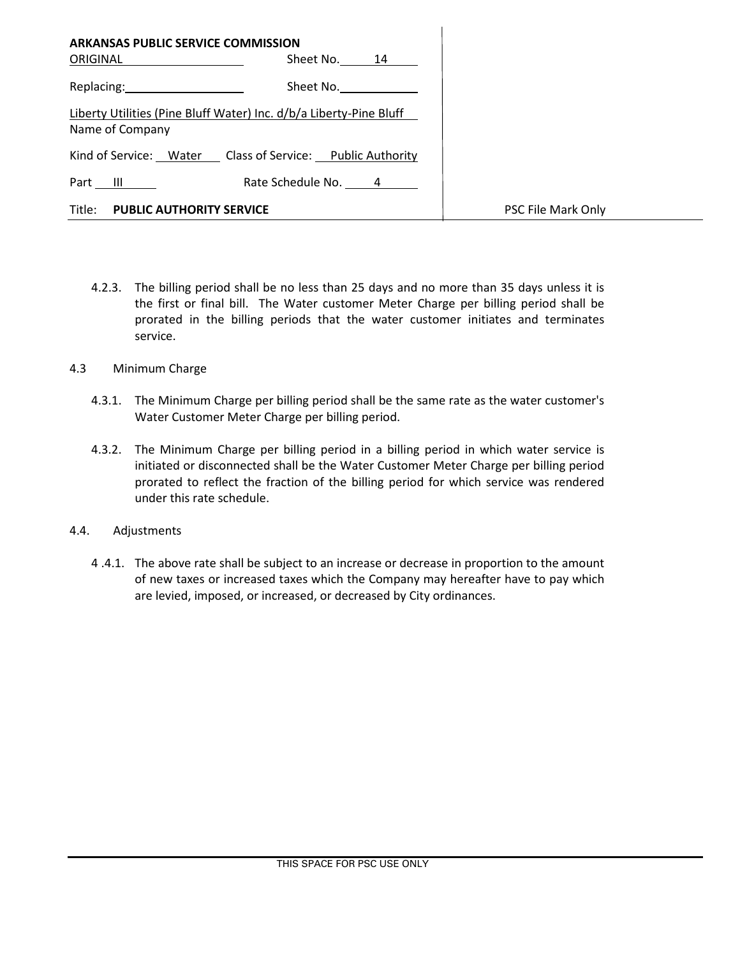| <b>ARKANSAS PUBLIC SERVICE COMMISSION</b> |                                                                    |                    |
|-------------------------------------------|--------------------------------------------------------------------|--------------------|
| ORIGINAL _______________                  | Sheet No. 14                                                       |                    |
| Replacing: 2000                           | Sheet No.                                                          |                    |
| Name of Company                           | Liberty Utilities (Pine Bluff Water) Inc. d/b/a Liberty-Pine Bluff |                    |
|                                           | Kind of Service: Water Class of Service: Public Authority          |                    |
| Part $III$                                | Rate Schedule No. 4                                                |                    |
| Title: PUBLIC AUTHORITY SERVICE           |                                                                    | PSC File Mark Only |

- 4.2.3. The billing period shall be no less than 25 days and no more than 35 days unless it is the first or final bill. The Water customer Meter Charge per billing period shall be prorated in the billing periods that the water customer initiates and terminates service.
- 4.3 Minimum Charge
	- 4.3.1. The Minimum Charge per billing period shall be the same rate as the water customer's Water Customer Meter Charge per billing period.
	- 4.3.2. The Minimum Charge per billing period in a billing period in which water service is initiated or disconnected shall be the Water Customer Meter Charge per billing period prorated to reflect the fraction of the billing period for which service was rendered under this rate schedule.
- 4.4. Adjustments
	- 4 .4.1. The above rate shall be subject to an increase or decrease in proportion to the amount of new taxes or increased taxes which the Company may hereafter have to pay which are levied, imposed, or increased, or decreased by City ordinances.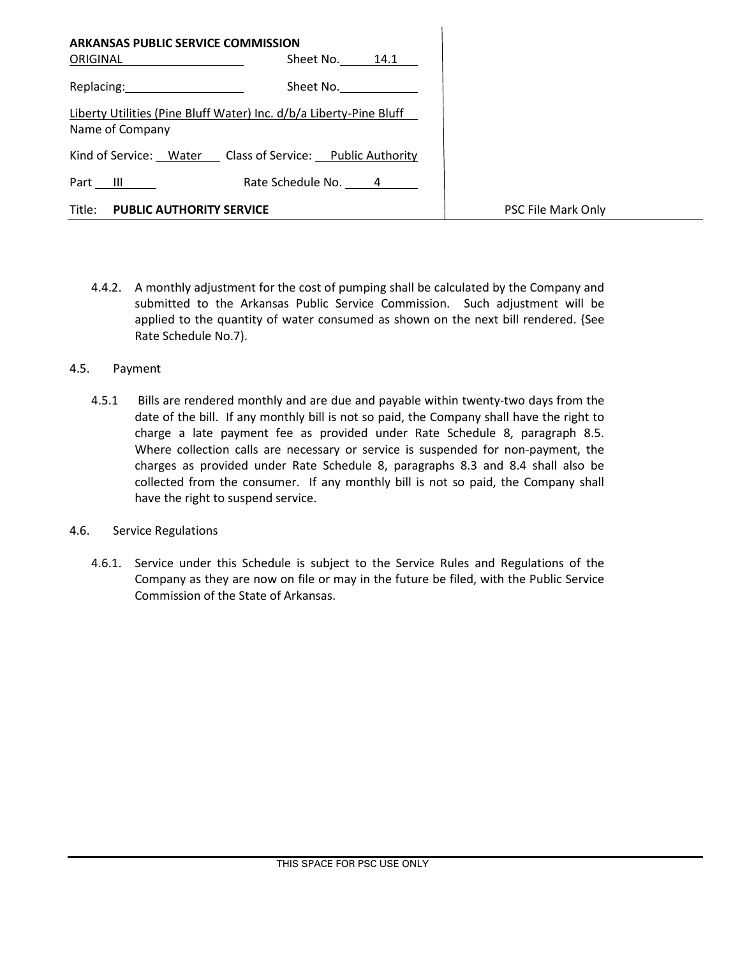|                                 | <b>ARKANSAS PUBLIC SERVICE COMMISSION</b>                          |                    |
|---------------------------------|--------------------------------------------------------------------|--------------------|
| <b>ORIGINAL Example 2019</b>    | Sheet No. 14.1                                                     |                    |
| Replacing: 2008                 | Sheet No.                                                          |                    |
| Name of Company                 | Liberty Utilities (Pine Bluff Water) Inc. d/b/a Liberty-Pine Bluff |                    |
|                                 | Kind of Service: Water Class of Service: Public Authority          |                    |
| Part III                        | Rate Schedule No. 4                                                |                    |
| Title: PUBLIC AUTHORITY SERVICE |                                                                    | PSC File Mark Only |

- 4.4.2. A monthly adjustment for the cost of pumping shall be calculated by the Company and submitted to the Arkansas Public Service Commission. Such adjustment will be applied to the quantity of water consumed as shown on the next bill rendered. {See Rate Schedule No.7).
- 4.5. Payment
	- 4.5.1 Bills are rendered monthly and are due and payable within twenty-two days from the date of the bill. If any monthly bill is not so paid, the Company shall have the right to charge a late payment fee as provided under Rate Schedule 8, paragraph 8.5. Where collection calls are necessary or service is suspended for non-payment, the charges as provided under Rate Schedule 8, paragraphs 8.3 and 8.4 shall also be collected from the consumer. If any monthly bill is not so paid, the Company shall have the right to suspend service.
- 4.6. Service Regulations
	- 4.6.1. Service under this Schedule is subject to the Service Rules and Regulations of the Company as they are now on file or may in the future be filed, with the Public Service Commission of the State of Arkansas.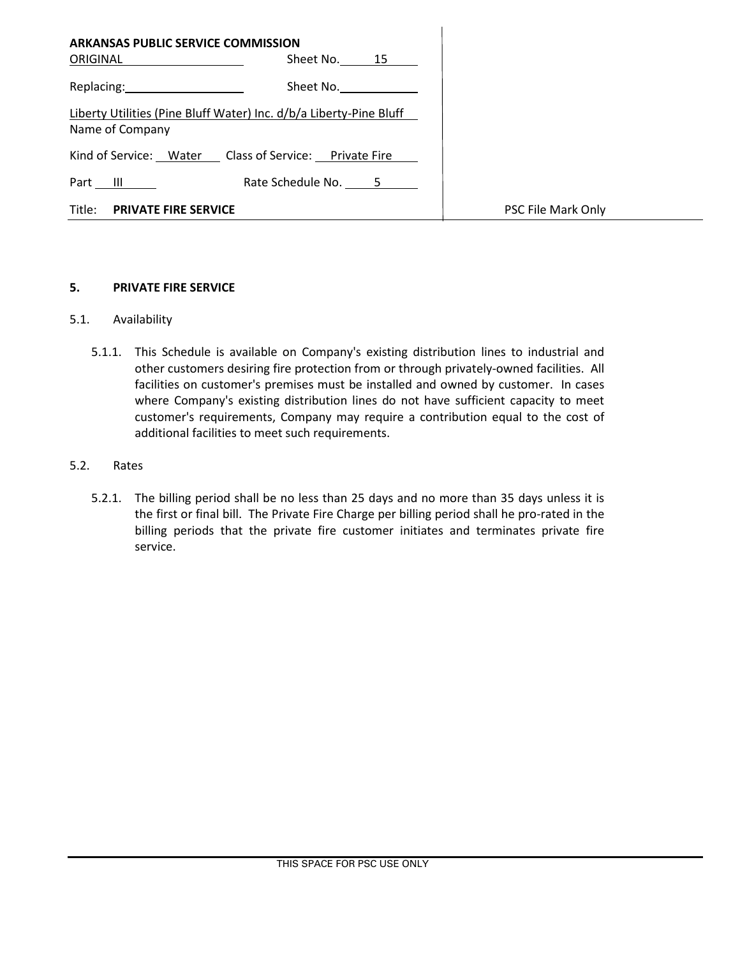| <b>ARKANSAS PUBLIC SERVICE COMMISSION</b><br>ORIGINAL                                 | Sheet No. 15        |                    |
|---------------------------------------------------------------------------------------|---------------------|--------------------|
| Replacing: 2008                                                                       | Sheet No.           |                    |
| Liberty Utilities (Pine Bluff Water) Inc. d/b/a Liberty-Pine Bluff<br>Name of Company |                     |                    |
| Kind of Service: Water Class of Service: Private Fire                                 |                     |                    |
| Part III                                                                              | Rate Schedule No. 5 |                    |
| Title:<br><b>PRIVATE FIRE SERVICE</b>                                                 |                     | PSC File Mark Only |

### **5. PRIVATE FIRE SERVICE**

## 5.1. Availability

5.1.1. This Schedule is available on Company's existing distribution lines to industrial and other customers desiring fire protection from or through privately-owned facilities. All facilities on customer's premises must be installed and owned by customer. In cases where Company's existing distribution lines do not have sufficient capacity to meet customer's requirements, Company may require a contribution equal to the cost of additional facilities to meet such requirements.

### 5.2. Rates

5.2.1. The billing period shall be no less than 25 days and no more than 35 days unless it is the first or final bill. The Private Fire Charge per billing period shall he pro-rated in the billing periods that the private fire customer initiates and terminates private fire service.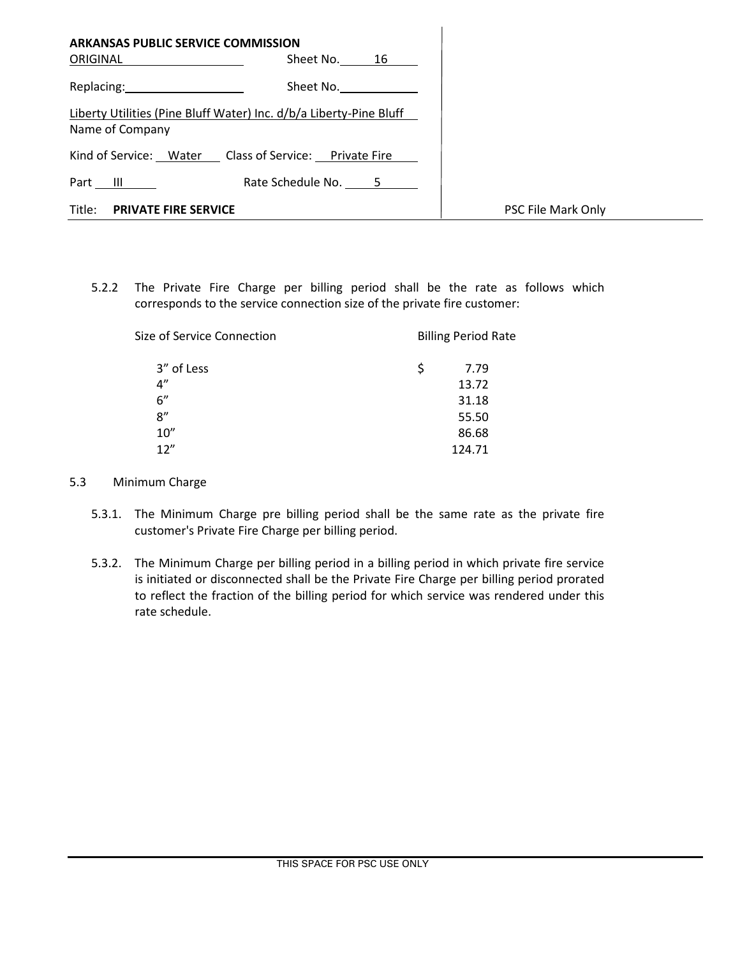| <b>ARKANSAS PUBLIC SERVICE COMMISSION</b><br>ORIGINAL | Sheet No. 16                                                       |                    |
|-------------------------------------------------------|--------------------------------------------------------------------|--------------------|
| Replacing: 2008                                       | Sheet No.                                                          |                    |
| Name of Company                                       | Liberty Utilities (Pine Bluff Water) Inc. d/b/a Liberty-Pine Bluff |                    |
|                                                       | Kind of Service: Water Class of Service: Private Fire              |                    |
| Part III                                              | Rate Schedule No. 5                                                |                    |
| Title:<br><b>PRIVATE FIRE SERVICE</b>                 |                                                                    | PSC File Mark Only |

5.2.2 The Private Fire Charge per billing period shall be the rate as follows which corresponds to the service connection size of the private fire customer:

| Size of Service Connection | <b>Billing Period Rate</b> |  |
|----------------------------|----------------------------|--|
| 3" of Less                 | Ś.<br>7.79                 |  |
| 4"                         | 13.72                      |  |
| 6''                        | 31.18                      |  |
| 8''                        | 55.50                      |  |
| 10''                       | 86.68                      |  |
| 12"                        | 124.71                     |  |

### 5.3 Minimum Charge

- 5.3.1. The Minimum Charge pre billing period shall be the same rate as the private fire customer's Private Fire Charge per billing period.
- 5.3.2. The Minimum Charge per billing period in a billing period in which private fire service is initiated or disconnected shall be the Private Fire Charge per billing period prorated to reflect the fraction of the billing period for which service was rendered under this rate schedule.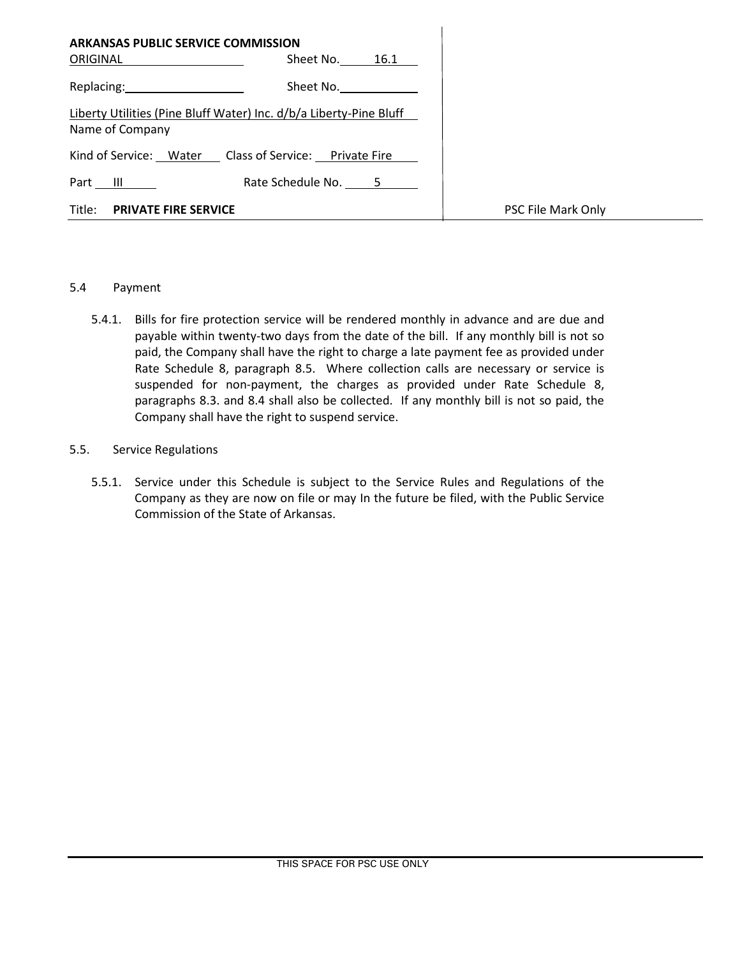| <b>ARKANSAS PUBLIC SERVICE COMMISSION</b>                                                                      |                                                                    |                    |
|----------------------------------------------------------------------------------------------------------------|--------------------------------------------------------------------|--------------------|
| ORIGINAL                                                                                                       | Sheet No. 16.1                                                     |                    |
| Replacing: The contract of the contract of the contract of the contract of the contract of the contract of the | Sheet No.                                                          |                    |
| Name of Company                                                                                                | Liberty Utilities (Pine Bluff Water) Inc. d/b/a Liberty-Pine Bluff |                    |
| Kind of Service: Water Class of Service: Private Fire                                                          |                                                                    |                    |
| Part III                                                                                                       | Rate Schedule No. 5                                                |                    |
| Title:<br><b>PRIVATE FIRE SERVICE</b>                                                                          |                                                                    | PSC File Mark Only |

### 5.4 Payment

5.4.1. Bills for fire protection service will be rendered monthly in advance and are due and payable within twenty-two days from the date of the bill. If any monthly bill is not so paid, the Company shall have the right to charge a late payment fee as provided under Rate Schedule 8, paragraph 8.5. Where collection calls are necessary or service is suspended for non-payment, the charges as provided under Rate Schedule 8, paragraphs 8.3. and 8.4 shall also be collected. If any monthly bill is not so paid, the Company shall have the right to suspend service.

### 5.5. Service Regulations

5.5.1. Service under this Schedule is subject to the Service Rules and Regulations of the Company as they are now on file or may In the future be filed, with the Public Service Commission of the State of Arkansas.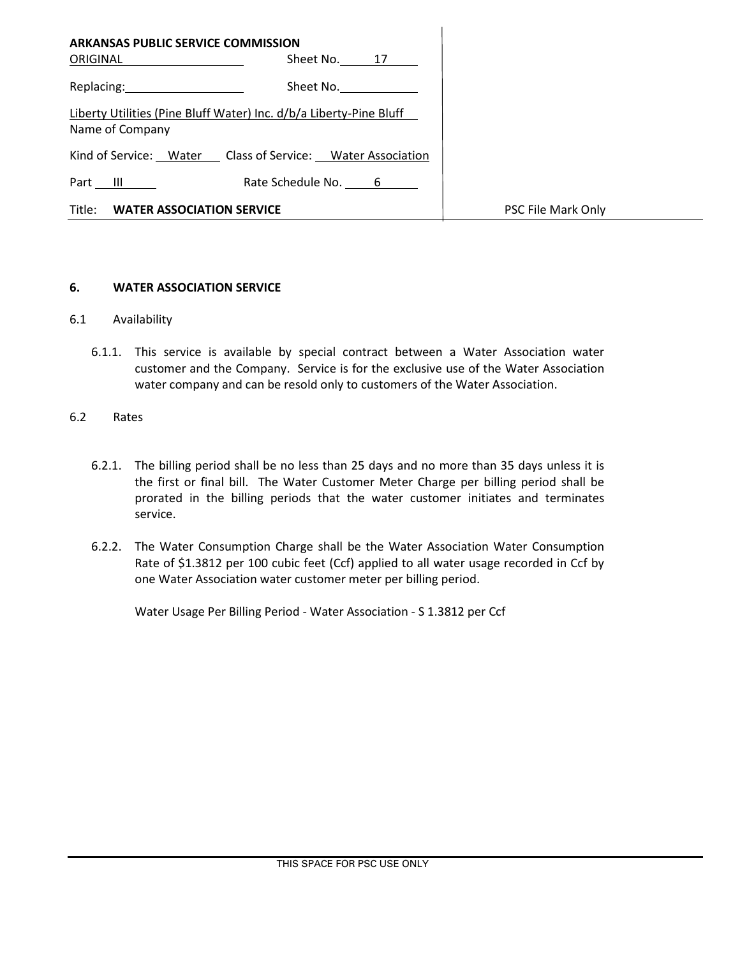| <b>ARKANSAS PUBLIC SERVICE COMMISSION</b>                                                                                                                                                                                      |                     |                    |
|--------------------------------------------------------------------------------------------------------------------------------------------------------------------------------------------------------------------------------|---------------------|--------------------|
| <b>ORIGINAL Example 20</b>                                                                                                                                                                                                     | Sheet No. 17        |                    |
| Replacing: New York Press, New York Press, New York Press, New York Press, New York Press, New York Press, New York Press, New York Press, New York Press, New York Press, New York Press, New York Press, New York Press, New | Sheet No.           |                    |
| Liberty Utilities (Pine Bluff Water) Inc. d/b/a Liberty-Pine Bluff<br>Name of Company                                                                                                                                          |                     |                    |
| Kind of Service: Water Class of Service: Water Association                                                                                                                                                                     |                     |                    |
| Part III                                                                                                                                                                                                                       | Rate Schedule No. 6 |                    |
| Title: WATER ASSOCIATION SERVICE                                                                                                                                                                                               |                     | PSC File Mark Only |

### **6. WATER ASSOCIATION SERVICE**

- 6.1 Availability
	- 6.1.1. This service is available by special contract between a Water Association water customer and the Company. Service is for the exclusive use of the Water Association water company and can be resold only to customers of the Water Association.
- 6.2 Rates
	- 6.2.1. The billing period shall be no less than 25 days and no more than 35 days unless it is the first or final bill. The Water Customer Meter Charge per billing period shall be prorated in the billing periods that the water customer initiates and terminates service.
	- 6.2.2. The Water Consumption Charge shall be the Water Association Water Consumption Rate of \$1.3812 per 100 cubic feet (Ccf) applied to all water usage recorded in Ccf by one Water Association water customer meter per billing period.

Water Usage Per Billing Period - Water Association - S 1.3812 per Ccf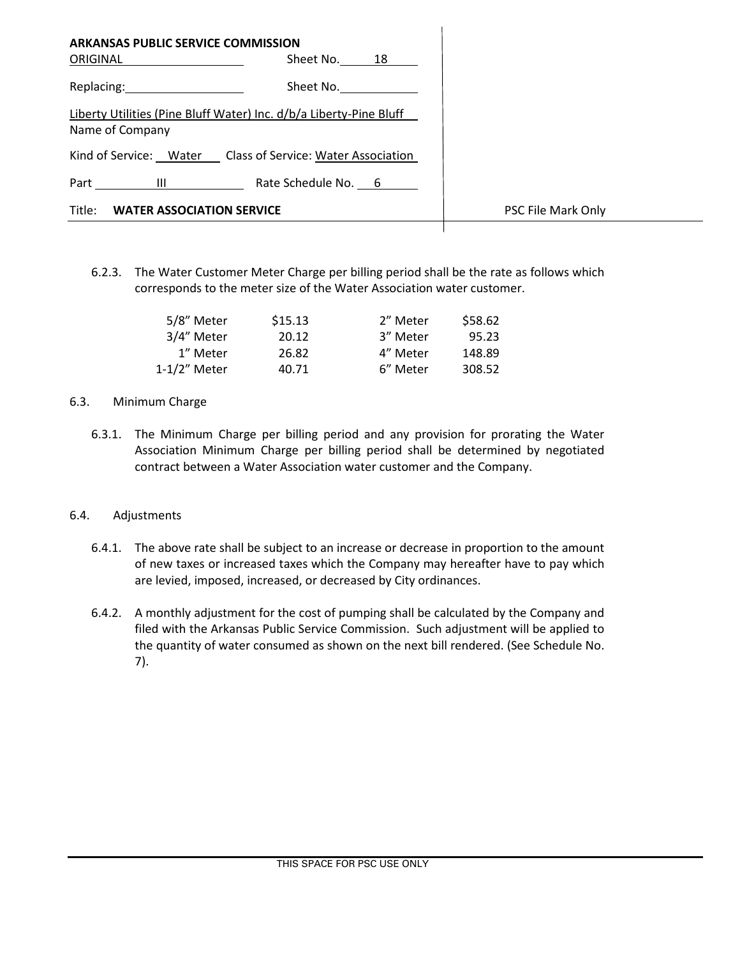| <b>ARKANSAS PUBLIC SERVICE COMMISSION</b><br>ORIGINAL                                 | Sheet No. 18        |                    |
|---------------------------------------------------------------------------------------|---------------------|--------------------|
| Replacing: New York Products and Separate Section 2012                                | Sheet No.           |                    |
| Liberty Utilities (Pine Bluff Water) Inc. d/b/a Liberty-Pine Bluff<br>Name of Company |                     |                    |
| Kind of Service: Water Class of Service: Water Association                            |                     |                    |
| Part<br><b>The Community of the Community</b>                                         | Rate Schedule No. 6 |                    |
| Title:<br><b>WATER ASSOCIATION SERVICE</b>                                            |                     | PSC File Mark Only |
|                                                                                       |                     |                    |

6.2.3. The Water Customer Meter Charge per billing period shall be the rate as follows which corresponds to the meter size of the Water Association water customer.

| 5/8" Meter   | \$15.13 | 2" Meter | \$58.62 |
|--------------|---------|----------|---------|
| 3/4" Meter   | 20.12   | 3" Meter | 95.23   |
| 1" Meter     | 26.82   | 4" Meter | 148.89  |
| 1-1/2" Meter | 40.71   | 6" Meter | 308.52  |

### 6.3. Minimum Charge

6.3.1. The Minimum Charge per billing period and any provision for prorating the Water Association Minimum Charge per billing period shall be determined by negotiated contract between a Water Association water customer and the Company.

# 6.4. Adjustments

- 6.4.1. The above rate shall be subject to an increase or decrease in proportion to the amount of new taxes or increased taxes which the Company may hereafter have to pay which are levied, imposed, increased, or decreased by City ordinances.
- 6.4.2. A monthly adjustment for the cost of pumping shall be calculated by the Company and filed with the Arkansas Public Service Commission. Such adjustment will be applied to the quantity of water consumed as shown on the next bill rendered. (See Schedule No. 7).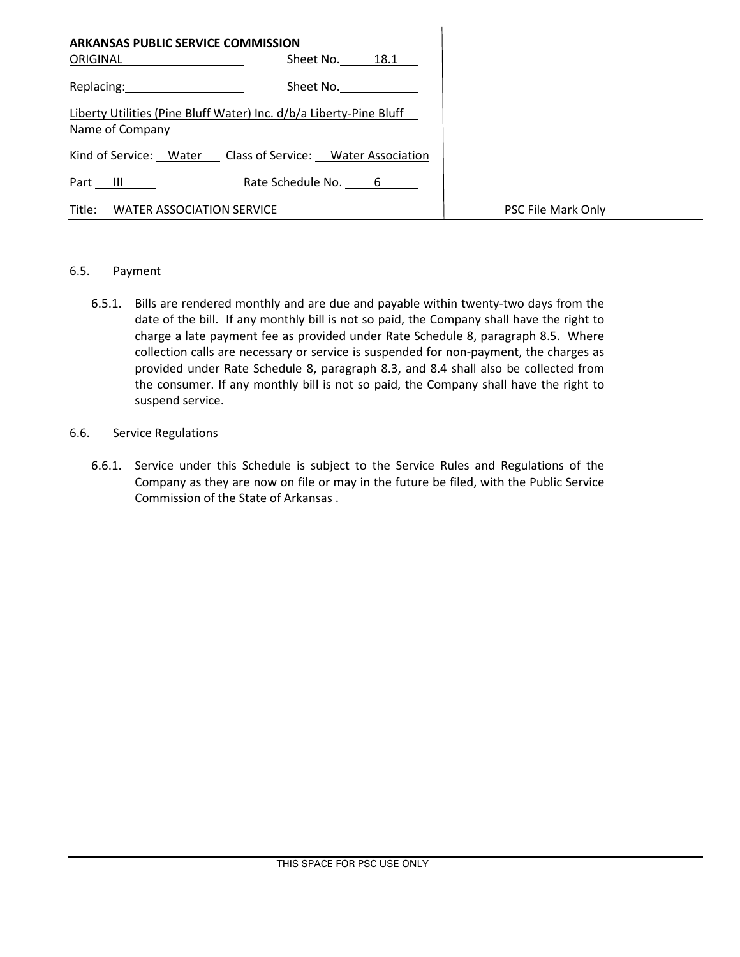| <b>ARKANSAS PUBLIC SERVICE COMMISSION</b><br><b>ORIGINAL Example 2019</b> | Sheet No. 18.1                                                     |                    |
|---------------------------------------------------------------------------|--------------------------------------------------------------------|--------------------|
| Replacing: 2008                                                           | Sheet No. <u>__________</u>                                        |                    |
| Name of Company                                                           | Liberty Utilities (Pine Bluff Water) Inc. d/b/a Liberty-Pine Bluff |                    |
|                                                                           | Kind of Service: Water Class of Service: Water Association         |                    |
| Part III                                                                  | Rate Schedule No. 6                                                |                    |
| Title:<br>WATER ASSOCIATION SERVICE                                       |                                                                    | PSC File Mark Only |

### 6.5. Payment

6.5.1. Bills are rendered monthly and are due and payable within twenty-two days from the date of the bill. If any monthly bill is not so paid, the Company shall have the right to charge a late payment fee as provided under Rate Schedule 8, paragraph 8.5. Where collection calls are necessary or service is suspended for non-payment, the charges as provided under Rate Schedule 8, paragraph 8.3, and 8.4 shall also be collected from the consumer. If any monthly bill is not so paid, the Company shall have the right to suspend service.

## 6.6. Service Regulations

6.6.1. Service under this Schedule is subject to the Service Rules and Regulations of the Company as they are now on file or may in the future be filed, with the Public Service Commission of the State of Arkansas .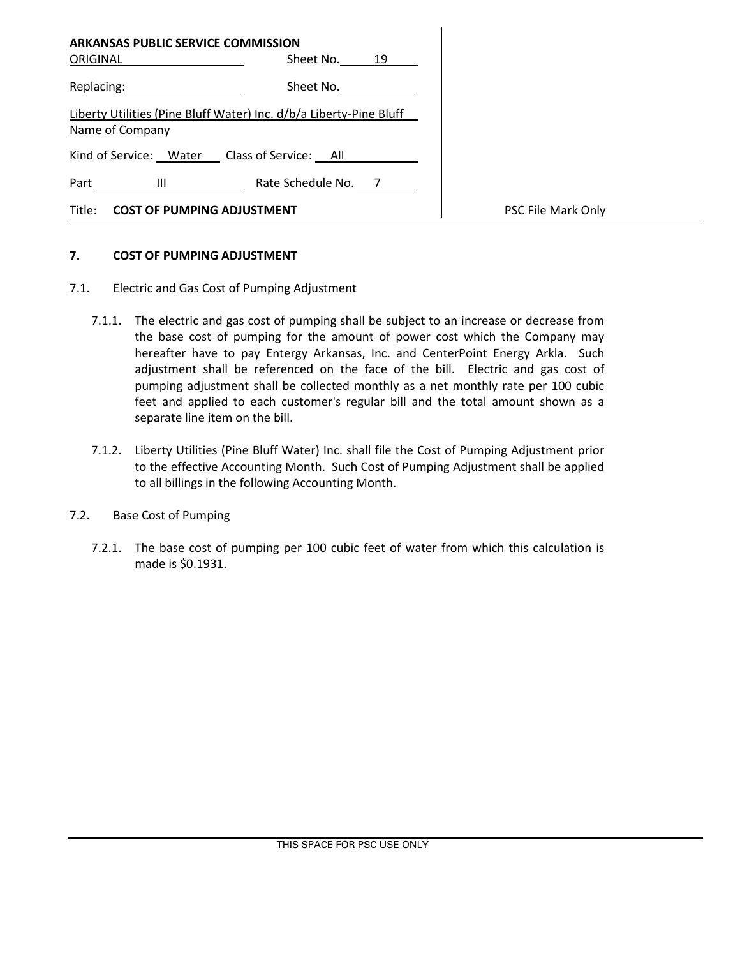| <b>ARKANSAS PUBLIC SERVICE COMMISSION</b>                                                                                                                                                                                      |                                                                    |                    |
|--------------------------------------------------------------------------------------------------------------------------------------------------------------------------------------------------------------------------------|--------------------------------------------------------------------|--------------------|
| ORIGINAL                                                                                                                                                                                                                       | Sheet No. 19                                                       |                    |
| Replacing: New York Products and Products and Products and Products and Products and Products and Products and Products and Products and Products and Products and Products and Products and Products and Products and Product | Sheet No. <b>Sheet</b> No.                                         |                    |
|                                                                                                                                                                                                                                | Liberty Utilities (Pine Bluff Water) Inc. d/b/a Liberty-Pine Bluff |                    |
| Name of Company                                                                                                                                                                                                                |                                                                    |                    |
|                                                                                                                                                                                                                                | Kind of Service: Water Class of Service: All                       |                    |
| Part<br><b>The Community of the Community</b>                                                                                                                                                                                  | Rate Schedule No. 7                                                |                    |
| Title:                                                                                                                                                                                                                         | <b>COST OF PUMPING ADJUSTMENT</b>                                  | PSC File Mark Only |

# **7. COST OF PUMPING ADJUSTMENT**

- 7.1. Electric and Gas Cost of Pumping Adjustment
	- 7.1.1. The electric and gas cost of pumping shall be subject to an increase or decrease from the base cost of pumping for the amount of power cost which the Company may hereafter have to pay Entergy Arkansas, Inc. and CenterPoint Energy Arkla. Such adjustment shall be referenced on the face of the bill. Electric and gas cost of pumping adjustment shall be collected monthly as a net monthly rate per 100 cubic feet and applied to each customer's regular bill and the total amount shown as a separate line item on the bill.
	- 7.1.2. Liberty Utilities (Pine Bluff Water) Inc. shall file the Cost of Pumping Adjustment prior to the effective Accounting Month. Such Cost of Pumping Adjustment shall be applied to all billings in the following Accounting Month.

### 7.2. Base Cost of Pumping

7.2.1. The base cost of pumping per 100 cubic feet of water from which this calculation is made is \$0.1931.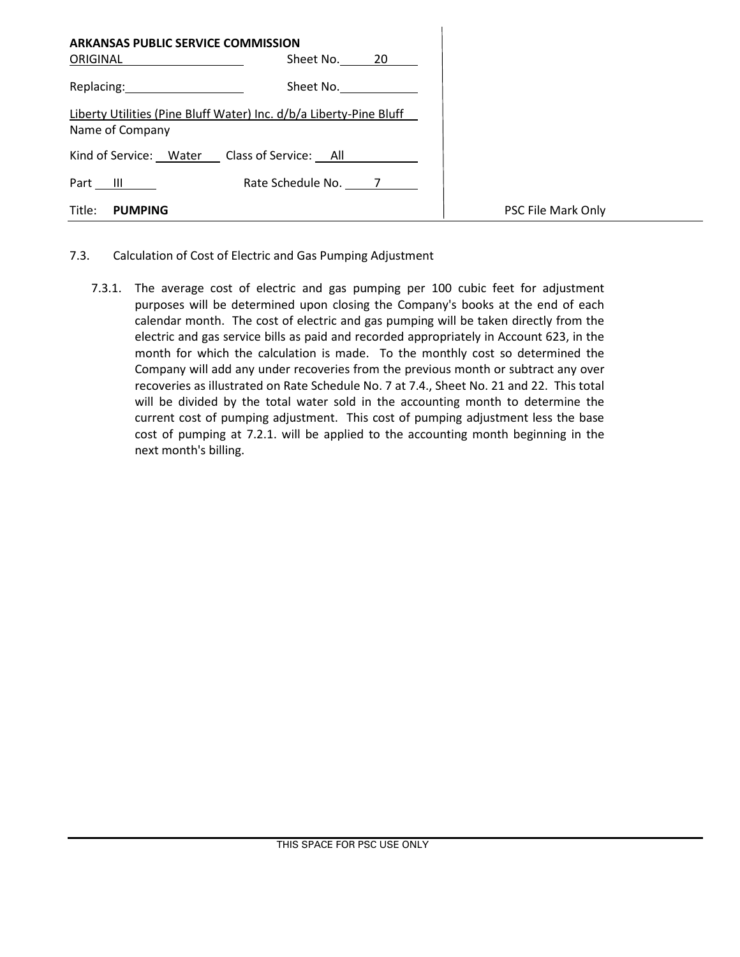|                 | <b>ARKANSAS PUBLIC SERVICE COMMISSION</b>                          |  |
|-----------------|--------------------------------------------------------------------|--|
| ORIGINAL        | Sheet No. 20                                                       |  |
|                 | Sheet No.<br>Replacing: 2000                                       |  |
| Name of Company | Liberty Utilities (Pine Bluff Water) Inc. d/b/a Liberty-Pine Bluff |  |
|                 | Kind of Service: Water Class of Service: All                       |  |
| Part            | Rate Schedule No. 7<br>$\mathbb{H}$ $\mathbb{L}$                   |  |
| Title:          | <b>PUMPING</b>                                                     |  |

- 7.3. Calculation of Cost of Electric and Gas Pumping Adjustment
	- 7.3.1. The average cost of electric and gas pumping per 100 cubic feet for adjustment purposes will be determined upon closing the Company's books at the end of each calendar month. The cost of electric and gas pumping will be taken directly from the electric and gas service bills as paid and recorded appropriately in Account 623, in the month for which the calculation is made. To the monthly cost so determined the Company will add any under recoveries from the previous month or subtract any over recoveries as illustrated on Rate Schedule No. 7 at 7.4., Sheet No. 21 and 22. This total will be divided by the total water sold in the accounting month to determine the current cost of pumping adjustment. This cost of pumping adjustment less the base cost of pumping at 7.2.1. will be applied to the accounting month beginning in the next month's billing.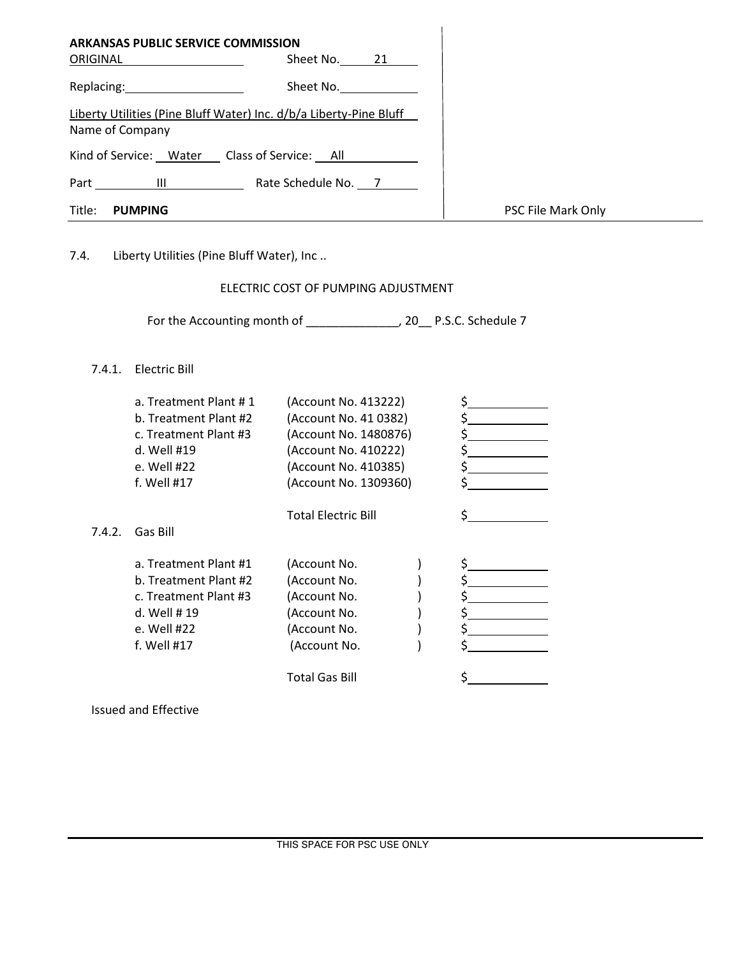| <b>ARKANSAS PUBLIC SERVICE COMMISSION</b> |                                                                    |                    |
|-------------------------------------------|--------------------------------------------------------------------|--------------------|
| ORIGINAL                                  | Sheet No. 21                                                       |                    |
|                                           | Sheet No.                                                          |                    |
|                                           | Liberty Utilities (Pine Bluff Water) Inc. d/b/a Liberty-Pine Bluff |                    |
| Name of Company                           |                                                                    |                    |
|                                           | Kind of Service: Water Class of Service: All                       |                    |
| Part III                                  | Rate Schedule No. 7                                                |                    |
| Title:<br>PUMPING                         |                                                                    | PSC File Mark Only |

7.4. Liberty Utilities (Pine Bluff Water), Inc ..

# ELECTRIC COST OF PUMPING ADJUSTMENT

For the Accounting month of \_\_\_\_\_\_\_\_\_\_\_\_\_\_\_, 20\_\_ P.S.C. Schedule 7

# 7.4.1. Electric Bill

|        | a. Treatment Plant #1<br>b. Treatment Plant #2<br>c. Treatment Plant #3<br>d. Well #19<br>e. Well #22<br>f. Well #17 | (Account No. 413222)<br>(Account No. 41 0382)<br>(Account No. 1480876)<br>(Account No. 410222)<br>(Account No. 410385)<br>(Account No. 1309360) | S.       |
|--------|----------------------------------------------------------------------------------------------------------------------|-------------------------------------------------------------------------------------------------------------------------------------------------|----------|
| 7.4.2. | Gas Bill                                                                                                             | <b>Total Electric Bill</b>                                                                                                                      |          |
|        | a. Treatment Plant #1<br>b. Treatment Plant #2<br>c. Treatment Plant #3<br>d. Well #19<br>e. Well #22<br>f. Well #17 | (Account No.<br>(Account No.<br>(Account No.<br>(Account No.<br>(Account No.<br>(Account No.<br><b>Total Gas Bill</b>                           | S.<br>Ś. |

Issued and Effective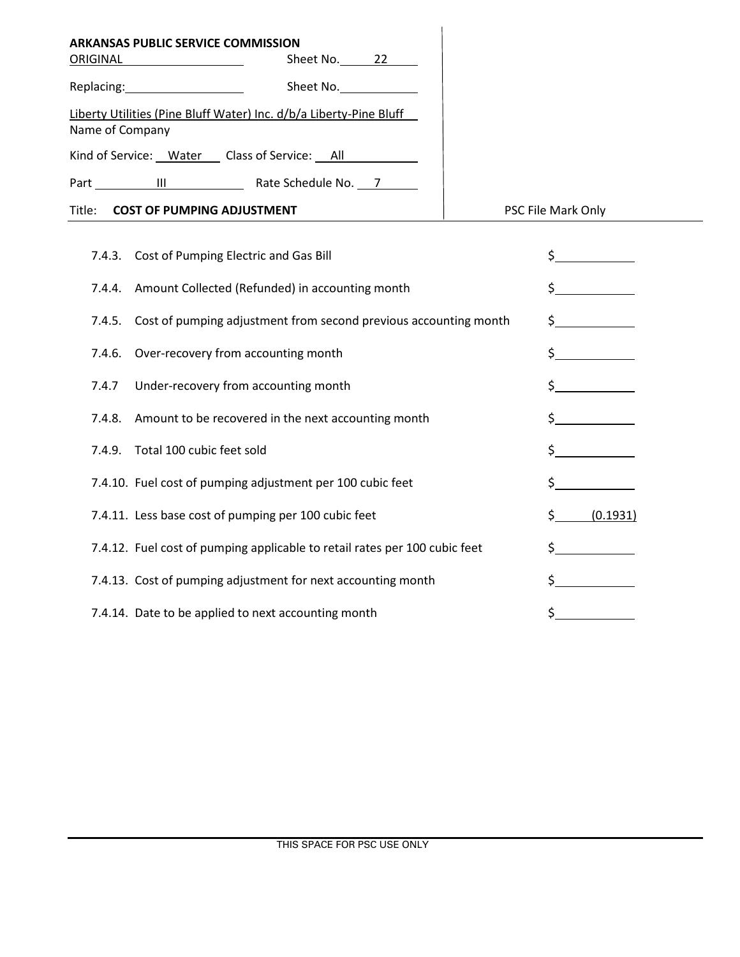| <b>ARKANSAS PUBLIC SERVICE COMMISSION</b>                                             |              |                    |
|---------------------------------------------------------------------------------------|--------------|--------------------|
| ORIGINAL                                                                              | Sheet No. 22 |                    |
| Replacing: National Property of the Replacing:                                        | Sheet No.    |                    |
| Liberty Utilities (Pine Bluff Water) Inc. d/b/a Liberty-Pine Bluff<br>Name of Company |              |                    |
| Kind of Service: Water Class of Service: All                                          |              |                    |
| Part III Rate Schedule No. 7                                                          |              |                    |
| Title: <b>COST OF PUMPING ADJUSTMENT</b>                                              |              | PSC File Mark Only |
| 7.4.3. Cost of Pumping Electric and Gas Bill                                          |              |                    |
| 7.4.4. Amount Collected (Refunded) in accounting month                                |              |                    |

|        | 7.4.5. Cost of pumping adjustment from second previous accounting month    |     |          |
|--------|----------------------------------------------------------------------------|-----|----------|
|        | 7.4.6. Over-recovery from accounting month                                 |     |          |
| 7.4.7  | Under-recovery from accounting month                                       |     |          |
|        | 7.4.8. Amount to be recovered in the next accounting month                 |     |          |
| 7.4.9. | Total 100 cubic feet sold                                                  |     |          |
|        | 7.4.10. Fuel cost of pumping adjustment per 100 cubic feet                 |     |          |
|        | 7.4.11. Less base cost of pumping per 100 cubic feet                       | \$. | (0.1931) |
|        | 7.4.12. Fuel cost of pumping applicable to retail rates per 100 cubic feet |     |          |
|        | 7.4.13. Cost of pumping adjustment for next accounting month               |     |          |
|        | 7.4.14. Date to be applied to next accounting month                        |     |          |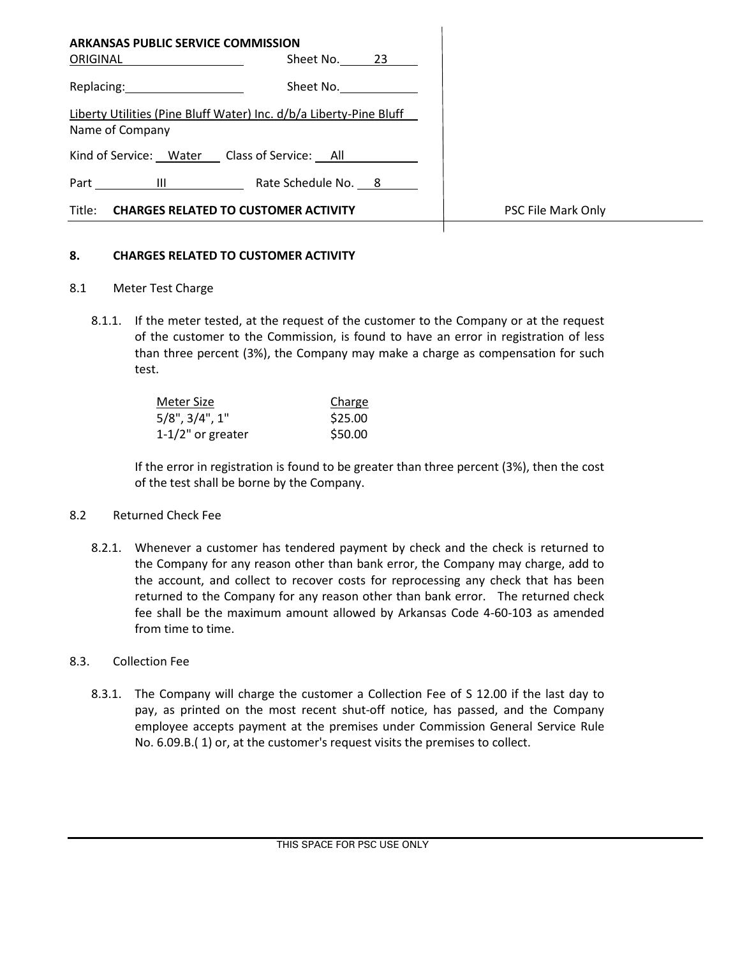| <b>ARKANSAS PUBLIC SERVICE COMMISSION</b><br>Sheet No. 23<br>ORIGINAL                 |                    |
|---------------------------------------------------------------------------------------|--------------------|
| Replacing: 2008<br>Sheet No.                                                          |                    |
| Liberty Utilities (Pine Bluff Water) Inc. d/b/a Liberty-Pine Bluff<br>Name of Company |                    |
| Kind of Service: Water Class of Service: All                                          |                    |
| Rate Schedule No. 8<br>the contract of the contract of the<br>Part                    |                    |
| Title: CHARGES RELATED TO CUSTOMER ACTIVITY                                           | PSC File Mark Only |
|                                                                                       |                    |

### **8. CHARGES RELATED TO CUSTOMER ACTIVITY**

- 8.1 Meter Test Charge
	- 8.1.1. If the meter tested, at the request of the customer to the Company or at the request of the customer to the Commission, is found to have an error in registration of less than three percent (3%), the Company may make a charge as compensation for such test.

| Meter Size              | Charge  |
|-------------------------|---------|
| $5/8$ ", $3/4$ ", $1$ " | \$25.00 |
| $1-1/2"$ or greater     | \$50.00 |

If the error in registration is found to be greater than three percent (3%), then the cost of the test shall be borne by the Company.

### 8.2 Returned Check Fee

8.2.1. Whenever a customer has tendered payment by check and the check is returned to the Company for any reason other than bank error, the Company may charge, add to the account, and collect to recover costs for reprocessing any check that has been returned to the Company for any reason other than bank error. The returned check fee shall be the maximum amount allowed by Arkansas Code 4-60-103 as amended from time to time.

### 8.3. Collection Fee

8.3.1. The Company will charge the customer a Collection Fee of S 12.00 if the last day to pay, as printed on the most recent shut-off notice, has passed, and the Company employee accepts payment at the premises under Commission General Service Rule No. 6.09.B.( 1) or, at the customer's request visits the premises to collect.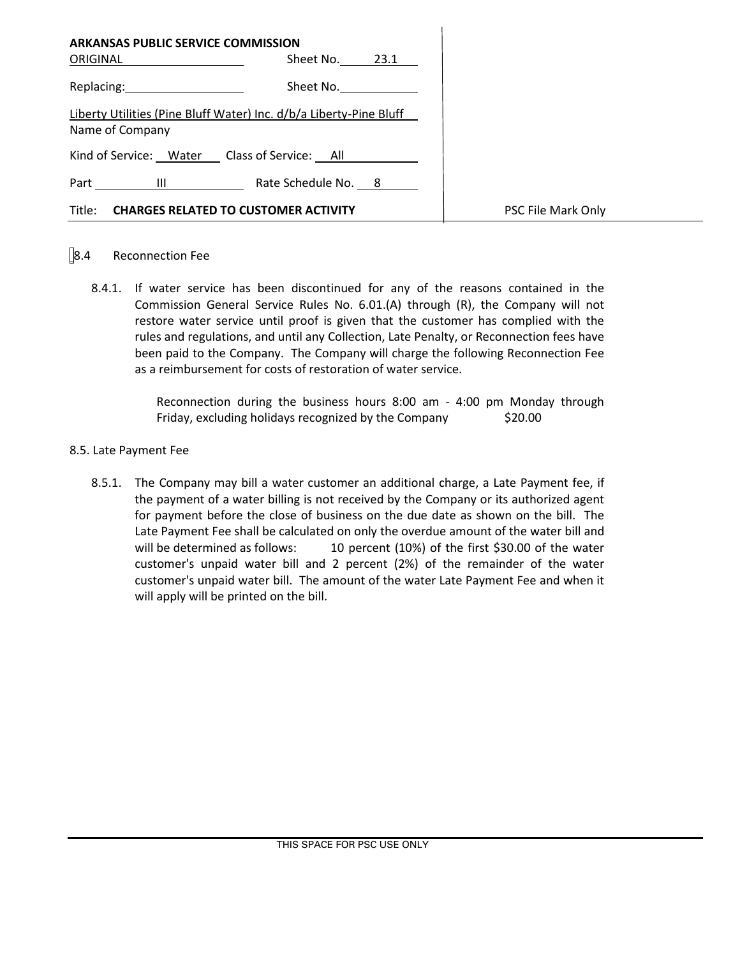| <b>ARKANSAS PUBLIC SERVICE COMMISSION</b><br>ORIGINAL                                                          | Sheet No. 23.1      |                    |
|----------------------------------------------------------------------------------------------------------------|---------------------|--------------------|
| Replacing: the contract of the contract of the contract of the contract of the contract of the contract of the | Sheet No.           |                    |
| Liberty Utilities (Pine Bluff Water) Inc. d/b/a Liberty-Pine Bluff<br>Name of Company                          |                     |                    |
| Kind of Service: Water Class of Service: All                                                                   |                     |                    |
| Part III <u>________</u>                                                                                       | Rate Schedule No. 8 |                    |
| Title:<br><b>CHARGES RELATED TO CUSTOMER ACTIVITY</b>                                                          |                     | PSC File Mark Only |

# 8.4 Reconnection Fee

8.4.1. If water service has been discontinued for any of the reasons contained in the Commission General Service Rules No. 6.01.(A) through (R), the Company will not restore water service until proof is given that the customer has complied with the rules and regulations, and until any Collection, Late Penalty, or Reconnection fees have been paid to the Company. The Company will charge the following Reconnection Fee as a reimbursement for costs of restoration of water service.

> Reconnection during the business hours 8:00 am - 4:00 pm Monday through Friday, excluding holidays recognized by the Company \$20.00

### 8.5. Late Payment Fee

8.5.1. The Company may bill a water customer an additional charge, a Late Payment fee, if the payment of a water billing is not received by the Company or its authorized agent for payment before the close of business on the due date as shown on the bill. The Late Payment Fee shall be calculated on only the overdue amount of the water bill and will be determined as follows: 10 percent (10%) of the first \$30.00 of the water customer's unpaid water bill and 2 percent (2%) of the remainder of the water customer's unpaid water bill. The amount of the water Late Payment Fee and when it will apply will be printed on the bill.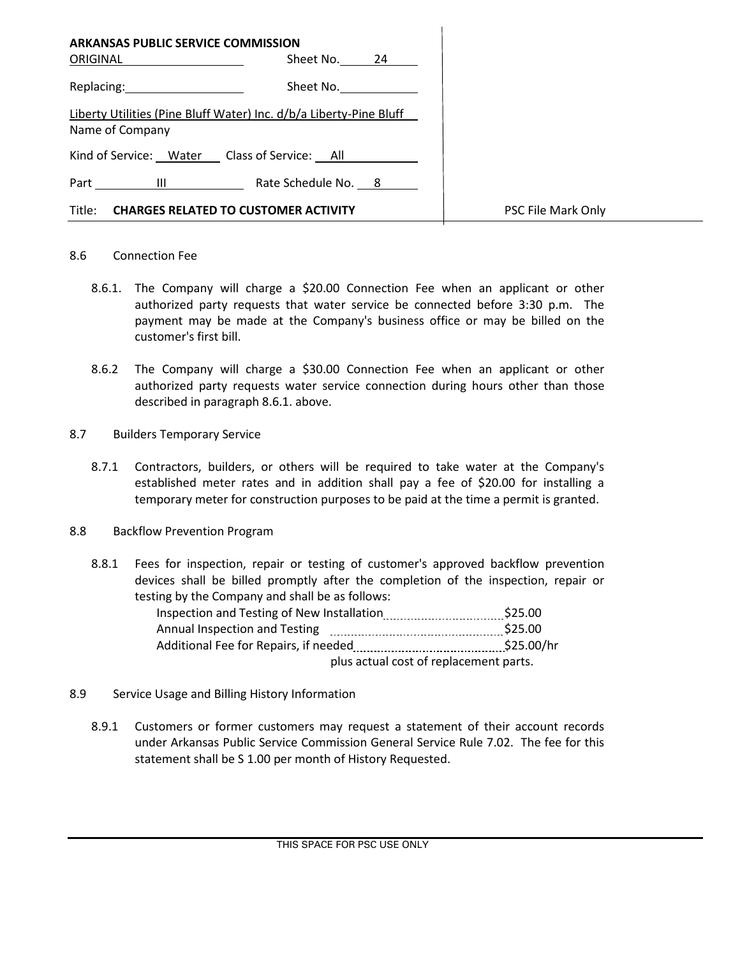| <b>ARKANSAS PUBLIC SERVICE COMMISSION</b><br>ORIGINAL                                 | Sheet No. 24                 |                    |
|---------------------------------------------------------------------------------------|------------------------------|--------------------|
| Replacing: 2008                                                                       | Sheet No.                    |                    |
| Liberty Utilities (Pine Bluff Water) Inc. d/b/a Liberty-Pine Bluff<br>Name of Company |                              |                    |
| Kind of Service: Water Class of Service: All                                          |                              |                    |
|                                                                                       | Part III Rate Schedule No. 8 |                    |
| Title: CHARGES RELATED TO CUSTOMER ACTIVITY                                           |                              | PSC File Mark Only |

### 8.6 Connection Fee

- 8.6.1. The Company will charge a \$20.00 Connection Fee when an applicant or other authorized party requests that water service be connected before 3:30 p.m. The payment may be made at the Company's business office or may be billed on the customer's first bill.
- 8.6.2 The Company will charge a \$30.00 Connection Fee when an applicant or other authorized party requests water service connection during hours other than those described in paragraph 8.6.1. above.
- 8.7 Builders Temporary Service
	- 8.7.1 Contractors, builders, or others will be required to take water at the Company's established meter rates and in addition shall pay a fee of \$20.00 for installing a temporary meter for construction purposes to be paid at the time a permit is granted.
- 8.8 Backflow Prevention Program
	- 8.8.1 Fees for inspection, repair or testing of customer's approved backflow prevention devices shall be billed promptly after the completion of the inspection, repair or testing by the Company and shall be as follows:

| Inspection and Testing of New Installation |                                        | \$25.00    |
|--------------------------------------------|----------------------------------------|------------|
| Annual Inspection and Testing              |                                        | \$25.00    |
| Additional Fee for Repairs, if needed      |                                        | \$25.00/hr |
|                                            | plus actual cost of replacement parts. |            |

- 8.9 Service Usage and Billing History Information
	- 8.9.1 Customers or former customers may request a statement of their account records under Arkansas Public Service Commission General Service Rule 7.02. The fee for this statement shall be S 1.00 per month of History Requested.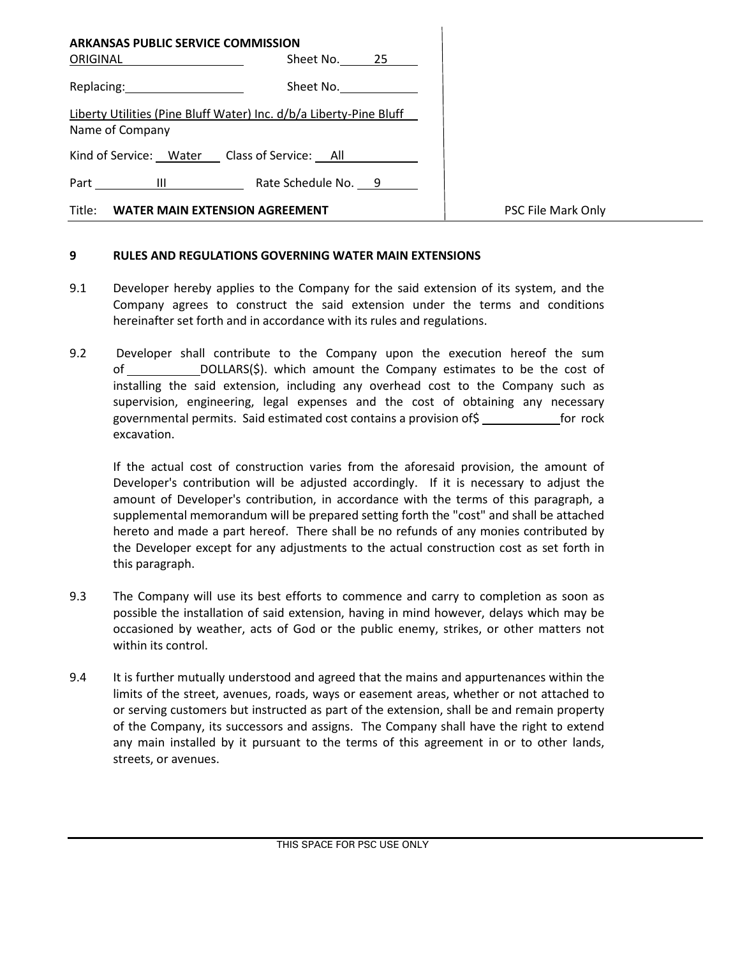| <b>ARKANSAS PUBLIC SERVICE COMMISSION</b><br>ORIGINAL                                 | Sheet No. 25 |                    |
|---------------------------------------------------------------------------------------|--------------|--------------------|
| Replacing: 2000                                                                       | Sheet No.    |                    |
| Liberty Utilities (Pine Bluff Water) Inc. d/b/a Liberty-Pine Bluff<br>Name of Company |              |                    |
| Kind of Service: Water Class of Service: All                                          |              |                    |
| Part III Rate Schedule No. 9                                                          |              |                    |
| Title:<br><b>WATER MAIN EXTENSION AGREEMENT</b>                                       |              | PSC File Mark Only |

### **9 RULES AND REGULATIONS GOVERNING WATER MAIN EXTENSIONS**

- 9.1 Developer hereby applies to the Company for the said extension of its system, and the Company agrees to construct the said extension under the terms and conditions hereinafter set forth and in accordance with its rules and regulations.
- 9.2 Developer shall contribute to the Company upon the execution hereof the sum of DOLLARS(\$). which amount the Company estimates to be the cost of installing the said extension, including any overhead cost to the Company such as supervision, engineering, legal expenses and the cost of obtaining any necessary governmental permits. Said estimated cost contains a provision of \$ for rock excavation.

If the actual cost of construction varies from the aforesaid provision, the amount of Developer's contribution will be adjusted accordingly. If it is necessary to adjust the amount of Developer's contribution, in accordance with the terms of this paragraph, a supplemental memorandum will be prepared setting forth the "cost" and shall be attached hereto and made a part hereof. There shall be no refunds of any monies contributed by the Developer except for any adjustments to the actual construction cost as set forth in this paragraph.

- 9.3 The Company will use its best efforts to commence and carry to completion as soon as possible the installation of said extension, having in mind however, delays which may be occasioned by weather, acts of God or the public enemy, strikes, or other matters not within its control.
- 9.4 It is further mutually understood and agreed that the mains and appurtenances within the limits of the street, avenues, roads, ways or easement areas, whether or not attached to or serving customers but instructed as part of the extension, shall be and remain property of the Company, its successors and assigns. The Company shall have the right to extend any main installed by it pursuant to the terms of this agreement in or to other lands, streets, or avenues.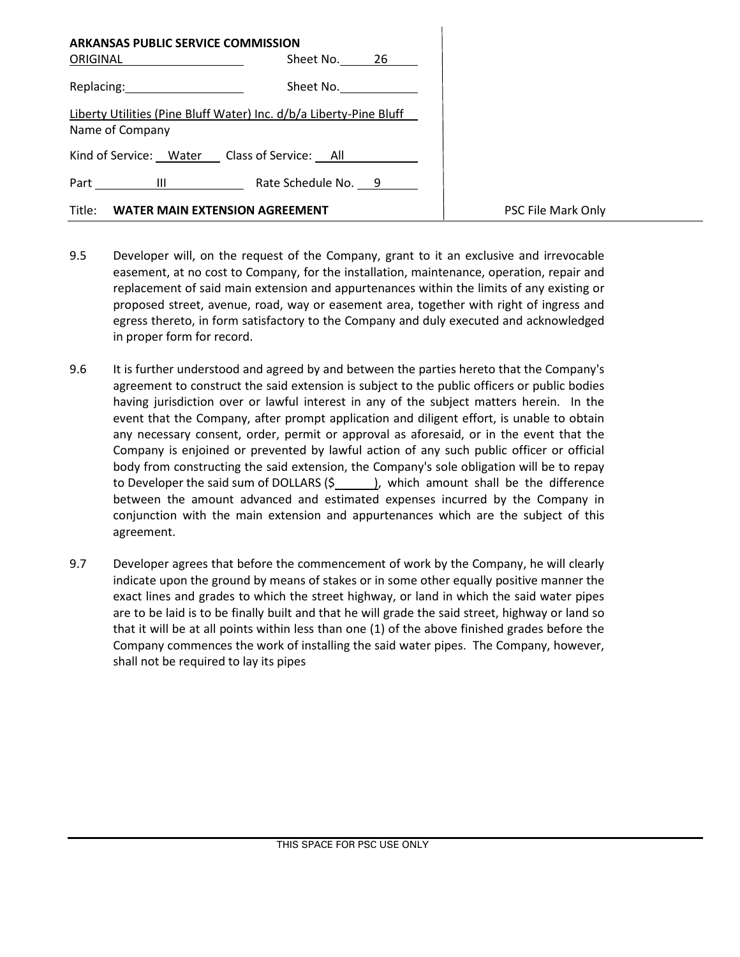| ARKANSAS PUBLIC SERVICE COMMISSION<br>ORIGINAL  | Sheet No. 26                                                       |                    |
|-------------------------------------------------|--------------------------------------------------------------------|--------------------|
| Replacing: 2008                                 | Sheet No.                                                          |                    |
| Name of Company                                 | Liberty Utilities (Pine Bluff Water) Inc. d/b/a Liberty-Pine Bluff |                    |
| Kind of Service: Water Class of Service: All    |                                                                    |                    |
| Part III                                        | Rate Schedule No. 9                                                |                    |
| Title:<br><b>WATER MAIN EXTENSION AGREEMENT</b> |                                                                    | PSC File Mark Only |

- 9.5 Developer will, on the request of the Company, grant to it an exclusive and irrevocable easement, at no cost to Company, for the installation, maintenance, operation, repair and replacement of said main extension and appurtenances within the limits of any existing or proposed street, avenue, road, way or easement area, together with right of ingress and egress thereto, in form satisfactory to the Company and duly executed and acknowledged in proper form for record.
- 9.6 It is further understood and agreed by and between the parties hereto that the Company's agreement to construct the said extension is subject to the public officers or public bodies having jurisdiction over or lawful interest in any of the subject matters herein. In the event that the Company, after prompt application and diligent effort, is unable to obtain any necessary consent, order, permit or approval as aforesaid, or in the event that the Company is enjoined or prevented by lawful action of any such public officer or official body from constructing the said extension, the Company's sole obligation will be to repay to Developer the said sum of DOLLARS  $(\frac{2}{3})$ , which amount shall be the difference between the amount advanced and estimated expenses incurred by the Company in conjunction with the main extension and appurtenances which are the subject of this agreement.
- 9.7 Developer agrees that before the commencement of work by the Company, he will clearly indicate upon the ground by means of stakes or in some other equally positive manner the exact lines and grades to which the street highway, or land in which the said water pipes are to be laid is to be finally built and that he will grade the said street, highway or land so that it will be at all points within less than one (1) of the above finished grades before the Company commences the work of installing the said water pipes. The Company, however, shall not be required to lay its pipes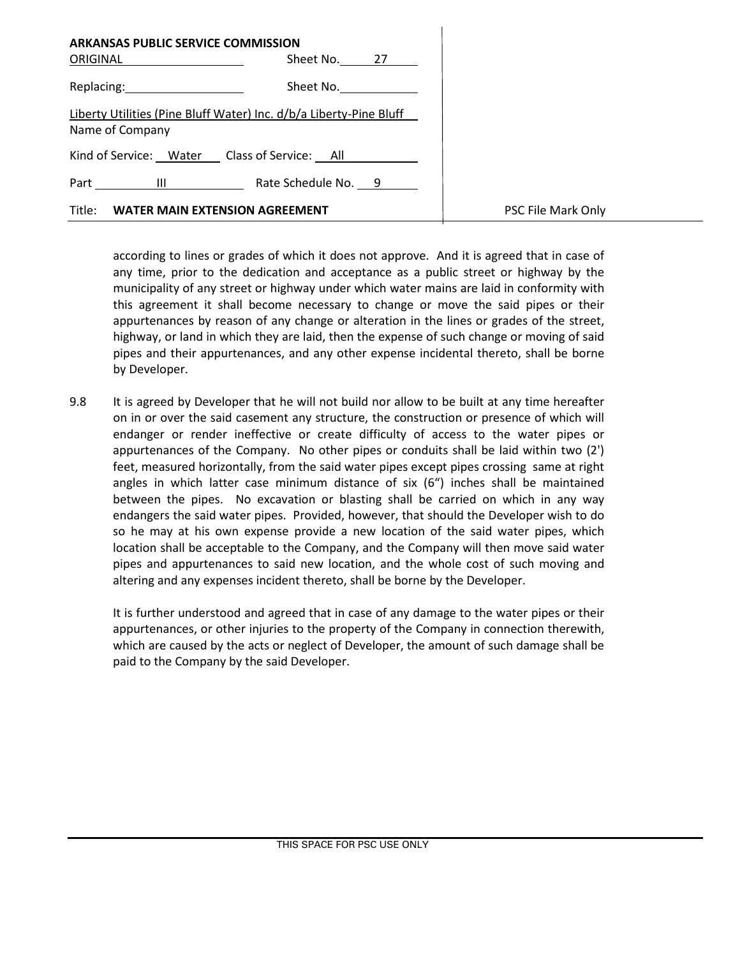| <b>ARKANSAS PUBLIC SERVICE COMMISSION</b><br>ORIGINAL                                                          | Sheet No. 27        |                    |
|----------------------------------------------------------------------------------------------------------------|---------------------|--------------------|
| Replacing: the contract of the contract of the contract of the contract of the contract of the contract of the | Sheet No.           |                    |
| Liberty Utilities (Pine Bluff Water) Inc. d/b/a Liberty-Pine Bluff<br>Name of Company                          |                     |                    |
| Kind of Service: Water Class of Service: All                                                                   |                     |                    |
| $\blacksquare$<br>Part                                                                                         | Rate Schedule No. 9 |                    |
| Title: WATER MAIN EXTENSION AGREEMENT                                                                          |                     | PSC File Mark Only |

according to lines or grades of which it does not approve. And it is agreed that in case of any time, prior to the dedication and acceptance as a public street or highway by the municipality of any street or highway under which water mains are laid in conformity with this agreement it shall become necessary to change or move the said pipes or their appurtenances by reason of any change or alteration in the lines or grades of the street, highway, or land in which they are laid, then the expense of such change or moving of said pipes and their appurtenances, and any other expense incidental thereto, shall be borne by Developer.

9.8 It is agreed by Developer that he will not build nor allow to be built at any time hereafter on in or over the said casement any structure, the construction or presence of which will endanger or render ineffective or create difficulty of access to the water pipes or appurtenances of the Company. No other pipes or conduits shall be laid within two (2') feet, measured horizontally, from the said water pipes except pipes crossing same at right angles in which latter case minimum distance of six (6") inches shall be maintained between the pipes. No excavation or blasting shall be carried on which in any way endangers the said water pipes. Provided, however, that should the Developer wish to do so he may at his own expense provide a new location of the said water pipes, which location shall be acceptable to the Company, and the Company will then move said water pipes and appurtenances to said new location, and the whole cost of such moving and altering and any expenses incident thereto, shall be borne by the Developer.

It is further understood and agreed that in case of any damage to the water pipes or their appurtenances, or other injuries to the property of the Company in connection therewith, which are caused by the acts or neglect of Developer, the amount of such damage shall be paid to the Company by the said Developer.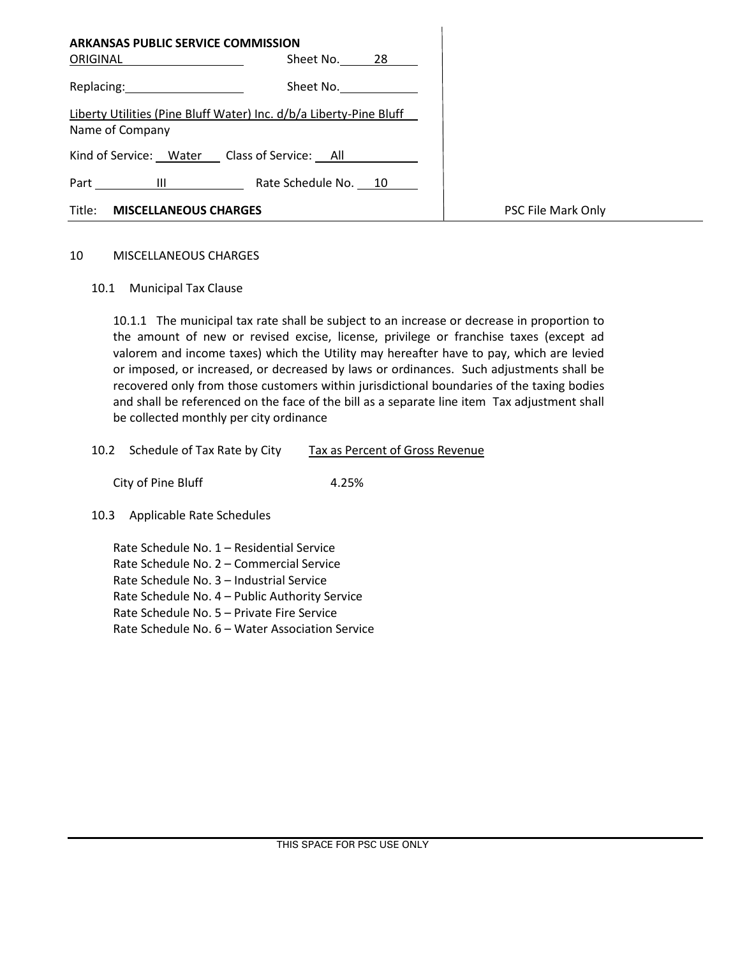| <b>ARKANSAS PUBLIC SERVICE COMMISSION</b>    |                                                                    |                    |
|----------------------------------------------|--------------------------------------------------------------------|--------------------|
| ORIGINAL                                     | Sheet No. 28                                                       |                    |
| Replacing: 2008                              | Sheet No.                                                          |                    |
|                                              | Liberty Utilities (Pine Bluff Water) Inc. d/b/a Liberty-Pine Bluff |                    |
| Name of Company                              |                                                                    |                    |
| Kind of Service: Water Class of Service: All |                                                                    |                    |
| Part<br>$\mathbf{H}$                         | Rate Schedule No. 10                                               |                    |
| Title:<br><b>MISCELLANEOUS CHARGES</b>       |                                                                    | PSC File Mark Only |

### 10 MISCELLANEOUS CHARGES

10.1 Municipal Tax Clause

10.1.1 The municipal tax rate shall be subject to an increase or decrease in proportion to the amount of new or revised excise, license, privilege or franchise taxes (except ad valorem and income taxes) which the Utility may hereafter have to pay, which are levied or imposed, or increased, or decreased by laws or ordinances. Such adjustments shall be recovered only from those customers within jurisdictional boundaries of the taxing bodies and shall be referenced on the face of the bill as a separate line item Tax adjustment shall be collected monthly per city ordinance

### 10.2 Schedule of Tax Rate by City Tax as Percent of Gross Revenue

City of Pine Bluff 4.25%

### 10.3 Applicable Rate Schedules

Rate Schedule No. 1 – Residential Service Rate Schedule No. 2 – Commercial Service Rate Schedule No. 3 – Industrial Service Rate Schedule No. 4 – Public Authority Service Rate Schedule No. 5 – Private Fire Service Rate Schedule No. 6 – Water Association Service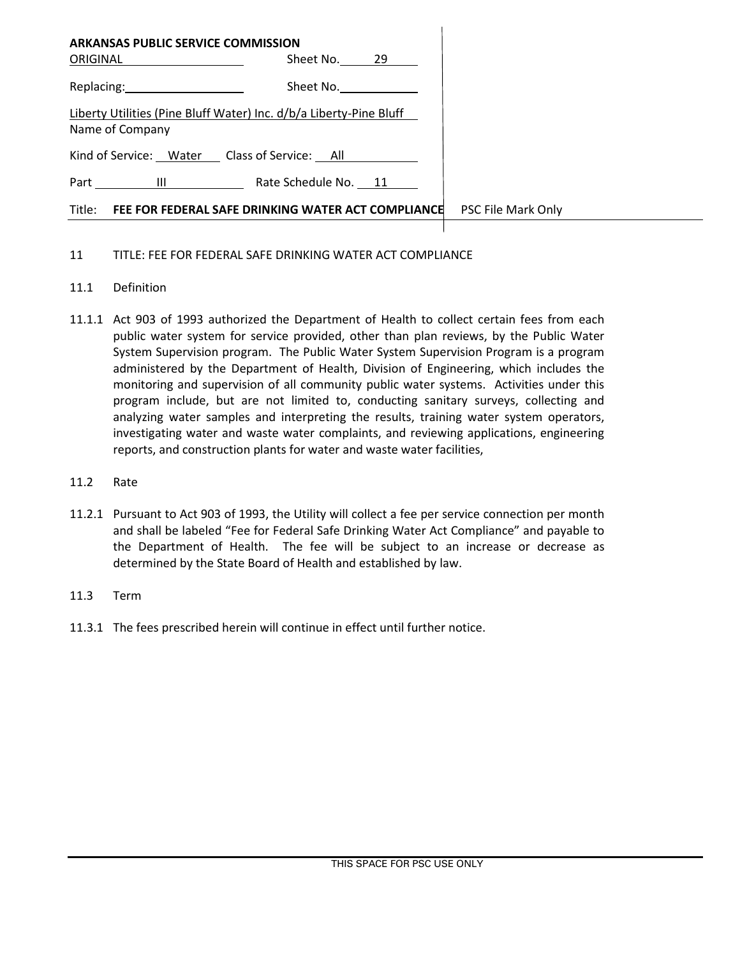| ARKANSAS PUBLIC SERVICE COMMISSION                                                    |                                                           |                    |
|---------------------------------------------------------------------------------------|-----------------------------------------------------------|--------------------|
| ORIGINAL                                                                              | Sheet No. 29                                              |                    |
| Replacing: 2000                                                                       | Sheet No.                                                 |                    |
| Liberty Utilities (Pine Bluff Water) Inc. d/b/a Liberty-Pine Bluff<br>Name of Company |                                                           |                    |
| Kind of Service: Water Class of Service: All                                          |                                                           |                    |
| Part III                                                                              | Rate Schedule No. 11                                      |                    |
|                                                                                       | Title: FEE FOR FEDERAL SAFE DRINKING WATER ACT COMPLIANCE | PSC File Mark Only |
|                                                                                       |                                                           |                    |

# 11 TITLE: FEE FOR FEDERAL SAFE DRINKING WATER ACT COMPLIANCE

### 11.1 Definition

- 11.1.1 Act 903 of 1993 authorized the Department of Health to collect certain fees from each public water system for service provided, other than plan reviews, by the Public Water System Supervision program. The Public Water System Supervision Program is a program administered by the Department of Health, Division of Engineering, which includes the monitoring and supervision of all community public water systems. Activities under this program include, but are not limited to, conducting sanitary surveys, collecting and analyzing water samples and interpreting the results, training water system operators, investigating water and waste water complaints, and reviewing applications, engineering reports, and construction plants for water and waste water facilities,
- 11.2 Rate
- 11.2.1 Pursuant to Act 903 of 1993, the Utility will collect a fee per service connection per month and shall be labeled "Fee for Federal Safe Drinking Water Act Compliance" and payable to the Department of Health. The fee will be subject to an increase or decrease as determined by the State Board of Health and established by law.
- 11.3 Term
- 11.3.1 The fees prescribed herein will continue in effect until further notice.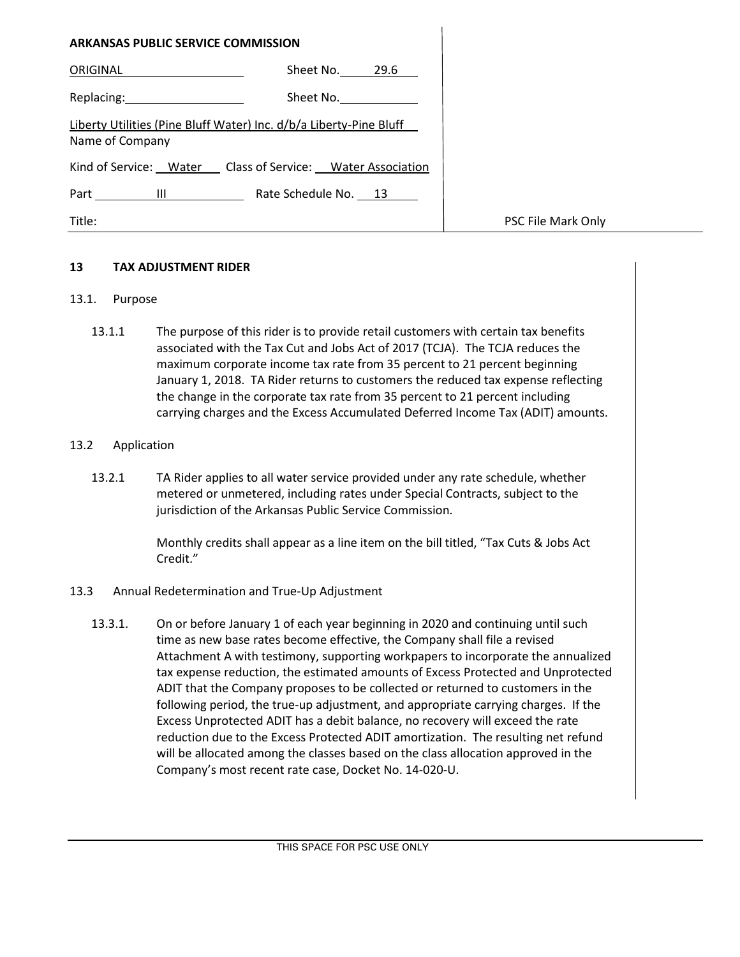| <b>ARKANSAS PUBLIC SERVICE COMMISSION</b> |                                                                    |                    |
|-------------------------------------------|--------------------------------------------------------------------|--------------------|
| ORIGINAL                                  | Sheet No. 29.6                                                     |                    |
| Replacing: 2008                           | Sheet No.                                                          |                    |
| Name of Company                           | Liberty Utilities (Pine Bluff Water) Inc. d/b/a Liberty-Pine Bluff |                    |
|                                           | Kind of Service: Water Class of Service: Water Association         |                    |
|                                           | Rate Schedule No. 13                                               |                    |
| Title:                                    |                                                                    | PSC File Mark Only |

# **13 TAX ADJUSTMENT RIDER**

### 13.1. Purpose

13.1.1 The purpose of this rider is to provide retail customers with certain tax benefits associated with the Tax Cut and Jobs Act of 2017 (TCJA). The TCJA reduces the maximum corporate income tax rate from 35 percent to 21 percent beginning January 1, 2018. TA Rider returns to customers the reduced tax expense reflecting the change in the corporate tax rate from 35 percent to 21 percent including carrying charges and the Excess Accumulated Deferred Income Tax (ADIT) amounts.

### 13.2 Application

13.2.1 TA Rider applies to all water service provided under any rate schedule, whether metered or unmetered, including rates under Special Contracts, subject to the jurisdiction of the Arkansas Public Service Commission.

> Monthly credits shall appear as a line item on the bill titled, "Tax Cuts & Jobs Act Credit."

### 13.3 Annual Redetermination and True-Up Adjustment

13.3.1. On or before January 1 of each year beginning in 2020 and continuing until such time as new base rates become effective, the Company shall file a revised Attachment A with testimony, supporting workpapers to incorporate the annualized tax expense reduction, the estimated amounts of Excess Protected and Unprotected ADIT that the Company proposes to be collected or returned to customers in the following period, the true-up adjustment, and appropriate carrying charges. If the Excess Unprotected ADIT has a debit balance, no recovery will exceed the rate reduction due to the Excess Protected ADIT amortization. The resulting net refund will be allocated among the classes based on the class allocation approved in the Company's most recent rate case, Docket No. 14-020-U.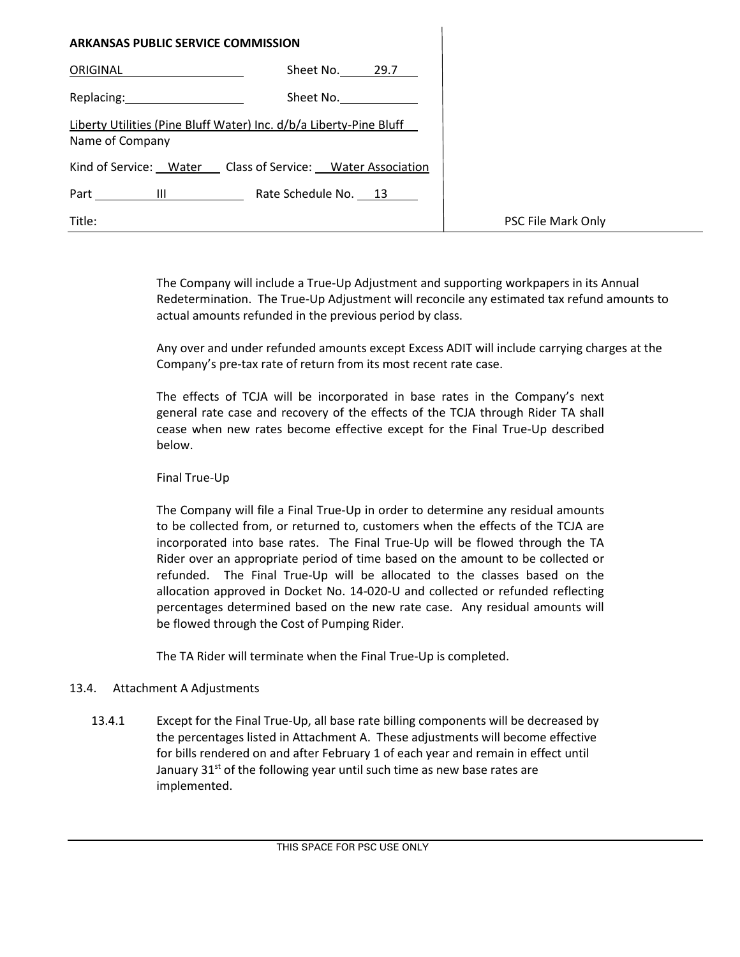| ARKANSAS PUBLIC SERVICE COMMISSION                                                                                          |
|-----------------------------------------------------------------------------------------------------------------------------|
| Sheet No. 29.7<br>ORIGINAL                                                                                                  |
| Replacing: The contract of the contract of the contract of the contract of the contract of the contract of the<br>Sheet No. |
| Liberty Utilities (Pine Bluff Water) Inc. d/b/a Liberty-Pine Bluff<br>Name of Company                                       |
| Kind of Service: Water Class of Service: Water Association                                                                  |
| Rate Schedule No. 13<br>Part<br>$\mathbf{H}$                                                                                |
| Title:                                                                                                                      |

The Company will include a True-Up Adjustment and supporting workpapers in its Annual Redetermination. The True-Up Adjustment will reconcile any estimated tax refund amounts to actual amounts refunded in the previous period by class.

Any over and under refunded amounts except Excess ADIT will include carrying charges at the Company's pre-tax rate of return from its most recent rate case.

The effects of TCJA will be incorporated in base rates in the Company's next general rate case and recovery of the effects of the TCJA through Rider TA shall cease when new rates become effective except for the Final True-Up described below.

Final True-Up

The Company will file a Final True-Up in order to determine any residual amounts to be collected from, or returned to, customers when the effects of the TCJA are incorporated into base rates. The Final True-Up will be flowed through the TA Rider over an appropriate period of time based on the amount to be collected or refunded. The Final True-Up will be allocated to the classes based on the allocation approved in Docket No. 14-020-U and collected or refunded reflecting percentages determined based on the new rate case. Any residual amounts will be flowed through the Cost of Pumping Rider.

The TA Rider will terminate when the Final True-Up is completed.

# 13.4. Attachment A Adjustments

13.4.1 Except for the Final True-Up, all base rate billing components will be decreased by the percentages listed in Attachment A. These adjustments will become effective for bills rendered on and after February 1 of each year and remain in effect until January 31<sup>st</sup> of the following year until such time as new base rates are implemented.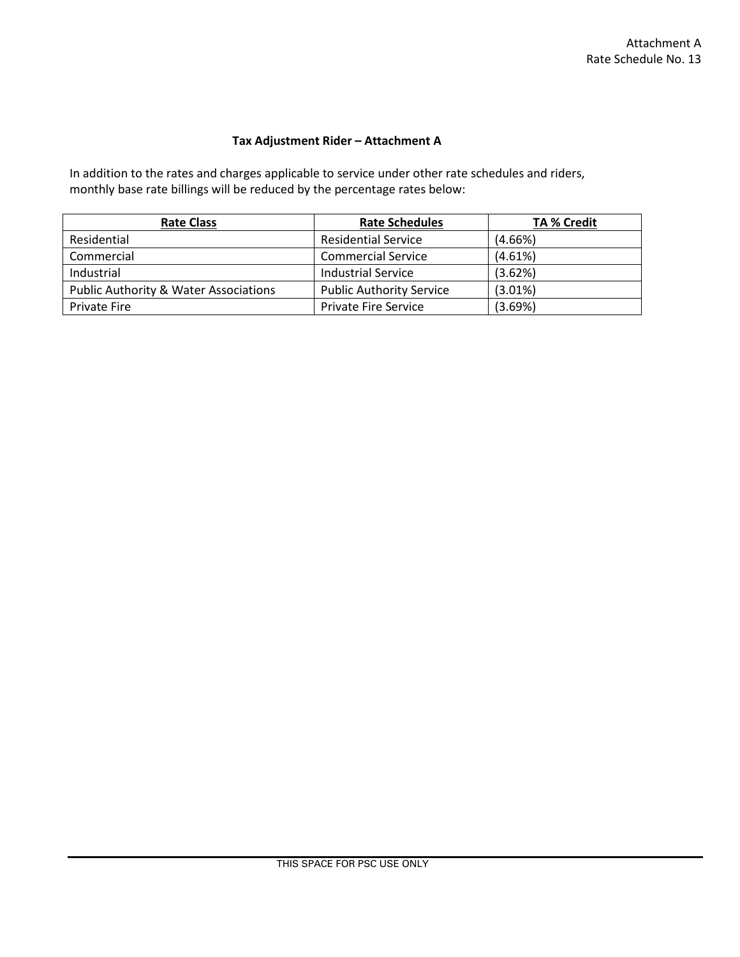# **Tax Adjustment Rider – Attachment A**

In addition to the rates and charges applicable to service under other rate schedules and riders, monthly base rate billings will be reduced by the percentage rates below:

| <b>Rate Class</b>                                | <b>Rate Schedules</b>           | <b>TA % Credit</b> |
|--------------------------------------------------|---------------------------------|--------------------|
| Residential                                      | <b>Residential Service</b>      | (4.66%)            |
| Commercial                                       | <b>Commercial Service</b>       | (4.61%)            |
| Industrial                                       | Industrial Service              | (3.62%)            |
| <b>Public Authority &amp; Water Associations</b> | <b>Public Authority Service</b> | $(3.01\%)$         |
| <b>Private Fire</b>                              | <b>Private Fire Service</b>     | (3.69%)            |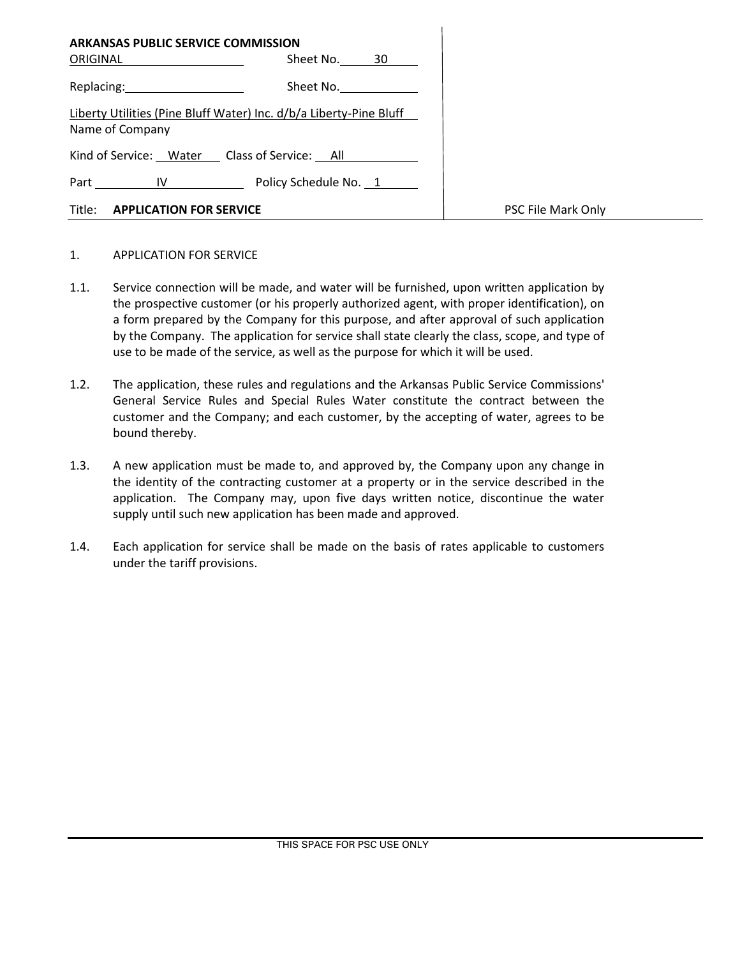| <b>ARKANSAS PUBLIC SERVICE COMMISSION</b><br>ORIGINAL ____________                    | Sheet No. 30 |                    |
|---------------------------------------------------------------------------------------|--------------|--------------------|
| Replacing: 2008                                                                       | Sheet No.    |                    |
| Liberty Utilities (Pine Bluff Water) Inc. d/b/a Liberty-Pine Bluff<br>Name of Company |              |                    |
| Kind of Service: Water Class of Service: All                                          |              |                    |
| Part IV Policy Schedule No. 1                                                         |              |                    |
| Title: <b>APPLICATION FOR SERVICE</b>                                                 |              | PSC File Mark Only |

#### 1. APPLICATION FOR SERVICE

- 1.1. Service connection will be made, and water will be furnished, upon written application by the prospective customer (or his properly authorized agent, with proper identification), on a form prepared by the Company for this purpose, and after approval of such application by the Company. The application for service shall state clearly the class, scope, and type of use to be made of the service, as well as the purpose for which it will be used.
- 1.2. The application, these rules and regulations and the Arkansas Public Service Commissions' General Service Rules and Special Rules Water constitute the contract between the customer and the Company; and each customer, by the accepting of water, agrees to be bound thereby.
- 1.3. A new application must be made to, and approved by, the Company upon any change in the identity of the contracting customer at a property or in the service described in the application. The Company may, upon five days written notice, discontinue the water supply until such new application has been made and approved.
- 1.4. Each application for service shall be made on the basis of rates applicable to customers under the tariff provisions.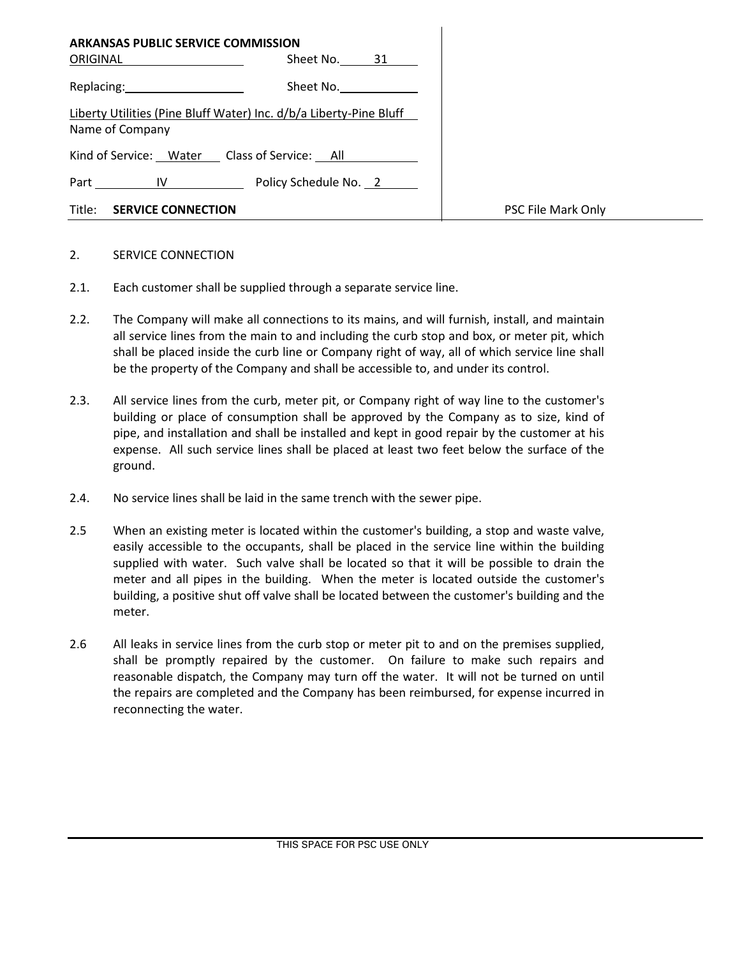| <b>ARKANSAS PUBLIC SERVICE COMMISSION</b><br><b>ORIGINAL Example 2019</b>                                                                                                                                                      | Sheet No. 31                                                       |                    |
|--------------------------------------------------------------------------------------------------------------------------------------------------------------------------------------------------------------------------------|--------------------------------------------------------------------|--------------------|
| Replacing: and the state of the state of the state of the state of the state of the state of the state of the state of the state of the state of the state of the state of the state of the state of the state of the state of | Sheet No.                                                          |                    |
| Name of Company                                                                                                                                                                                                                | Liberty Utilities (Pine Bluff Water) Inc. d/b/a Liberty-Pine Bluff |                    |
| Kind of Service: Water Class of Service: All                                                                                                                                                                                   |                                                                    |                    |
| Part IV                                                                                                                                                                                                                        | Policy Schedule No. 2                                              |                    |
| Title:<br><b>SERVICE CONNECTION</b>                                                                                                                                                                                            |                                                                    | PSC File Mark Only |

### 2. SERVICE CONNECTION

- 2.1. Each customer shall be supplied through a separate service line.
- 2.2. The Company will make all connections to its mains, and will furnish, install, and maintain all service lines from the main to and including the curb stop and box, or meter pit, which shall be placed inside the curb line or Company right of way, all of which service line shall be the property of the Company and shall be accessible to, and under its control.
- 2.3. All service lines from the curb, meter pit, or Company right of way line to the customer's building or place of consumption shall be approved by the Company as to size, kind of pipe, and installation and shall be installed and kept in good repair by the customer at his expense. All such service lines shall be placed at least two feet below the surface of the ground.
- 2.4. No service lines shall be laid in the same trench with the sewer pipe.
- 2.5 When an existing meter is located within the customer's building, a stop and waste valve, easily accessible to the occupants, shall be placed in the service line within the building supplied with water. Such valve shall be located so that it will be possible to drain the meter and all pipes in the building. When the meter is located outside the customer's building, a positive shut off valve shall be located between the customer's building and the meter.
- 2.6 All leaks in service lines from the curb stop or meter pit to and on the premises supplied, shall be promptly repaired by the customer. On failure to make such repairs and reasonable dispatch, the Company may turn off the water. It will not be turned on until the repairs are completed and the Company has been reimbursed, for expense incurred in reconnecting the water.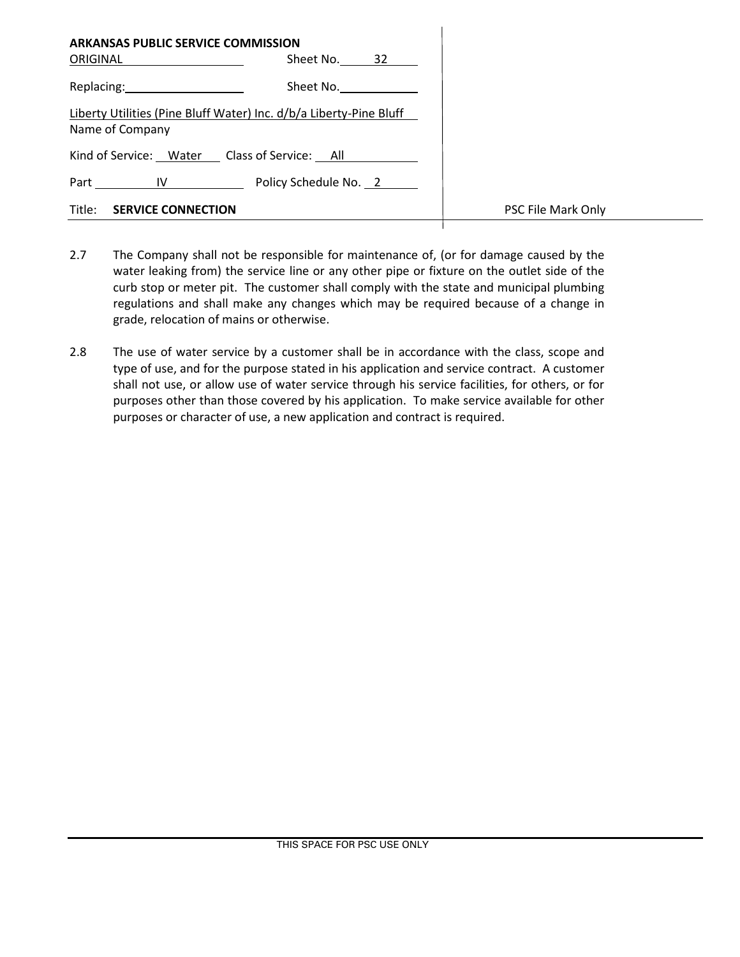| <b>ARKANSAS PUBLIC SERVICE COMMISSION</b><br>ORIGINAL                                                                                                                                                                          | Sheet No. 32                                                       |                    |
|--------------------------------------------------------------------------------------------------------------------------------------------------------------------------------------------------------------------------------|--------------------------------------------------------------------|--------------------|
| Replacing: New York Press, New York Press, New York Press, New York Press, New York Press, New York Press, New York Press, New York Press, New York Press, New York Press, New York Press, New York Press, New York Press, New | Sheet No.                                                          |                    |
| Name of Company                                                                                                                                                                                                                | Liberty Utilities (Pine Bluff Water) Inc. d/b/a Liberty-Pine Bluff |                    |
| Kind of Service: Water Class of Service: All                                                                                                                                                                                   |                                                                    |                    |
|                                                                                                                                                                                                                                | Part IV Policy Schedule No. 2                                      |                    |
| Title: <b>SERVICE CONNECTION</b>                                                                                                                                                                                               |                                                                    | PSC File Mark Only |

- 2.7 The Company shall not be responsible for maintenance of, (or for damage caused by the water leaking from) the service line or any other pipe or fixture on the outlet side of the curb stop or meter pit. The customer shall comply with the state and municipal plumbing regulations and shall make any changes which may be required because of a change in grade, relocation of mains or otherwise.
- 2.8 The use of water service by a customer shall be in accordance with the class, scope and type of use, and for the purpose stated in his application and service contract. A customer shall not use, or allow use of water service through his service facilities, for others, or for purposes other than those covered by his application. To make service available for other purposes or character of use, a new application and contract is required.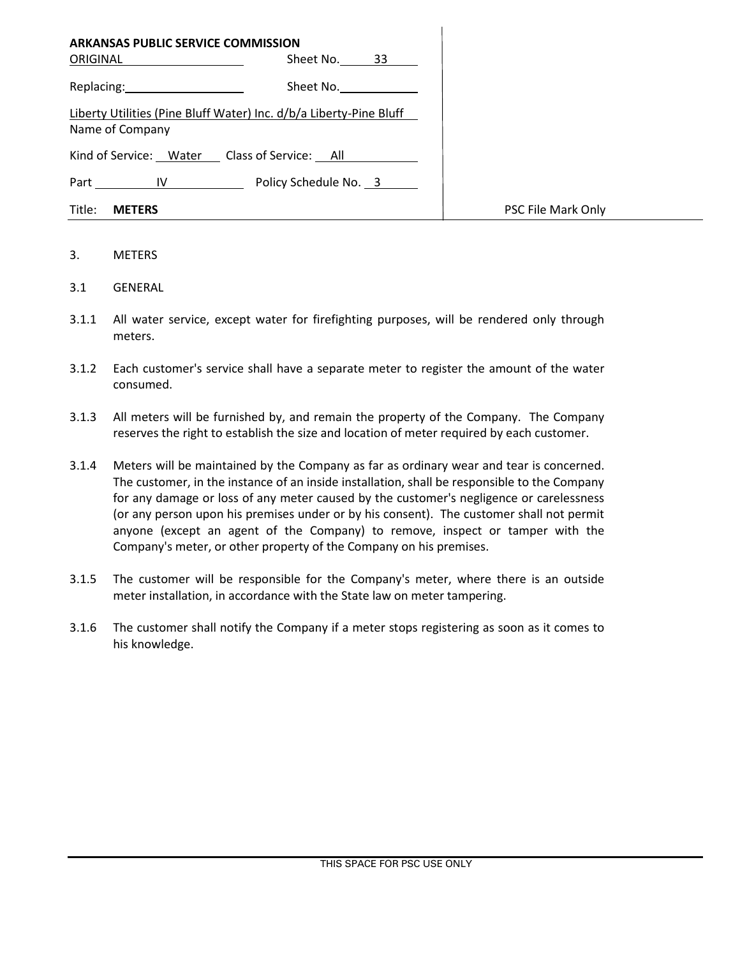| <b>ARKANSAS PUBLIC SERVICE COMMISSION</b><br>ORIGINAL | Sheet No.<br>33                                                    |                    |
|-------------------------------------------------------|--------------------------------------------------------------------|--------------------|
| Replacing: 2008                                       | Sheet No.                                                          |                    |
| Name of Company                                       | Liberty Utilities (Pine Bluff Water) Inc. d/b/a Liberty-Pine Bluff |                    |
| Kind of Service: Water Class of Service: All          |                                                                    |                    |
| Part IV                                               | Policy Schedule No. 3                                              |                    |
| Title:<br><b>METERS</b>                               |                                                                    | PSC File Mark Only |

### 3. METERS

- 3.1 GENERAL
- 3.1.1 All water service, except water for firefighting purposes, will be rendered only through meters.
- 3.1.2 Each customer's service shall have a separate meter to register the amount of the water consumed.
- 3.1.3 All meters will be furnished by, and remain the property of the Company. The Company reserves the right to establish the size and location of meter required by each customer.
- 3.1.4 Meters will be maintained by the Company as far as ordinary wear and tear is concerned. The customer, in the instance of an inside installation, shall be responsible to the Company for any damage or loss of any meter caused by the customer's negligence or carelessness (or any person upon his premises under or by his consent). The customer shall not permit anyone (except an agent of the Company) to remove, inspect or tamper with the Company's meter, or other property of the Company on his premises.
- 3.1.5 The customer will be responsible for the Company's meter, where there is an outside meter installation, in accordance with the State law on meter tampering.
- 3.1.6 The customer shall notify the Company if a meter stops registering as soon as it comes to his knowledge.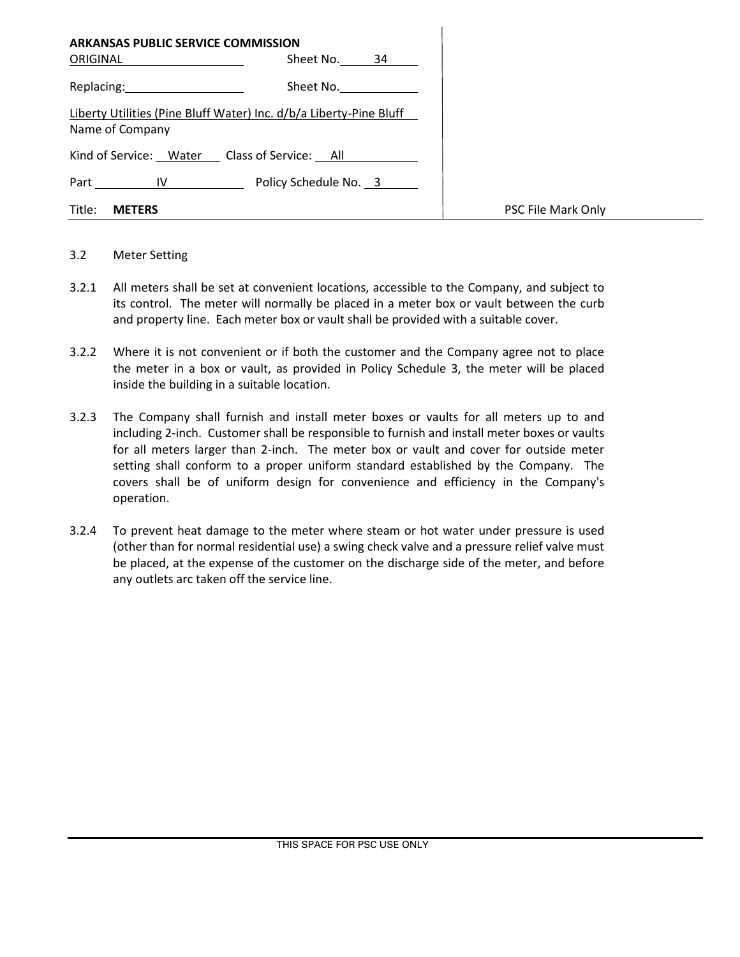| <b>ARKANSAS PUBLIC SERVICE COMMISSION</b><br>ORIGINAL | Sheet No. 34                                                       |                    |
|-------------------------------------------------------|--------------------------------------------------------------------|--------------------|
| Replacing: 2000                                       | Sheet No.                                                          |                    |
| Name of Company                                       | Liberty Utilities (Pine Bluff Water) Inc. d/b/a Liberty-Pine Bluff |                    |
|                                                       | Kind of Service: Water Class of Service: All                       |                    |
| Part IV                                               | Policy Schedule No. 3                                              |                    |
| Title:<br><b>METERS</b>                               |                                                                    | PSC File Mark Only |

### 3.2 Meter Setting

- 3.2.1 All meters shall be set at convenient locations, accessible to the Company, and subject to its control. The meter will normally be placed in a meter box or vault between the curb and property line. Each meter box or vault shall be provided with a suitable cover.
- 3.2.2 Where it is not convenient or if both the customer and the Company agree not to place the meter in a box or vault, as provided in Policy Schedule 3, the meter will be placed inside the building in a suitable location.
- 3.2.3 The Company shall furnish and install meter boxes or vaults for all meters up to and including 2-inch. Customer shall be responsible to furnish and install meter boxes or vaults for all meters larger than 2-inch. The meter box or vault and cover for outside meter setting shall conform to a proper uniform standard established by the Company. The covers shall be of uniform design for convenience and efficiency in the Company's operation.
- 3.2.4 To prevent heat damage to the meter where steam or hot water under pressure is used (other than for normal residential use) a swing check valve and a pressure relief valve must be placed, at the expense of the customer on the discharge side of the meter, and before any outlets arc taken off the service line.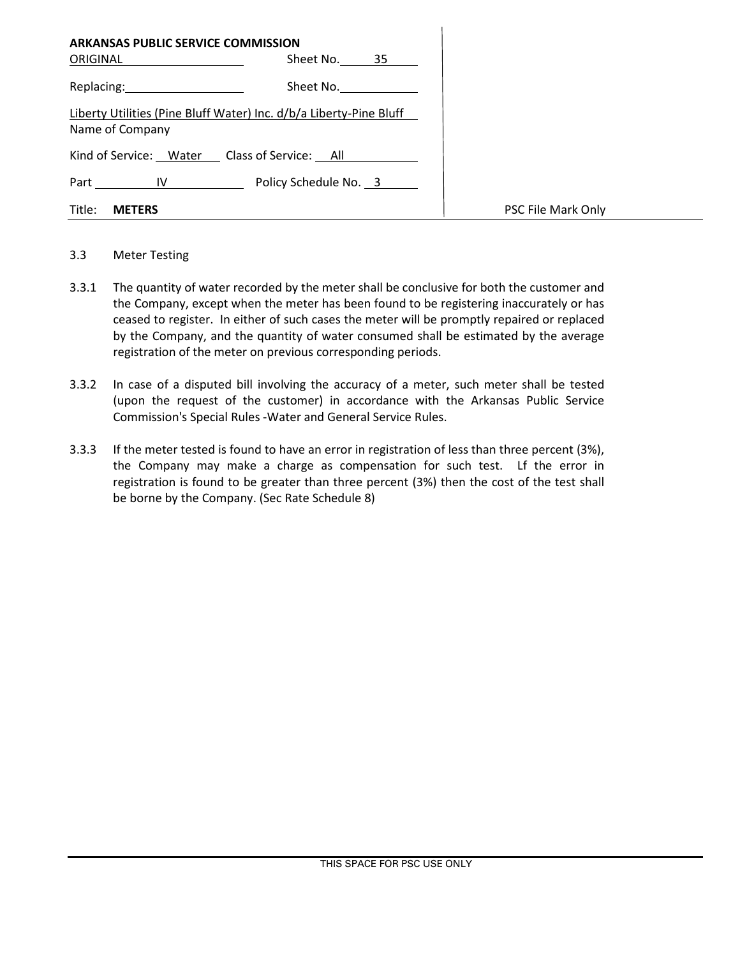| <b>ARKANSAS PUBLIC SERVICE COMMISSION</b><br>ORIGINAL | Sheet No. 35                                                       |                    |
|-------------------------------------------------------|--------------------------------------------------------------------|--------------------|
| Replacing: 2008                                       | Sheet No.                                                          |                    |
| Name of Company                                       | Liberty Utilities (Pine Bluff Water) Inc. d/b/a Liberty-Pine Bluff |                    |
|                                                       | Kind of Service: Water Class of Service: All                       |                    |
|                                                       | Part IV Policy Schedule No. 3                                      |                    |
| Title:<br><b>METERS</b>                               |                                                                    | PSC File Mark Only |

# 3.3 Meter Testing

- 3.3.1 The quantity of water recorded by the meter shall be conclusive for both the customer and the Company, except when the meter has been found to be registering inaccurately or has ceased to register. In either of such cases the meter will be promptly repaired or replaced by the Company, and the quantity of water consumed shall be estimated by the average registration of the meter on previous corresponding periods.
- 3.3.2 In case of a disputed bill involving the accuracy of a meter, such meter shall be tested (upon the request of the customer) in accordance with the Arkansas Public Service Commission's Special Rules -Water and General Service Rules.
- 3.3.3 If the meter tested is found to have an error in registration of less than three percent (3%), the Company may make a charge as compensation for such test. Lf the error in registration is found to be greater than three percent (3%) then the cost of the test shall be borne by the Company. (Sec Rate Schedule 8)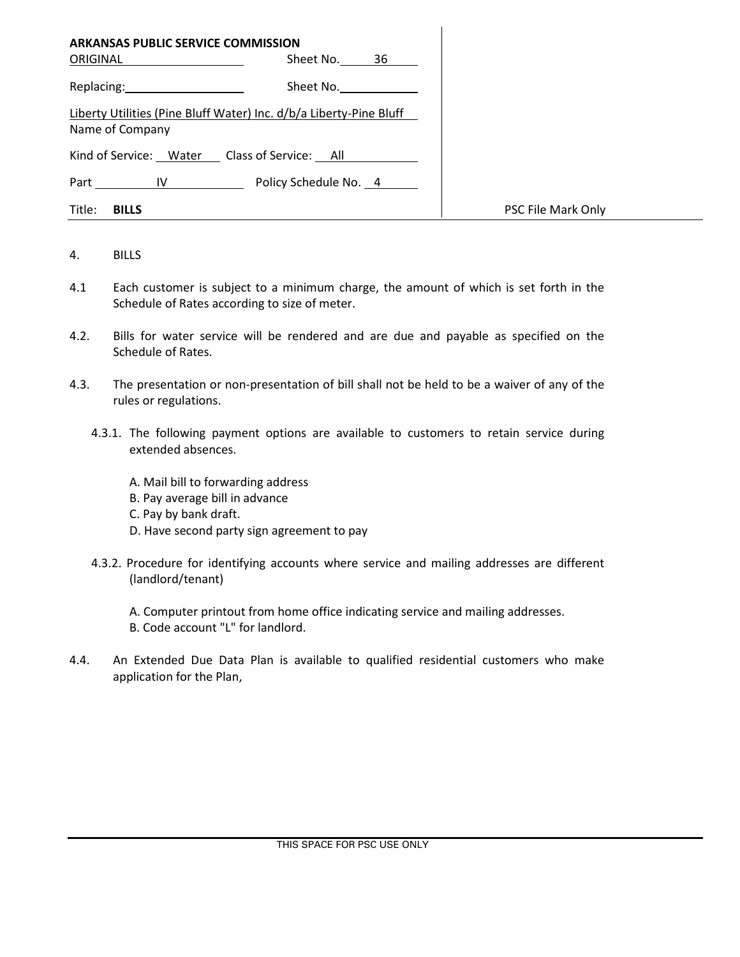| <b>ARKANSAS PUBLIC SERVICE COMMISSION</b>                                                                      |                                                                    |                    |
|----------------------------------------------------------------------------------------------------------------|--------------------------------------------------------------------|--------------------|
| ORIGINAL                                                                                                       | Sheet No. 36                                                       |                    |
| Replacing: The contract of the contract of the contract of the contract of the contract of the contract of the | Sheet No.                                                          |                    |
| Name of Company                                                                                                | Liberty Utilities (Pine Bluff Water) Inc. d/b/a Liberty-Pine Bluff |                    |
| Kind of Service: Water Class of Service: All                                                                   |                                                                    |                    |
| Part IV                                                                                                        | Policy Schedule No. 4                                              |                    |
| Title:<br><b>BILLS</b>                                                                                         |                                                                    | PSC File Mark Only |

#### 4. BILLS

- 4.1 Each customer is subject to a minimum charge, the amount of which is set forth in the Schedule of Rates according to size of meter.
- 4.2. Bills for water service will be rendered and are due and payable as specified on the Schedule of Rates.
- 4.3. The presentation or non-presentation of bill shall not be held to be a waiver of any of the rules or regulations.
	- 4.3.1. The following payment options are available to customers to retain service during extended absences.
		- A. Mail bill to forwarding address
		- B. Pay average bill in advance
		- C. Pay by bank draft.
		- D. Have second party sign agreement to pay
	- 4.3.2. Procedure for identifying accounts where service and mailing addresses are different (landlord/tenant)
		- A. Computer printout from home office indicating service and mailing addresses. B. Code account "L" for landlord.
- 4.4. An Extended Due Data Plan is available to qualified residential customers who make application for the Plan,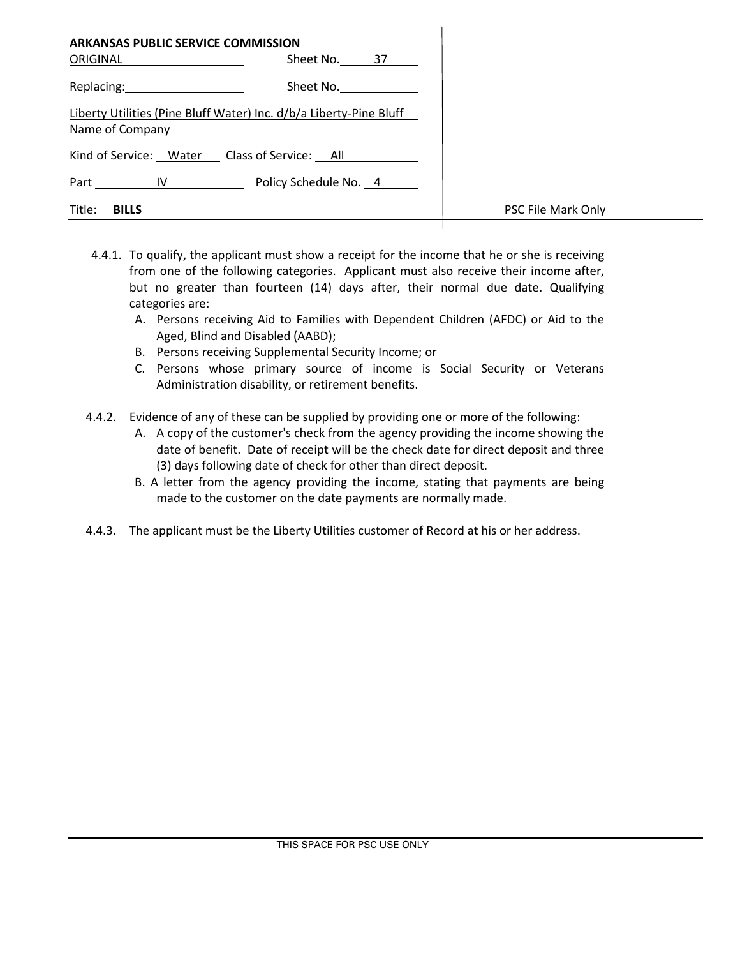| <b>ARKANSAS PUBLIC SERVICE COMMISSION</b><br>ORIGINAL | Sheet No. 37                                                       |                    |
|-------------------------------------------------------|--------------------------------------------------------------------|--------------------|
| Replacing: 2008                                       | Sheet No.                                                          |                    |
| Name of Company                                       | Liberty Utilities (Pine Bluff Water) Inc. d/b/a Liberty-Pine Bluff |                    |
| Kind of Service: Water Class of Service: All          |                                                                    |                    |
|                                                       | Part IV Policy Schedule No. 4                                      |                    |
| Title:<br><b>BILLS</b>                                |                                                                    | PSC File Mark Only |

- 4.4.1. To qualify, the applicant must show a receipt for the income that he or she is receiving from one of the following categories. Applicant must also receive their income after, but no greater than fourteen (14) days after, their normal due date. Qualifying categories are:
	- A. Persons receiving Aid to Families with Dependent Children (AFDC) or Aid to the Aged, Blind and Disabled (AABD);
	- B. Persons receiving Supplemental Security Income; or
	- C. Persons whose primary source of income is Social Security or Veterans Administration disability, or retirement benefits.
- 4.4.2. Evidence of any of these can be supplied by providing one or more of the following:
	- A. A copy of the customer's check from the agency providing the income showing the date of benefit. Date of receipt will be the check date for direct deposit and three (3) days following date of check for other than direct deposit.
	- B. A letter from the agency providing the income, stating that payments are being made to the customer on the date payments are normally made.
- 4.4.3. The applicant must be the Liberty Utilities customer of Record at his or her address.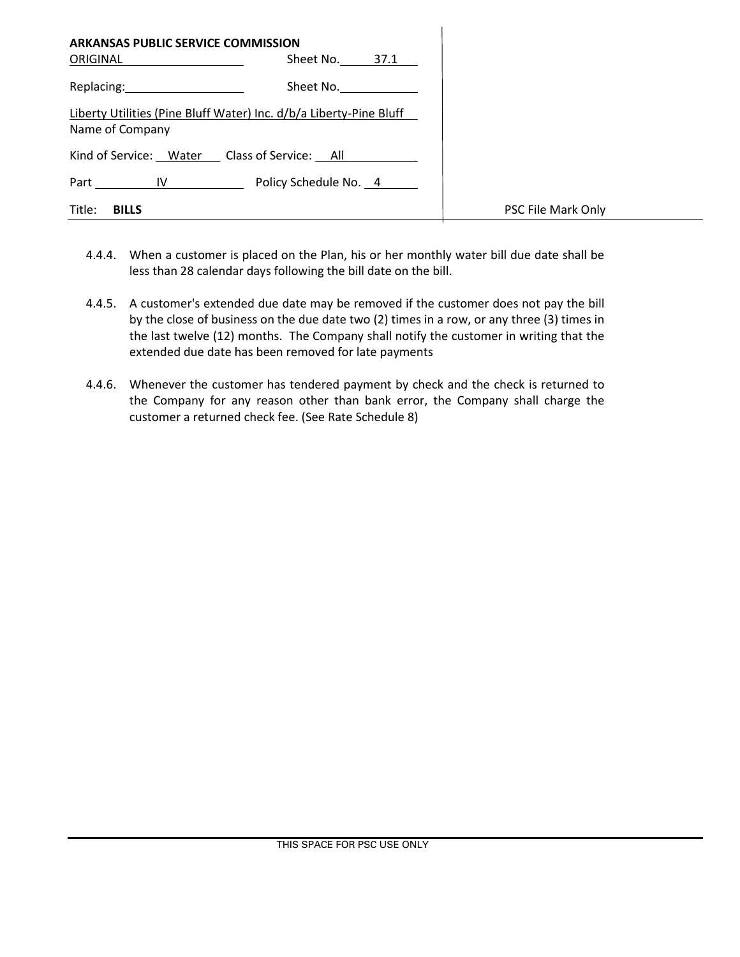| <b>ARKANSAS PUBLIC SERVICE COMMISSION</b>                                                                                                                                                                                      |                                                                    |                    |
|--------------------------------------------------------------------------------------------------------------------------------------------------------------------------------------------------------------------------------|--------------------------------------------------------------------|--------------------|
| ORIGINAL ____________________                                                                                                                                                                                                  | Sheet No. 37.1                                                     |                    |
| Replacing: New York Press, New York Press, New York Press, New York Press, New York Press, New York Press, New York Press, New York Press, New York Press, New York Press, New York Press, New York Press, New York Press, New | Sheet No.                                                          |                    |
| Name of Company                                                                                                                                                                                                                | Liberty Utilities (Pine Bluff Water) Inc. d/b/a Liberty-Pine Bluff |                    |
|                                                                                                                                                                                                                                | Kind of Service: Water Class of Service: All                       |                    |
|                                                                                                                                                                                                                                | Part IV Policy Schedule No. 4                                      |                    |
| Title:<br><b>BILLS</b>                                                                                                                                                                                                         |                                                                    | PSC File Mark Only |

- 4.4.4. When a customer is placed on the Plan, his or her monthly water bill due date shall be less than 28 calendar days following the bill date on the bill.
- 4.4.5. A customer's extended due date may be removed if the customer does not pay the bill by the close of business on the due date two (2) times in a row, or any three (3) times in the last twelve (12) months. The Company shall notify the customer in writing that the extended due date has been removed for late payments
- 4.4.6. Whenever the customer has tendered payment by check and the check is returned to the Company for any reason other than bank error, the Company shall charge the customer a returned check fee. (See Rate Schedule 8)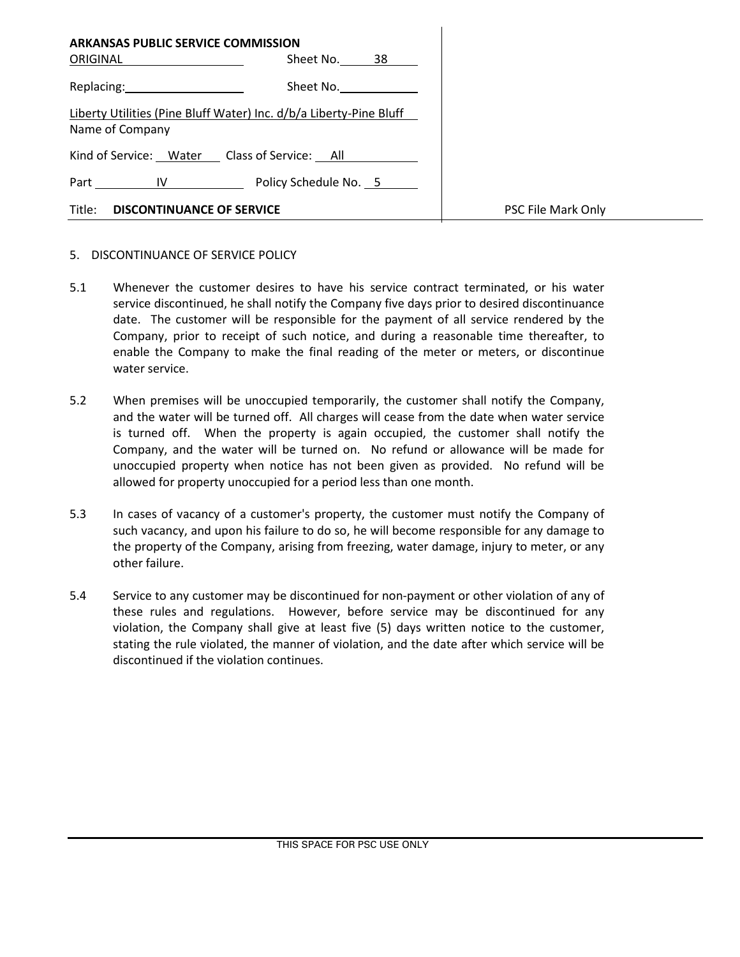| <b>ARKANSAS PUBLIC SERVICE COMMISSION</b><br>ORIGINAL                                 | Sheet No. 38                  |                    |
|---------------------------------------------------------------------------------------|-------------------------------|--------------------|
| Replacing: 2008                                                                       | Sheet No.                     |                    |
| Liberty Utilities (Pine Bluff Water) Inc. d/b/a Liberty-Pine Bluff<br>Name of Company |                               |                    |
| Kind of Service: Water Class of Service: All                                          |                               |                    |
|                                                                                       | Part IV Policy Schedule No. 5 |                    |
| Title:<br><b>DISCONTINUANCE OF SERVICE</b>                                            |                               | PSC File Mark Only |

### 5. DISCONTINUANCE OF SERVICE POLICY

- 5.1 Whenever the customer desires to have his service contract terminated, or his water service discontinued, he shall notify the Company five days prior to desired discontinuance date. The customer will be responsible for the payment of all service rendered by the Company, prior to receipt of such notice, and during a reasonable time thereafter, to enable the Company to make the final reading of the meter or meters, or discontinue water service.
- 5.2 When premises will be unoccupied temporarily, the customer shall notify the Company, and the water will be turned off. All charges will cease from the date when water service is turned off. When the property is again occupied, the customer shall notify the Company, and the water will be turned on. No refund or allowance will be made for unoccupied property when notice has not been given as provided. No refund will be allowed for property unoccupied for a period less than one month.
- 5.3 In cases of vacancy of a customer's property, the customer must notify the Company of such vacancy, and upon his failure to do so, he will become responsible for any damage to the property of the Company, arising from freezing, water damage, injury to meter, or any other failure.
- 5.4 Service to any customer may be discontinued for non-payment or other violation of any of these rules and regulations. However, before service may be discontinued for any violation, the Company shall give at least five (5) days written notice to the customer, stating the rule violated, the manner of violation, and the date after which service will be discontinued if the violation continues.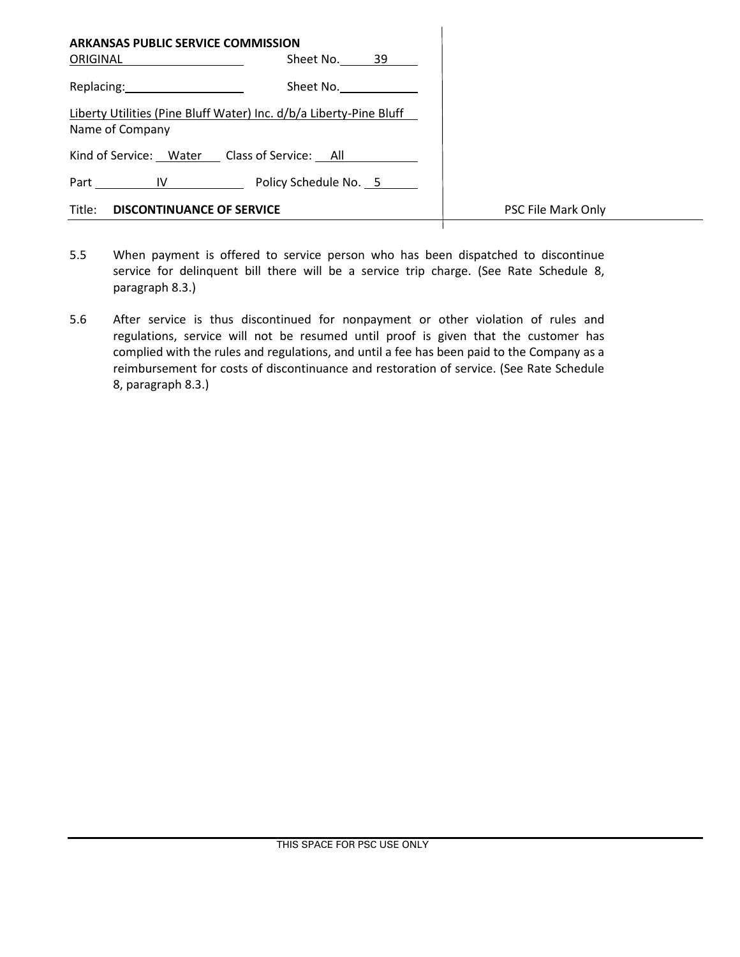| <b>ARKANSAS PUBLIC SERVICE COMMISSION</b>                                                                                                                                                                                      |                       |                    |
|--------------------------------------------------------------------------------------------------------------------------------------------------------------------------------------------------------------------------------|-----------------------|--------------------|
| ORIGINAL                                                                                                                                                                                                                       | Sheet No. 39          |                    |
| Replacing: New York Press, New York Press, New York Press, New York Press, New York Press, New York Press, New York Press, New York Press, New York Press, New York Press, New York Press, New York Press, New York Press, New | Sheet No.             |                    |
| Liberty Utilities (Pine Bluff Water) Inc. d/b/a Liberty-Pine Bluff<br>Name of Company                                                                                                                                          |                       |                    |
| Kind of Service: Water Class of Service: All                                                                                                                                                                                   |                       |                    |
| Part IV                                                                                                                                                                                                                        | Policy Schedule No. 5 |                    |
| Title:<br><b>DISCONTINUANCE OF SERVICE</b>                                                                                                                                                                                     |                       | PSC File Mark Only |

- 5.5 When payment is offered to service person who has been dispatched to discontinue service for delinquent bill there will be a service trip charge. (See Rate Schedule 8, paragraph 8.3.)
- 5.6 After service is thus discontinued for nonpayment or other violation of rules and regulations, service will not be resumed until proof is given that the customer has complied with the rules and regulations, and until a fee has been paid to the Company as a reimbursement for costs of discontinuance and restoration of service. (See Rate Schedule 8, paragraph 8.3.)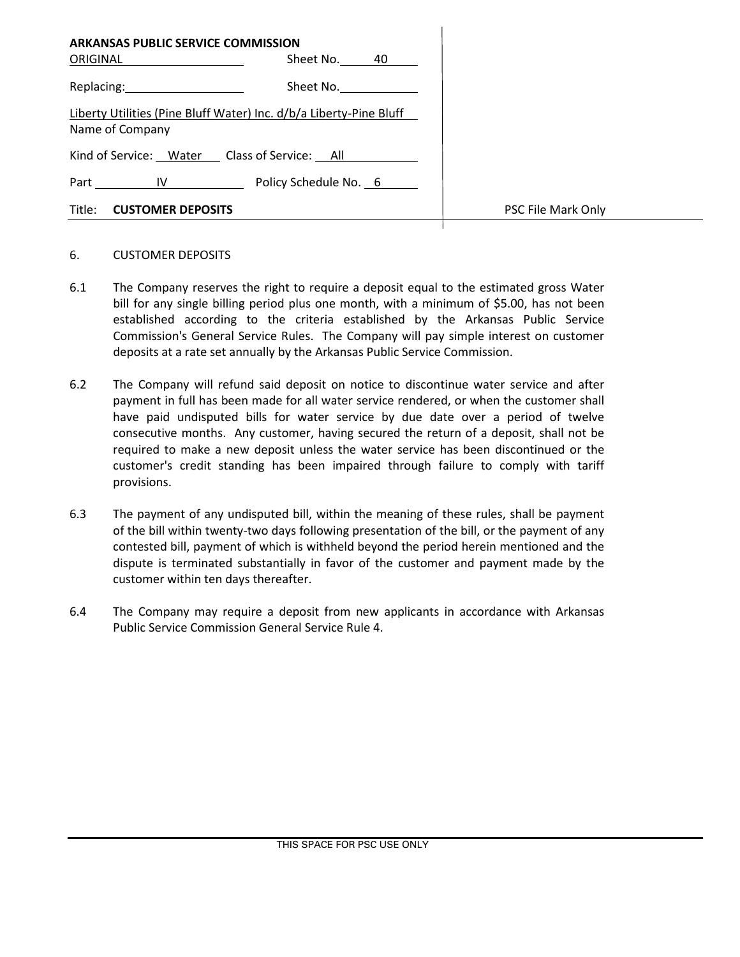| <b>ARKANSAS PUBLIC SERVICE COMMISSION</b><br>ORIGINAL                                                                                                                                                                          | Sheet No. 40                                                       |                    |
|--------------------------------------------------------------------------------------------------------------------------------------------------------------------------------------------------------------------------------|--------------------------------------------------------------------|--------------------|
| Replacing: New York Press, New York Press, New York Press, New York Press, New York Press, New York Press, New York Press, New York Press, New York Press, New York Press, New York Press, New York Press, New York Press, New | Sheet No.                                                          |                    |
| Name of Company                                                                                                                                                                                                                | Liberty Utilities (Pine Bluff Water) Inc. d/b/a Liberty-Pine Bluff |                    |
|                                                                                                                                                                                                                                | Kind of Service: Water Class of Service: All                       |                    |
| Part IV                                                                                                                                                                                                                        | Policy Schedule No. 6                                              |                    |
| Title:<br><b>CUSTOMER DEPOSITS</b>                                                                                                                                                                                             |                                                                    | PSC File Mark Only |

#### 6. CUSTOMER DEPOSITS

- 6.1 The Company reserves the right to require a deposit equal to the estimated gross Water bill for any single billing period plus one month, with a minimum of \$5.00, has not been established according to the criteria established by the Arkansas Public Service Commission's General Service Rules. The Company will pay simple interest on customer deposits at a rate set annually by the Arkansas Public Service Commission.
- 6.2 The Company will refund said deposit on notice to discontinue water service and after payment in full has been made for all water service rendered, or when the customer shall have paid undisputed bills for water service by due date over a period of twelve consecutive months. Any customer, having secured the return of a deposit, shall not be required to make a new deposit unless the water service has been discontinued or the customer's credit standing has been impaired through failure to comply with tariff provisions.
- 6.3 The payment of any undisputed bill, within the meaning of these rules, shall be payment of the bill within twenty-two days following presentation of the bill, or the payment of any contested bill, payment of which is withheld beyond the period herein mentioned and the dispute is terminated substantially in favor of the customer and payment made by the customer within ten days thereafter.
- 6.4 The Company may require a deposit from new applicants in accordance with Arkansas Public Service Commission General Service Rule 4.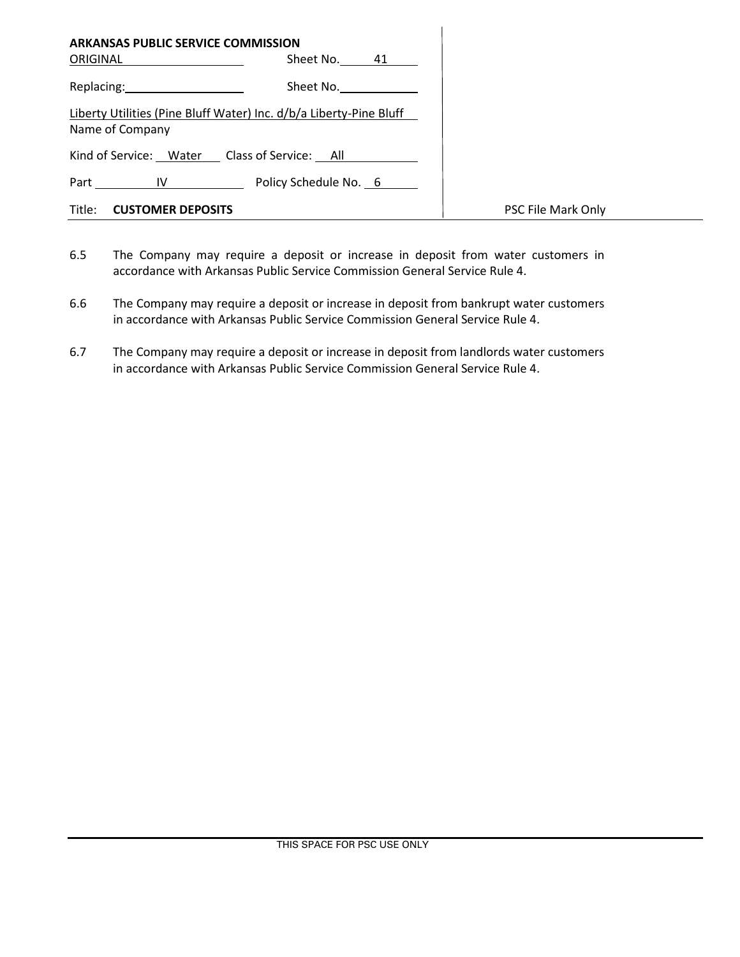| <b>ARKANSAS PUBLIC SERVICE COMMISSION</b> |                                                                    |                    |
|-------------------------------------------|--------------------------------------------------------------------|--------------------|
| ORIGINAL                                  | Sheet No. 41                                                       |                    |
| Replacing: 2000                           | Sheet No. ____________                                             |                    |
| Name of Company                           | Liberty Utilities (Pine Bluff Water) Inc. d/b/a Liberty-Pine Bluff |                    |
|                                           | Kind of Service: Water Class of Service: All                       |                    |
|                                           | Part IV Policy Schedule No. 6                                      |                    |
| Title: <b>CUSTOMER DEPOSITS</b>           |                                                                    | PSC File Mark Only |

- 6.5 The Company may require a deposit or increase in deposit from water customers in accordance with Arkansas Public Service Commission General Service Rule 4.
- 6.6 The Company may require a deposit or increase in deposit from bankrupt water customers in accordance with Arkansas Public Service Commission General Service Rule 4.
- 6.7 The Company may require a deposit or increase in deposit from landlords water customers in accordance with Arkansas Public Service Commission General Service Rule 4.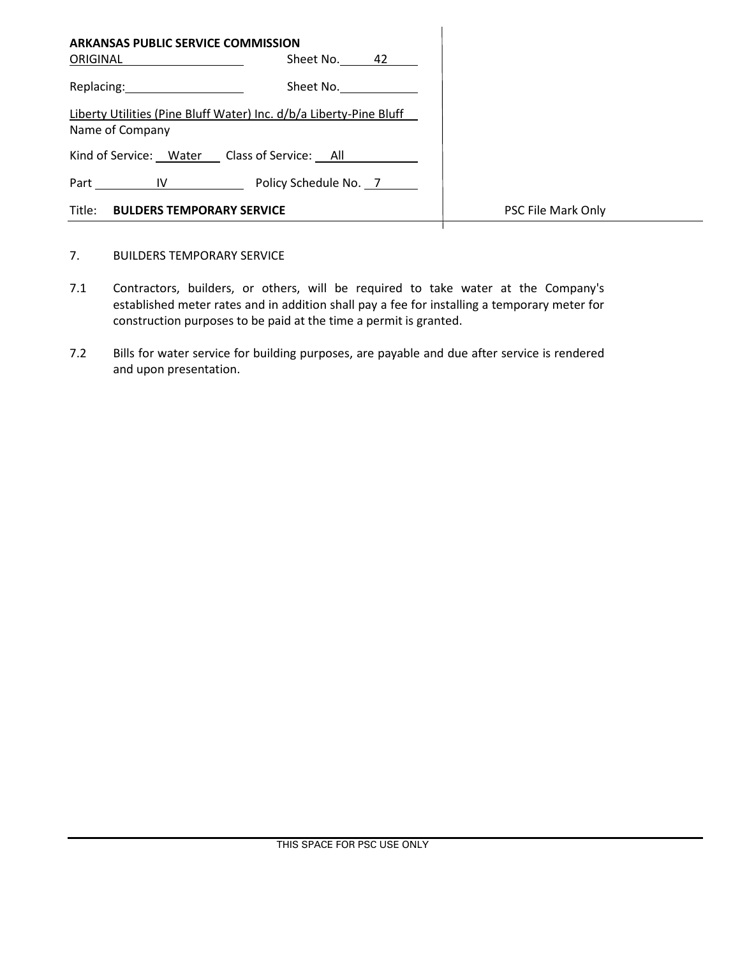| ARKANSAS PUBLIC SERVICE COMMISSION                                                    |                       |                    |
|---------------------------------------------------------------------------------------|-----------------------|--------------------|
| ORIGINAL                                                                              | Sheet No.<br>42       |                    |
| Replacing: Management Control of the Replacing:                                       | Sheet No.             |                    |
| Liberty Utilities (Pine Bluff Water) Inc. d/b/a Liberty-Pine Bluff<br>Name of Company |                       |                    |
| Kind of Service: Water Class of Service: All                                          |                       |                    |
| Part<br>$IV \t —$                                                                     | Policy Schedule No. 7 |                    |
| Title:<br><b>BULDERS TEMPORARY SERVICE</b>                                            |                       | PSC File Mark Only |

- 7. BUILDERS TEMPORARY SERVICE
- 7.1 Contractors, builders, or others, will be required to take water at the Company's established meter rates and in addition shall pay a fee for installing a temporary meter for construction purposes to be paid at the time a permit is granted.
- 7.2 Bills for water service for building purposes, are payable and due after service is rendered and upon presentation.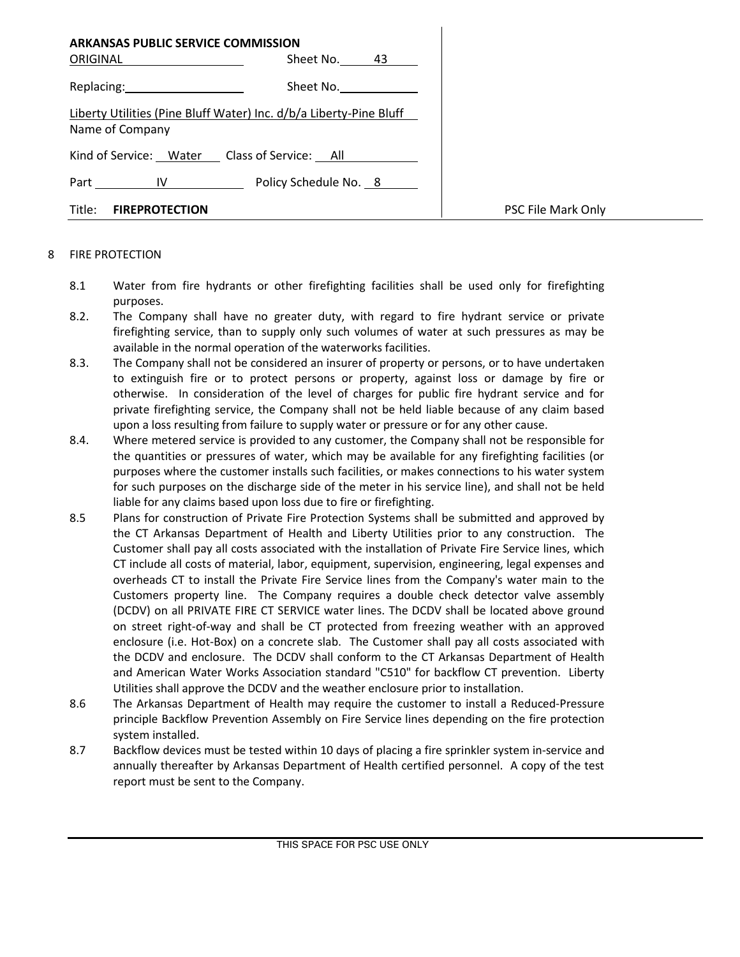| <b>ARKANSAS PUBLIC SERVICE COMMISSION</b><br>ORIGINAL                                                                                                                                                                          | Sheet No. 43          |                    |
|--------------------------------------------------------------------------------------------------------------------------------------------------------------------------------------------------------------------------------|-----------------------|--------------------|
| Replacing: New York Press, New York Press, New York Press, New York Press, New York Press, New York Press, New York Press, New York Press, New York Press, New York Press, New York Press, New York Press, New York Press, New | Sheet No.             |                    |
| Liberty Utilities (Pine Bluff Water) Inc. d/b/a Liberty-Pine Bluff<br>Name of Company                                                                                                                                          |                       |                    |
| Kind of Service: Water Class of Service: All                                                                                                                                                                                   |                       |                    |
| Part IV                                                                                                                                                                                                                        | Policy Schedule No. 8 |                    |
| Title:<br><b>FIREPROTECTION</b>                                                                                                                                                                                                |                       | PSC File Mark Only |

#### 8 FIRE PROTECTION

- 8.1 Water from fire hydrants or other firefighting facilities shall be used only for firefighting purposes.
- 8.2. The Company shall have no greater duty, with regard to fire hydrant service or private firefighting service, than to supply only such volumes of water at such pressures as may be available in the normal operation of the waterworks facilities.
- 8.3. The Company shall not be considered an insurer of property or persons, or to have undertaken to extinguish fire or to protect persons or property, against loss or damage by fire or otherwise. In consideration of the level of charges for public fire hydrant service and for private firefighting service, the Company shall not be held liable because of any claim based upon a loss resulting from failure to supply water or pressure or for any other cause.
- 8.4. Where metered service is provided to any customer, the Company shall not be responsible for the quantities or pressures of water, which may be available for any firefighting facilities (or purposes where the customer installs such facilities, or makes connections to his water system for such purposes on the discharge side of the meter in his service line), and shall not be held liable for any claims based upon loss due to fire or firefighting.
- 8.5 Plans for construction of Private Fire Protection Systems shall be submitted and approved by the CT Arkansas Department of Health and Liberty Utilities prior to any construction. The Customer shall pay all costs associated with the installation of Private Fire Service lines, which CT include all costs of material, labor, equipment, supervision, engineering, legal expenses and overheads CT to install the Private Fire Service lines from the Company's water main to the Customers property line. The Company requires a double check detector valve assembly (DCDV) on all PRIVATE FIRE CT SERVICE water lines. The DCDV shall be located above ground on street right-of-way and shall be CT protected from freezing weather with an approved enclosure (i.e. Hot-Box) on a concrete slab. The Customer shall pay all costs associated with the DCDV and enclosure. The DCDV shall conform to the CT Arkansas Department of Health and American Water Works Association standard "C510" for backflow CT prevention. Liberty Utilities shall approve the DCDV and the weather enclosure prior to installation.
- 8.6 The Arkansas Department of Health may require the customer to install a Reduced-Pressure principle Backflow Prevention Assembly on Fire Service lines depending on the fire protection system installed.
- 8.7 Backflow devices must be tested within 10 days of placing a fire sprinkler system in-service and annually thereafter by Arkansas Department of Health certified personnel. A copy of the test report must be sent to the Company.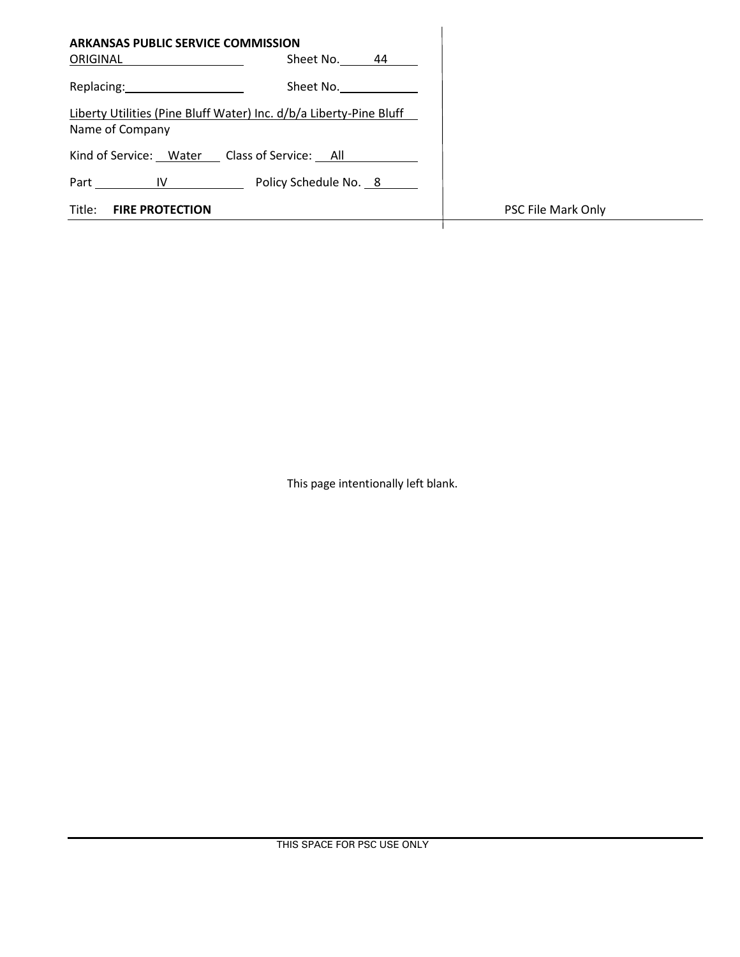| <b>ARKANSAS PUBLIC SERVICE COMMISSION</b>             |                                                                    |                    |
|-------------------------------------------------------|--------------------------------------------------------------------|--------------------|
| ORIGINAL                                              | Sheet No.<br>44                                                    |                    |
| Replacing: New York Changes and Separate Section 2014 | Sheet No.                                                          |                    |
| Name of Company                                       | Liberty Utilities (Pine Bluff Water) Inc. d/b/a Liberty-Pine Bluff |                    |
| Kind of Service: Water Class of Service: All          |                                                                    |                    |
| Part<br><b>IV</b>                                     | Policy Schedule No. 8                                              |                    |
| Title:<br><b>FIRE PROTECTION</b>                      |                                                                    | PSC File Mark Only |
|                                                       |                                                                    |                    |

This page intentionally left blank.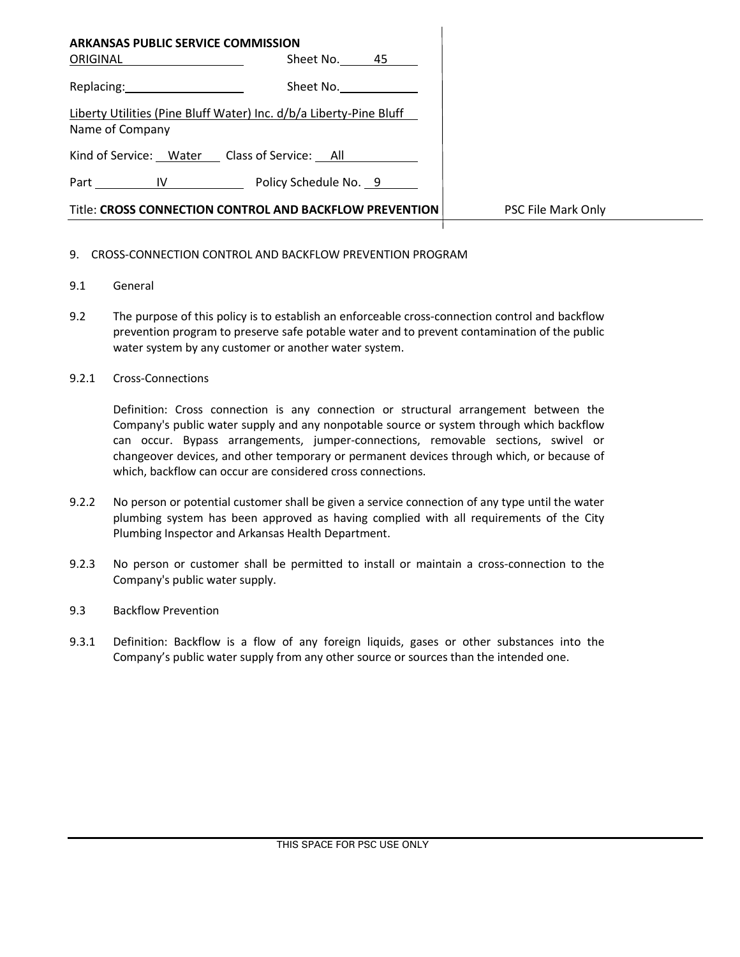| <b>ARKANSAS PUBLIC SERVICE COMMISSION</b>                                                                      |                                                                    |                    |
|----------------------------------------------------------------------------------------------------------------|--------------------------------------------------------------------|--------------------|
| ORIGINAL                                                                                                       | Sheet No. 45                                                       |                    |
| Replacing: The contract of the contract of the contract of the contract of the contract of the contract of the | Sheet No.                                                          |                    |
| Name of Company                                                                                                | Liberty Utilities (Pine Bluff Water) Inc. d/b/a Liberty-Pine Bluff |                    |
|                                                                                                                | Kind of Service: Water Class of Service: All                       |                    |
|                                                                                                                | Part IV Policy Schedule No. 9                                      |                    |
|                                                                                                                | Title: CROSS CONNECTION CONTROL AND BACKFLOW PREVENTION            | PSC File Mark Only |
|                                                                                                                |                                                                    |                    |

### 9. CROSS-CONNECTION CONTROL AND BACKFLOW PREVENTION PROGRAM

- 9.1 General
- 9.2 The purpose of this policy is to establish an enforceable cross-connection control and backflow prevention program to preserve safe potable water and to prevent contamination of the public water system by any customer or another water system.
- 9.2.1 Cross-Connections

Definition: Cross connection is any connection or structural arrangement between the Company's public water supply and any nonpotable source or system through which backflow can occur. Bypass arrangements, jumper-connections, removable sections, swivel or changeover devices, and other temporary or permanent devices through which, or because of which, backflow can occur are considered cross connections.

- 9.2.2 No person or potential customer shall be given a service connection of any type until the water plumbing system has been approved as having complied with all requirements of the City Plumbing Inspector and Arkansas Health Department.
- 9.2.3 No person or customer shall be permitted to install or maintain a cross-connection to the Company's public water supply.
- 9.3 Backflow Prevention
- 9.3.1 Definition: Backflow is a flow of any foreign liquids, gases or other substances into the Company's public water supply from any other source or sources than the intended one.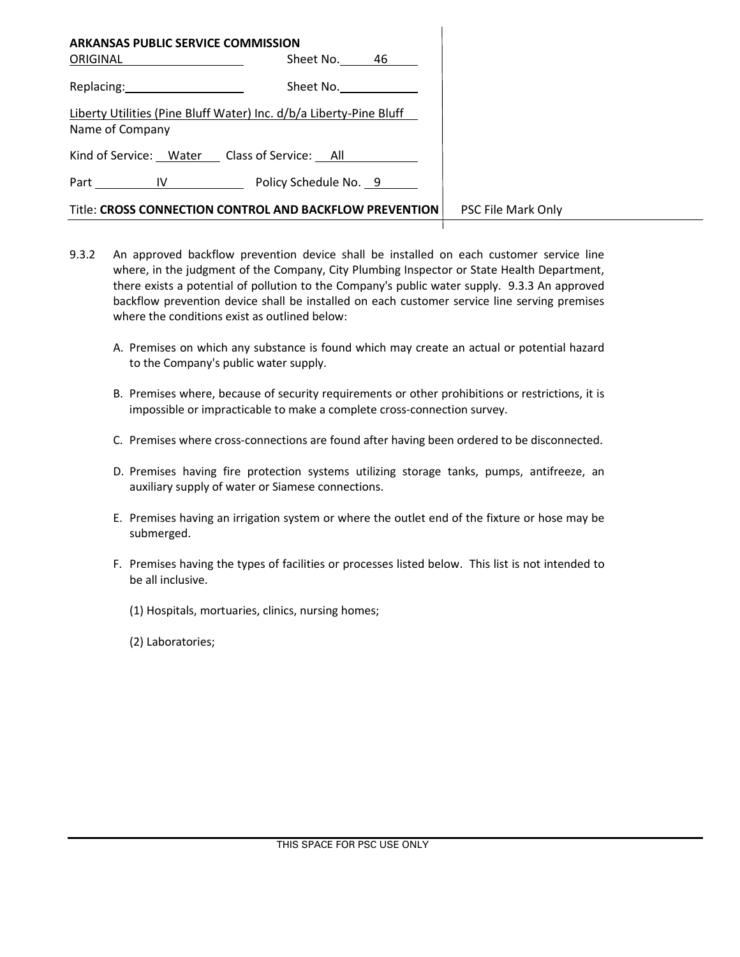| <b>ARKANSAS PUBLIC SERVICE COMMISSION</b>                                             |                                                         |                    |
|---------------------------------------------------------------------------------------|---------------------------------------------------------|--------------------|
| ORIGINAL                                                                              | Sheet No. 46                                            |                    |
| Replacing: 2008                                                                       | Sheet No.                                               |                    |
| Liberty Utilities (Pine Bluff Water) Inc. d/b/a Liberty-Pine Bluff<br>Name of Company |                                                         |                    |
| Kind of Service: Water Class of Service: All                                          |                                                         |                    |
| Part IV Part                                                                          | Policy Schedule No. 9                                   |                    |
|                                                                                       | Title: CROSS CONNECTION CONTROL AND BACKFLOW PREVENTION | PSC File Mark Only |

- 9.3.2 An approved backflow prevention device shall be installed on each customer service line where, in the judgment of the Company, City Plumbing Inspector or State Health Department, there exists a potential of pollution to the Company's public water supply. 9.3.3 An approved backflow prevention device shall be installed on each customer service line serving premises where the conditions exist as outlined below:
	- A. Premises on which any substance is found which may create an actual or potential hazard to the Company's public water supply.
	- B. Premises where, because of security requirements or other prohibitions or restrictions, it is impossible or impracticable to make a complete cross-connection survey.
	- C. Premises where cross-connections are found after having been ordered to be disconnected.
	- D. Premises having fire protection systems utilizing storage tanks, pumps, antifreeze, an auxiliary supply of water or Siamese connections.
	- E. Premises having an irrigation system or where the outlet end of the fixture or hose may be submerged.
	- F. Premises having the types of facilities or processes listed below. This list is not intended to be all inclusive.
		- (1) Hospitals, mortuaries, clinics, nursing homes;
		- (2) Laboratories;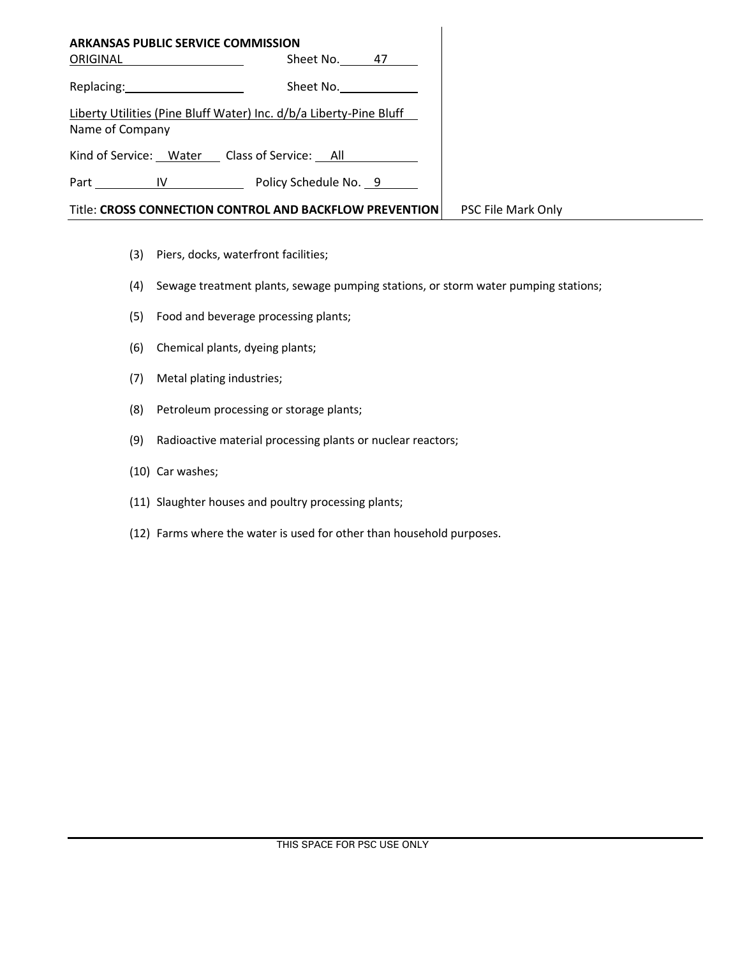| <b>ARKANSAS PUBLIC SERVICE COMMISSION</b>    |                                                                    |                    |
|----------------------------------------------|--------------------------------------------------------------------|--------------------|
| ORIGINAL                                     | Sheet No. 47                                                       |                    |
| Replacing: 2000                              | Sheet No.                                                          |                    |
| Name of Company                              | Liberty Utilities (Pine Bluff Water) Inc. d/b/a Liberty-Pine Bluff |                    |
| Kind of Service: Water Class of Service: All |                                                                    |                    |
|                                              | Part IV Policy Schedule No. 9                                      |                    |
|                                              | Title: CROSS CONNECTION CONTROL AND BACKFLOW PREVENTION            | PSC File Mark Only |

- (3) Piers, docks, waterfront facilities;
- (4) Sewage treatment plants, sewage pumping stations, or storm water pumping stations;
- (5) Food and beverage processing plants;
- (6) Chemical plants, dyeing plants;
- (7) Metal plating industries;
- (8) Petroleum processing or storage plants;
- (9) Radioactive material processing plants or nuclear reactors;
- (10) Car washes;
- (11) Slaughter houses and poultry processing plants;
- (12) Farms where the water is used for other than household purposes.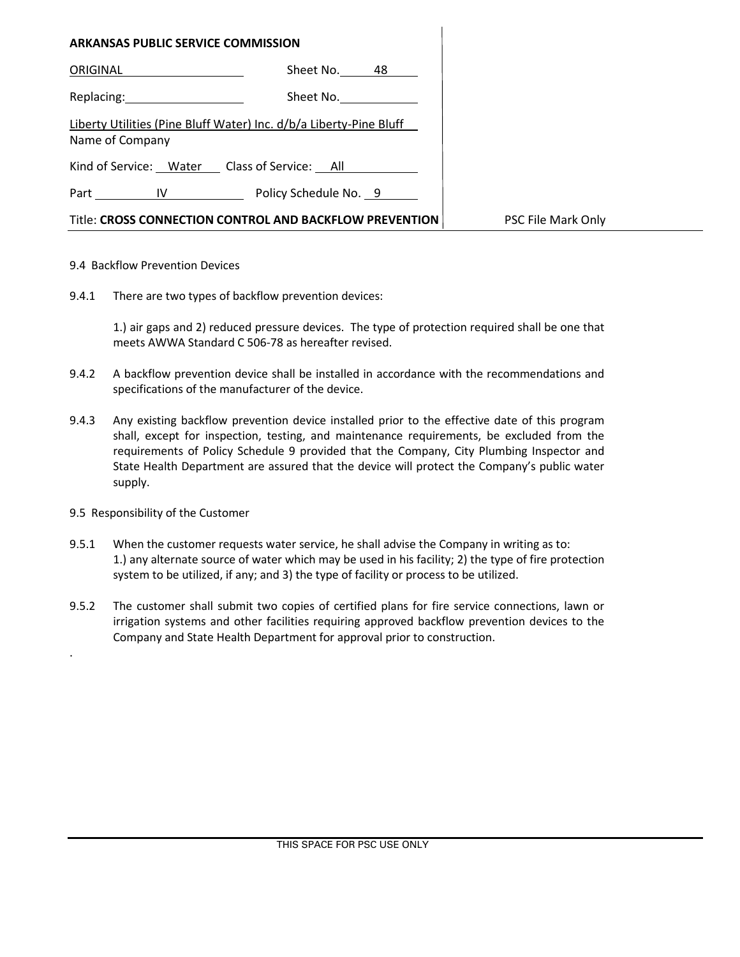| <b>ARKANSAS PUBLIC SERVICE COMMISSION</b>                                             |
|---------------------------------------------------------------------------------------|
| Sheet No. 48<br>ORIGINAL                                                              |
| Replacing: New<br>Sheet No.                                                           |
| Liberty Utilities (Pine Bluff Water) Inc. d/b/a Liberty-Pine Bluff<br>Name of Company |
| Kind of Service: Water Class of Service: All                                          |
| Part IV Policy Schedule No. 9                                                         |
| Title: CROSS CONNECTION CONTROL AND BACKFLOW PREVENTION                               |

#### 9.4 Backflow Prevention Devices

9.4.1 There are two types of backflow prevention devices:

1.) air gaps and 2) reduced pressure devices. The type of protection required shall be one that meets AWWA Standard C 506-78 as hereafter revised.

- 9.4.2 A backflow prevention device shall be installed in accordance with the recommendations and specifications of the manufacturer of the device.
- 9.4.3 Any existing backflow prevention device installed prior to the effective date of this program shall, except for inspection, testing, and maintenance requirements, be excluded from the requirements of Policy Schedule 9 provided that the Company, City Plumbing Inspector and State Health Department are assured that the device will protect the Company's public water supply.
- 9.5 Responsibility of the Customer

.

- 9.5.1 When the customer requests water service, he shall advise the Company in writing as to: 1.) any alternate source of water which may be used in his facility; 2) the type of fire protection system to be utilized, if any; and 3) the type of facility or process to be utilized.
- 9.5.2 The customer shall submit two copies of certified plans for fire service connections, lawn or irrigation systems and other facilities requiring approved backflow prevention devices to the Company and State Health Department for approval prior to construction.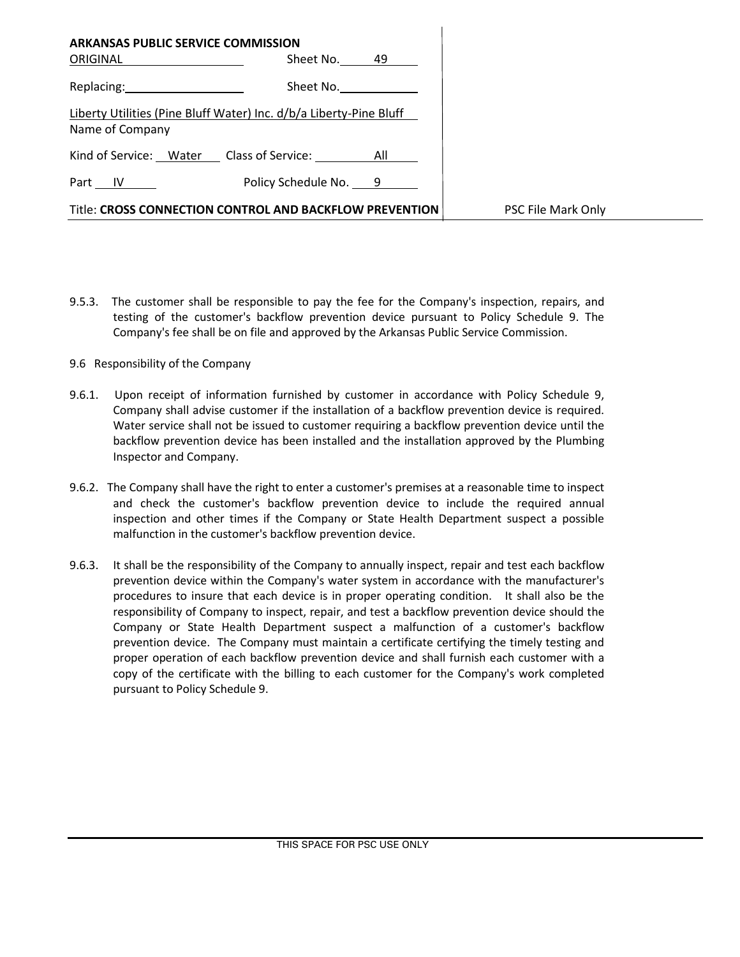| <b>ARKANSAS PUBLIC SERVICE COMMISSION</b><br>ORIGINAL                                 | Sheet No. 49          |                    |
|---------------------------------------------------------------------------------------|-----------------------|--------------------|
| Replacing: 2000                                                                       | Sheet No.             |                    |
| Liberty Utilities (Pine Bluff Water) Inc. d/b/a Liberty-Pine Bluff<br>Name of Company |                       |                    |
| Kind of Service: Water Class of Service: All                                          |                       |                    |
| Part IV                                                                               | Policy Schedule No. 9 |                    |
| Title: CROSS CONNECTION CONTROL AND BACKFLOW PREVENTION                               |                       | PSC File Mark Only |

- 9.5.3. The customer shall be responsible to pay the fee for the Company's inspection, repairs, and testing of the customer's backflow prevention device pursuant to Policy Schedule 9. The Company's fee shall be on file and approved by the Arkansas Public Service Commission.
- 9.6 Responsibility of the Company
- 9.6.1. Upon receipt of information furnished by customer in accordance with Policy Schedule 9, Company shall advise customer if the installation of a backflow prevention device is required. Water service shall not be issued to customer requiring a backflow prevention device until the backflow prevention device has been installed and the installation approved by the Plumbing Inspector and Company.
- 9.6.2. The Company shall have the right to enter a customer's premises at a reasonable time to inspect and check the customer's backflow prevention device to include the required annual inspection and other times if the Company or State Health Department suspect a possible malfunction in the customer's backflow prevention device.
- 9.6.3. It shall be the responsibility of the Company to annually inspect, repair and test each backflow prevention device within the Company's water system in accordance with the manufacturer's procedures to insure that each device is in proper operating condition. It shall also be the responsibility of Company to inspect, repair, and test a backflow prevention device should the Company or State Health Department suspect a malfunction of a customer's backflow prevention device. The Company must maintain a certificate certifying the timely testing and proper operation of each backflow prevention device and shall furnish each customer with a copy of the certificate with the billing to each customer for the Company's work completed pursuant to Policy Schedule 9.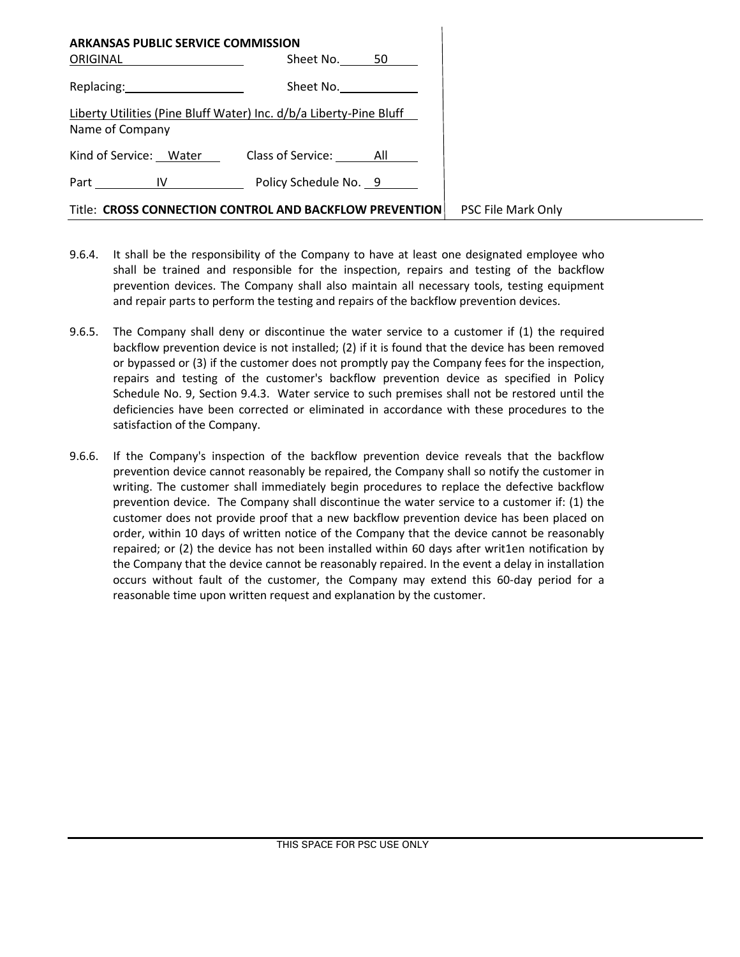| <b>ARKANSAS PUBLIC SERVICE COMMISSION</b><br>ORIGINAL                                 | Sheet No. $50$ |                    |
|---------------------------------------------------------------------------------------|----------------|--------------------|
| Replacing: 2000                                                                       | Sheet No.      |                    |
| Liberty Utilities (Pine Bluff Water) Inc. d/b/a Liberty-Pine Bluff<br>Name of Company |                |                    |
| Kind of Service: Water Class of Service: All                                          |                |                    |
| Part IV Policy Schedule No. 9                                                         |                |                    |
| Title: CROSS CONNECTION CONTROL AND BACKFLOW PREVENTION                               |                | PSC File Mark Only |

- 9.6.4. It shall be the responsibility of the Company to have at least one designated employee who shall be trained and responsible for the inspection, repairs and testing of the backflow prevention devices. The Company shall also maintain all necessary tools, testing equipment and repair parts to perform the testing and repairs of the backflow prevention devices.
- 9.6.5. The Company shall deny or discontinue the water service to a customer if (1) the required backflow prevention device is not installed; (2) if it is found that the device has been removed or bypassed or (3) if the customer does not promptly pay the Company fees for the inspection, repairs and testing of the customer's backflow prevention device as specified in Policy Schedule No. 9, Section 9.4.3. Water service to such premises shall not be restored until the deficiencies have been corrected or eliminated in accordance with these procedures to the satisfaction of the Company.
- 9.6.6. If the Company's inspection of the backflow prevention device reveals that the backflow prevention device cannot reasonably be repaired, the Company shall so notify the customer in writing. The customer shall immediately begin procedures to replace the defective backflow prevention device. The Company shall discontinue the water service to a customer if: (1) the customer does not provide proof that a new backflow prevention device has been placed on order, within 10 days of written notice of the Company that the device cannot be reasonably repaired; or (2) the device has not been installed within 60 days after writ1en notification by the Company that the device cannot be reasonably repaired. In the event a delay in installation occurs without fault of the customer, the Company may extend this 60-day period for a reasonable time upon written request and explanation by the customer.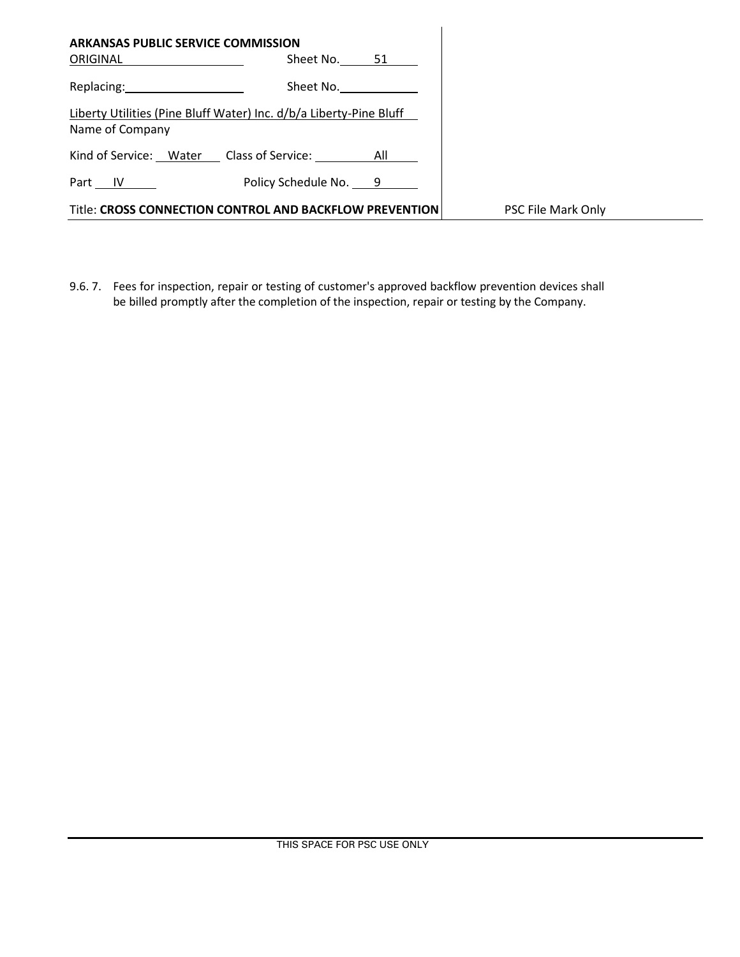| <b>ARKANSAS PUBLIC SERVICE COMMISSION</b><br>ORIGINAL | Sheet No. 51                                                       |                           |
|-------------------------------------------------------|--------------------------------------------------------------------|---------------------------|
| Replacing: New York Products                          | Sheet No.                                                          |                           |
| Name of Company                                       | Liberty Utilities (Pine Bluff Water) Inc. d/b/a Liberty-Pine Bluff |                           |
|                                                       | Kind of Service: Water Class of Service: All                       |                           |
| Part IV                                               | Policy Schedule No. 9                                              |                           |
|                                                       | Title: CROSS CONNECTION CONTROL AND BACKFLOW PREVENTION            | <b>PSC File Mark Only</b> |

9.6. 7. Fees for inspection, repair or testing of customer's approved backflow prevention devices shall be billed promptly after the completion of the inspection, repair or testing by the Company.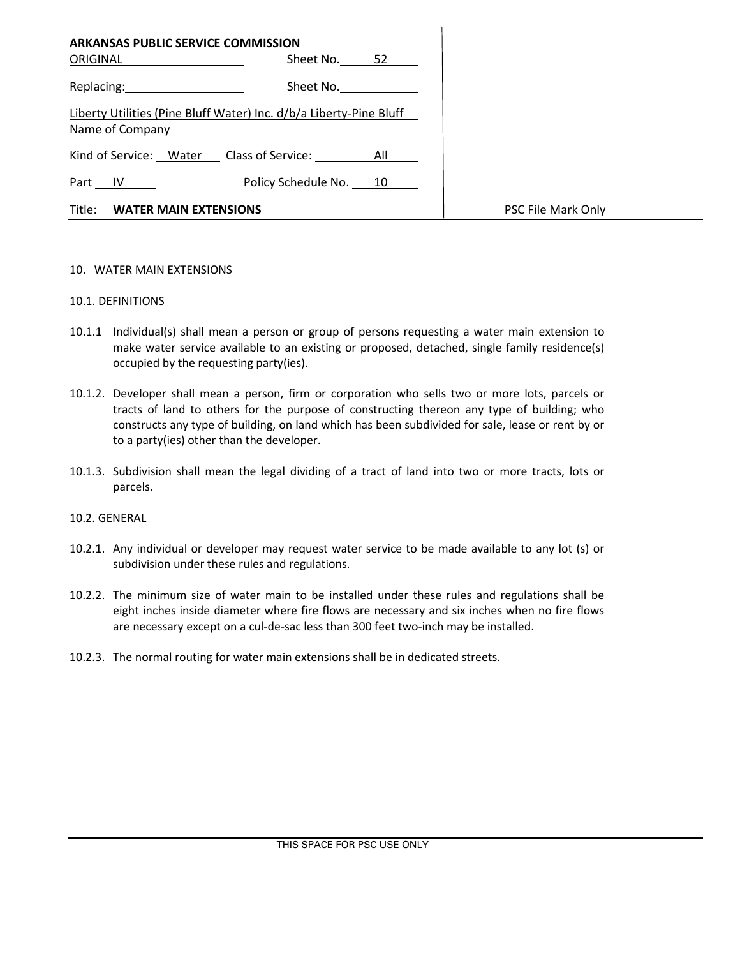| <b>ARKANSAS PUBLIC SERVICE COMMISSION</b><br>ORIGINAL | Sheet No. 52                                                       |                    |
|-------------------------------------------------------|--------------------------------------------------------------------|--------------------|
| Replacing: 2008                                       | Sheet No.                                                          |                    |
| Name of Company                                       | Liberty Utilities (Pine Bluff Water) Inc. d/b/a Liberty-Pine Bluff |                    |
|                                                       | Kind of Service: Water Class of Service: All                       |                    |
| Part <u>IV</u>                                        | Policy Schedule No. 10                                             |                    |
| Title:<br><b>WATER MAIN EXTENSIONS</b>                |                                                                    | PSC File Mark Only |

#### 10. WATER MAIN EXTENSIONS

#### 10.1. DEFINITIONS

- 10.1.1 Individual(s) shall mean a person or group of persons requesting a water main extension to make water service available to an existing or proposed, detached, single family residence(s) occupied by the requesting party(ies).
- 10.1.2. Developer shall mean a person, firm or corporation who sells two or more lots, parcels or tracts of land to others for the purpose of constructing thereon any type of building; who constructs any type of building, on land which has been subdivided for sale, lease or rent by or to a party(ies) other than the developer.
- 10.1.3. Subdivision shall mean the legal dividing of a tract of land into two or more tracts, lots or parcels.

### 10.2. GENERAL

- 10.2.1. Any individual or developer may request water service to be made available to any lot (s) or subdivision under these rules and regulations.
- 10.2.2. The minimum size of water main to be installed under these rules and regulations shall be eight inches inside diameter where fire flows are necessary and six inches when no fire flows are necessary except on a cul-de-sac less than 300 feet two-inch may be installed.
- 10.2.3. The normal routing for water main extensions shall be in dedicated streets.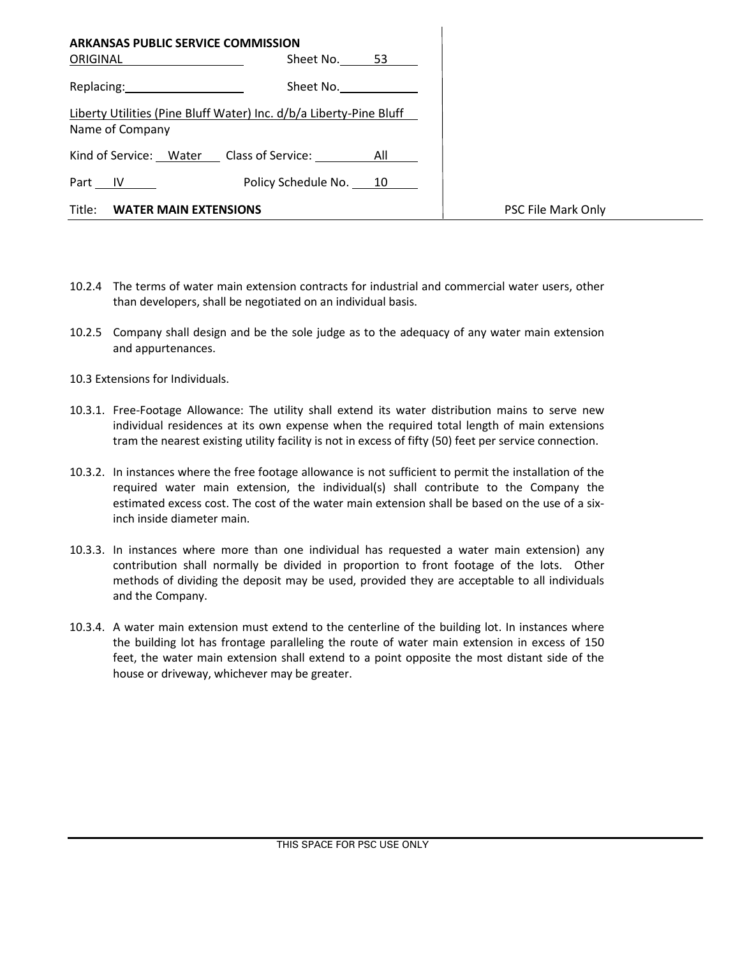| <b>ARKANSAS PUBLIC SERVICE COMMISSION</b>                                                                      |                                                                    |                    |
|----------------------------------------------------------------------------------------------------------------|--------------------------------------------------------------------|--------------------|
| <b>ORIGINAL Example 2019</b>                                                                                   | Sheet No. 53                                                       |                    |
| Replacing: The contract of the contract of the contract of the contract of the contract of the contract of the | Sheet No.                                                          |                    |
| Name of Company                                                                                                | Liberty Utilities (Pine Bluff Water) Inc. d/b/a Liberty-Pine Bluff |                    |
|                                                                                                                | Kind of Service: Water Class of Service: All                       |                    |
| Part $IV$                                                                                                      | Policy Schedule No. 10                                             |                    |
| Title:<br><b>WATER MAIN EXTENSIONS</b>                                                                         |                                                                    | PSC File Mark Only |

- 10.2.4 The terms of water main extension contracts for industrial and commercial water users, other than developers, shall be negotiated on an individual basis.
- 10.2.5 Company shall design and be the sole judge as to the adequacy of any water main extension and appurtenances.
- 10.3 Extensions for Individuals.
- 10.3.1. Free-Footage Allowance: The utility shall extend its water distribution mains to serve new individual residences at its own expense when the required total length of main extensions tram the nearest existing utility facility is not in excess of fifty (50) feet per service connection.
- 10.3.2. In instances where the free footage allowance is not sufficient to permit the installation of the required water main extension, the individual(s) shall contribute to the Company the estimated excess cost. The cost of the water main extension shall be based on the use of a sixinch inside diameter main.
- 10.3.3. In instances where more than one individual has requested a water main extension) any contribution shall normally be divided in proportion to front footage of the lots. Other methods of dividing the deposit may be used, provided they are acceptable to all individuals and the Company.
- 10.3.4. A water main extension must extend to the centerline of the building lot. In instances where the building lot has frontage paralleling the route of water main extension in excess of 150 feet, the water main extension shall extend to a point opposite the most distant side of the house or driveway, whichever may be greater.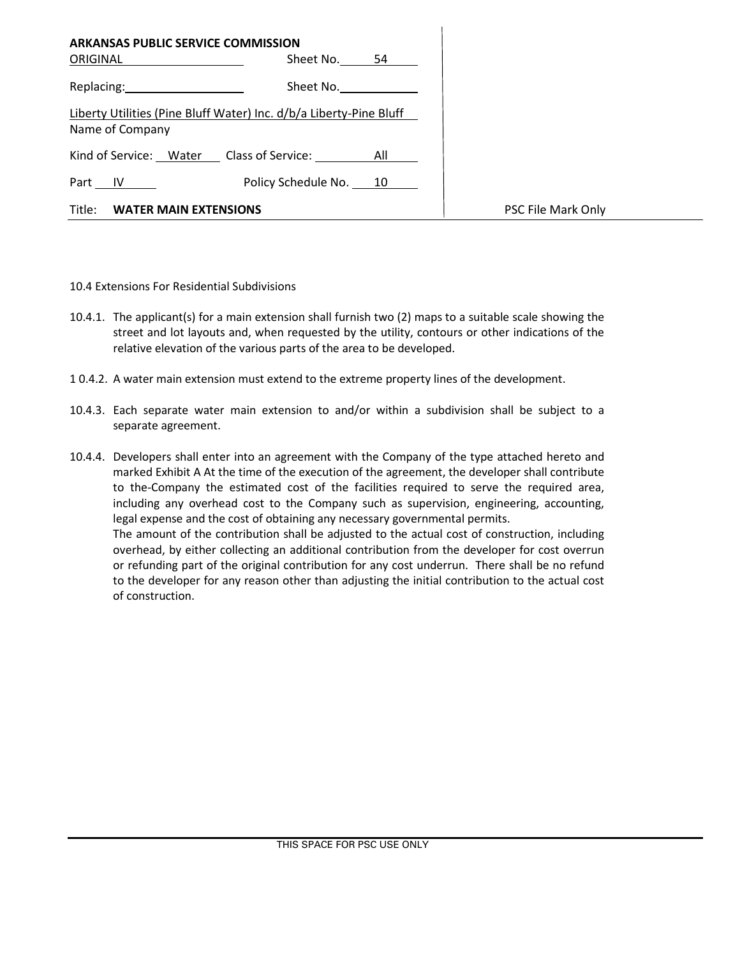| <b>ARKANSAS PUBLIC SERVICE COMMISSION</b><br>ORIGINAL                                                                                                                                                                          | Sheet No.              | 54 |                    |
|--------------------------------------------------------------------------------------------------------------------------------------------------------------------------------------------------------------------------------|------------------------|----|--------------------|
| Replacing: New York Press, New York Press, New York Press, New York Press, New York Press, New York Press, New York Press, New York Press, New York Press, New York Press, New York Press, New York Press, New York Press, New | Sheet No.              |    |                    |
| Liberty Utilities (Pine Bluff Water) Inc. d/b/a Liberty-Pine Bluff<br>Name of Company                                                                                                                                          |                        |    |                    |
| Kind of Service: Water Class of Service: All                                                                                                                                                                                   |                        |    |                    |
| Part IV                                                                                                                                                                                                                        | Policy Schedule No. 10 |    |                    |
| Title:<br><b>WATER MAIN EXTENSIONS</b>                                                                                                                                                                                         |                        |    | PSC File Mark Only |

10.4 Extensions For Residential Subdivisions

- 10.4.1. The applicant(s) for a main extension shall furnish two (2) maps to a suitable scale showing the street and lot layouts and, when requested by the utility, contours or other indications of the relative elevation of the various parts of the area to be developed.
- 1 0.4.2. A water main extension must extend to the extreme property lines of the development.
- 10.4.3. Each separate water main extension to and/or within a subdivision shall be subject to a separate agreement.
- 10.4.4. Developers shall enter into an agreement with the Company of the type attached hereto and marked Exhibit A At the time of the execution of the agreement, the developer shall contribute to the-Company the estimated cost of the facilities required to serve the required area, including any overhead cost to the Company such as supervision, engineering, accounting, legal expense and the cost of obtaining any necessary governmental permits. The amount of the contribution shall be adjusted to the actual cost of construction, including overhead, by either collecting an additional contribution from the developer for cost overrun or refunding part of the original contribution for any cost underrun. There shall be no refund to the developer for any reason other than adjusting the initial contribution to the actual cost of construction.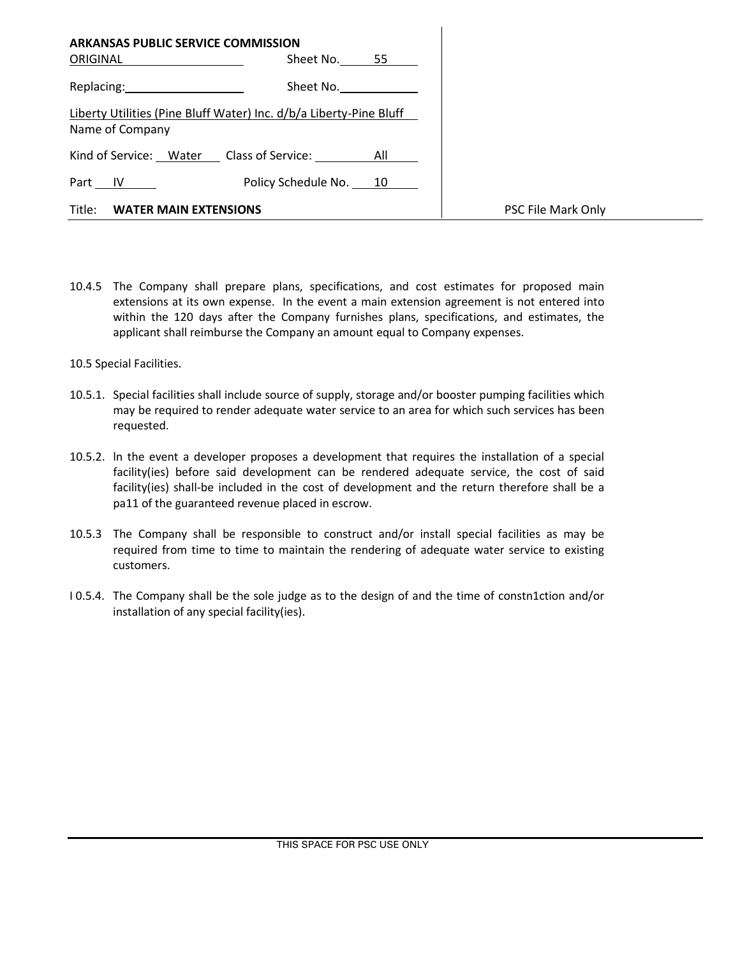| <b>ARKANSAS PUBLIC SERVICE COMMISSION</b> |                                                                    |                    |
|-------------------------------------------|--------------------------------------------------------------------|--------------------|
| <b>ORIGINAL Example 2019</b>              | Sheet No. 55                                                       |                    |
| Replacing: 2000                           | Sheet No.                                                          |                    |
| Name of Company                           | Liberty Utilities (Pine Bluff Water) Inc. d/b/a Liberty-Pine Bluff |                    |
|                                           | Kind of Service: Water Class of Service: All                       |                    |
| Part <u>IV</u>                            | Policy Schedule No. 10                                             |                    |
| Title:<br><b>WATER MAIN EXTENSIONS</b>    |                                                                    | PSC File Mark Only |

10.4.5 The Company shall prepare plans, specifications, and cost estimates for proposed main extensions at its own expense. In the event a main extension agreement is not entered into within the 120 days after the Company furnishes plans, specifications, and estimates, the applicant shall reimburse the Company an amount equal to Company expenses.

10.5 Special Facilities.

- 10.5.1. Special facilities shall include source of supply, storage and/or booster pumping facilities which may be required to render adequate water service to an area for which such services has been requested.
- 10.5.2. ln the event a developer proposes a development that requires the installation of a special facility(ies) before said development can be rendered adequate service, the cost of said facility(ies) shall-be included in the cost of development and the return therefore shall be a pa11 of the guaranteed revenue placed in escrow.
- 10.5.3 The Company shall be responsible to construct and/or install special facilities as may be required from time to time to maintain the rendering of adequate water service to existing customers.
- I 0.5.4. The Company shall be the sole judge as to the design of and the time of constn1ction and/or installation of any special facility(ies).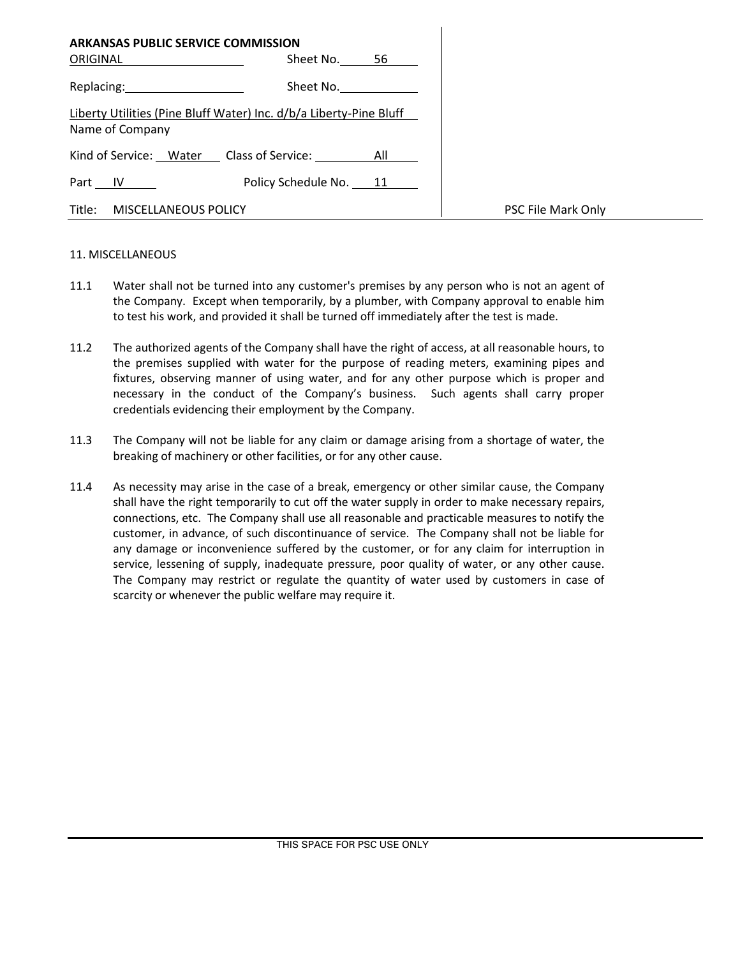| ARKANSAS PUBLIC SERVICE COMMISSION<br>ORIGINAL                                                                                                                                                                                 | Sheet No. 56           |                    |
|--------------------------------------------------------------------------------------------------------------------------------------------------------------------------------------------------------------------------------|------------------------|--------------------|
| Replacing: New York Press, New York Press, New York Press, New York Press, New York Press, New York Press, New York Press, New York Press, New York Press, New York Press, New York Press, New York Press, New York Press, New | Sheet No.              |                    |
| Liberty Utilities (Pine Bluff Water) Inc. d/b/a Liberty-Pine Bluff<br>Name of Company                                                                                                                                          |                        |                    |
| Kind of Service: Water Class of Service: All                                                                                                                                                                                   |                        |                    |
| Part IV                                                                                                                                                                                                                        | Policy Schedule No. 11 |                    |
| Title:<br>MISCELLANEOUS POLICY                                                                                                                                                                                                 |                        | PSC File Mark Only |

#### 11. MISCELLANEOUS

- 11.1 Water shall not be turned into any customer's premises by any person who is not an agent of the Company. Except when temporarily, by a plumber, with Company approval to enable him to test his work, and provided it shall be turned off immediately after the test is made.
- 11.2 The authorized agents of the Company shall have the right of access, at all reasonable hours, to the premises supplied with water for the purpose of reading meters, examining pipes and fixtures, observing manner of using water, and for any other purpose which is proper and necessary in the conduct of the Company's business. Such agents shall carry proper credentials evidencing their employment by the Company.
- 11.3 The Company will not be liable for any claim or damage arising from a shortage of water, the breaking of machinery or other facilities, or for any other cause.
- 11.4 As necessity may arise in the case of a break, emergency or other similar cause, the Company shall have the right temporarily to cut off the water supply in order to make necessary repairs, connections, etc. The Company shall use all reasonable and practicable measures to notify the customer, in advance, of such discontinuance of service. The Company shall not be liable for any damage or inconvenience suffered by the customer, or for any claim for interruption in service, lessening of supply, inadequate pressure, poor quality of water, or any other cause. The Company may restrict or regulate the quantity of water used by customers in case of scarcity or whenever the public welfare may require it.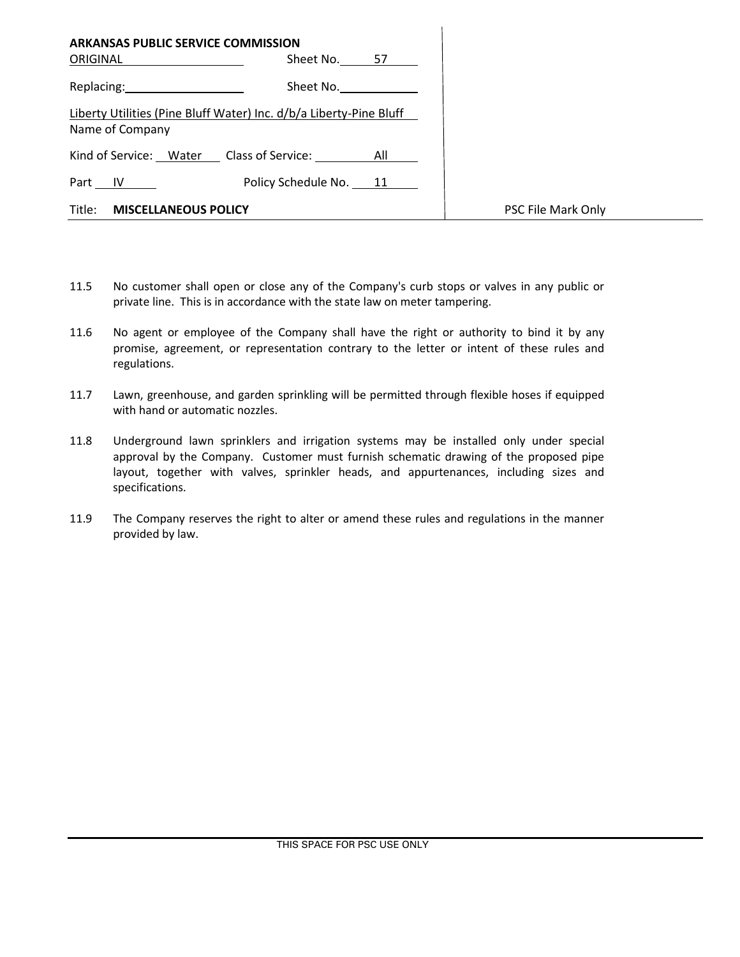| <b>ARKANSAS PUBLIC SERVICE COMMISSION</b><br>ORIGINAL | Sheet No. 57                                                       |                    |
|-------------------------------------------------------|--------------------------------------------------------------------|--------------------|
| Replacing: 2000                                       | Sheet No.                                                          |                    |
| Name of Company                                       | Liberty Utilities (Pine Bluff Water) Inc. d/b/a Liberty-Pine Bluff |                    |
|                                                       | Kind of Service: Water Class of Service: All                       |                    |
| Part $IV$                                             | Policy Schedule No. 11                                             |                    |
| Title: MISCELLANEOUS POLICY                           |                                                                    | PSC File Mark Only |

- 11.5 No customer shall open or close any of the Company's curb stops or valves in any public or private line. This is in accordance with the state law on meter tampering.
- 11.6 No agent or employee of the Company shall have the right or authority to bind it by any promise, agreement, or representation contrary to the letter or intent of these rules and regulations.
- 11.7 Lawn, greenhouse, and garden sprinkling will be permitted through flexible hoses if equipped with hand or automatic nozzles.
- 11.8 Underground lawn sprinklers and irrigation systems may be installed only under special approval by the Company. Customer must furnish schematic drawing of the proposed pipe layout, together with valves, sprinkler heads, and appurtenances, including sizes and specifications.
- 11.9 The Company reserves the right to alter or amend these rules and regulations in the manner provided by law.